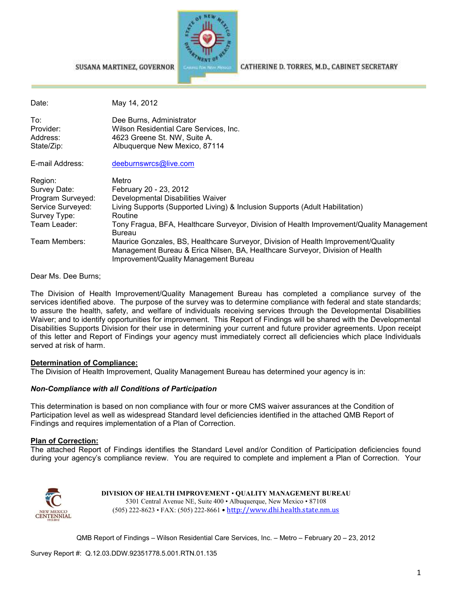

CATHERINE D. TORRES, M.D., CABINET SECRETARY

#### SUSANA MARTINEZ, GOVERNOR

| Date:             | May 14, 2012                                                                                                                                                                                                |
|-------------------|-------------------------------------------------------------------------------------------------------------------------------------------------------------------------------------------------------------|
| To:               | Dee Burns, Administrator                                                                                                                                                                                    |
| Provider:         | Wilson Residential Care Services, Inc.                                                                                                                                                                      |
| Address:          | 4623 Greene St. NW, Suite A.                                                                                                                                                                                |
| State/Zip:        | Albuquerque New Mexico, 87114                                                                                                                                                                               |
| E-mail Address:   | deeburnswrcs@live.com                                                                                                                                                                                       |
| Region:           | Metro                                                                                                                                                                                                       |
| Survey Date:      | February 20 - 23, 2012                                                                                                                                                                                      |
| Program Surveyed: | Developmental Disabilities Waiver                                                                                                                                                                           |
| Service Surveyed: | Living Supports (Supported Living) & Inclusion Supports (Adult Habilitation)                                                                                                                                |
| Survey Type:      | Routine                                                                                                                                                                                                     |
| Team Leader:      | Tony Fragua, BFA, Healthcare Surveyor, Division of Health Improvement/Quality Management<br>Bureau                                                                                                          |
| Team Members:     | Maurice Gonzales, BS, Healthcare Surveyor, Division of Health Improvement/Quality<br>Management Bureau & Erica Nilsen, BA, Healthcare Surveyor, Division of Health<br>Improvement/Quality Management Bureau |

Dear Ms. Dee Burns;

The Division of Health Improvement/Quality Management Bureau has completed a compliance survey of the services identified above. The purpose of the survey was to determine compliance with federal and state standards; to assure the health, safety, and welfare of individuals receiving services through the Developmental Disabilities Waiver; and to identify opportunities for improvement. This Report of Findings will be shared with the Developmental Disabilities Supports Division for their use in determining your current and future provider agreements. Upon receipt of this letter and Report of Findings your agency must immediately correct all deficiencies which place Individuals served at risk of harm.

### **Determination of Compliance:**

The Division of Health Improvement, Quality Management Bureau has determined your agency is in:

### *Non-Compliance with all Conditions of Participation*

This determination is based on non compliance with four or more CMS waiver assurances at the Condition of Participation level as well as widespread Standard level deficiencies identified in the attached QMB Report of Findings and requires implementation of a Plan of Correction.

### **Plan of Correction:**

The attached Report of Findings identifies the Standard Level and/or Condition of Participation deficiencies found during your agency's compliance review. You are required to complete and implement a Plan of Correction. Your



**DIVISION OF HEALTH IMPROVEMENT** • **QUALITY MANAGEMENT BUREAU** 5301 Central Avenue NE, Suite 400 • Albuquerque, New Mexico • 87108 (505) 222-8623 • FAX: (505) 222-8661 • http://www.dhi.health.state.nm.us

QMB Report of Findings – Wilson Residential Care Services, Inc. – Metro – February 20 – 23, 2012

Survey Report #: Q.12.03.DDW.92351778.5.001.RTN.01.135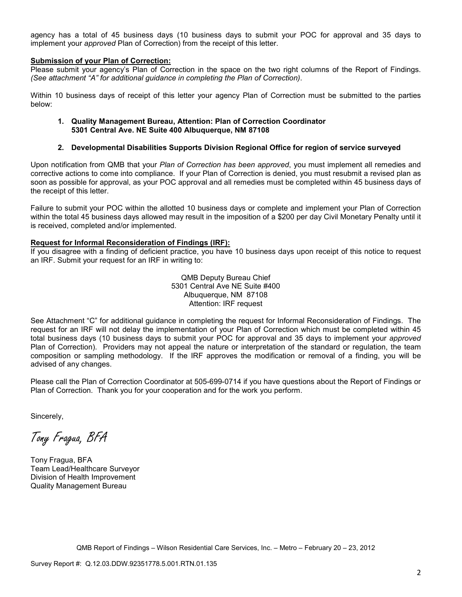agency has a total of 45 business days (10 business days to submit your POC for approval and 35 days to implement your *approved* Plan of Correction) from the receipt of this letter.

### **Submission of your Plan of Correction:**

Please submit your agency's Plan of Correction in the space on the two right columns of the Report of Findings. *(See attachment "A" for additional guidance in completing the Plan of Correction)*.

Within 10 business days of receipt of this letter your agency Plan of Correction must be submitted to the parties below:

### **1. Quality Management Bureau, Attention: Plan of Correction Coordinator 5301 Central Ave. NE Suite 400 Albuquerque, NM 87108**

### **2. Developmental Disabilities Supports Division Regional Office for region of service surveyed**

Upon notification from QMB that your *Plan of Correction has been approved*, you must implement all remedies and corrective actions to come into compliance. If your Plan of Correction is denied, you must resubmit a revised plan as soon as possible for approval, as your POC approval and all remedies must be completed within 45 business days of the receipt of this letter.

Failure to submit your POC within the allotted 10 business days or complete and implement your Plan of Correction within the total 45 business days allowed may result in the imposition of a \$200 per day Civil Monetary Penalty until it is received, completed and/or implemented.

#### **Request for Informal Reconsideration of Findings (IRF):**

If you disagree with a finding of deficient practice, you have 10 business days upon receipt of this notice to request an IRF. Submit your request for an IRF in writing to:

> QMB Deputy Bureau Chief 5301 Central Ave NE Suite #400 Albuquerque, NM 87108 Attention: IRF request

See Attachment "C" for additional guidance in completing the request for Informal Reconsideration of Findings. The request for an IRF will not delay the implementation of your Plan of Correction which must be completed within 45 total business days (10 business days to submit your POC for approval and 35 days to implement your *approved* Plan of Correction). Providers may not appeal the nature or interpretation of the standard or regulation, the team composition or sampling methodology. If the IRF approves the modification or removal of a finding, you will be advised of any changes.

Please call the Plan of Correction Coordinator at 505-699-0714 if you have questions about the Report of Findings or Plan of Correction. Thank you for your cooperation and for the work you perform.

Sincerely,

Tony Fragua, BFA

Tony Fragua, BFA Team Lead/Healthcare Surveyor Division of Health Improvement Quality Management Bureau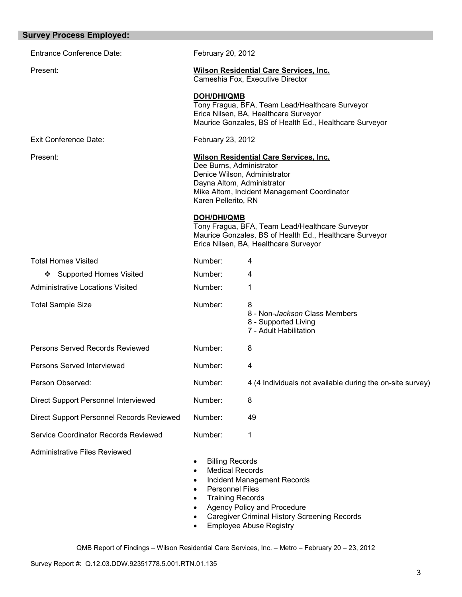| <b>Survey Process Employed:</b>           |                                                                                                                                                                                                               |                                                                                                                                                     |
|-------------------------------------------|---------------------------------------------------------------------------------------------------------------------------------------------------------------------------------------------------------------|-----------------------------------------------------------------------------------------------------------------------------------------------------|
| <b>Entrance Conference Date:</b>          | February 20, 2012                                                                                                                                                                                             |                                                                                                                                                     |
| Present:                                  |                                                                                                                                                                                                               | <b>Wilson Residential Care Services, Inc.</b><br>Cameshia Fox, Executive Director                                                                   |
|                                           | <b>DOH/DHI/QMB</b>                                                                                                                                                                                            | Tony Fragua, BFA, Team Lead/Healthcare Surveyor<br>Erica Nilsen, BA, Healthcare Surveyor<br>Maurice Gonzales, BS of Health Ed., Healthcare Surveyor |
| <b>Exit Conference Date:</b>              | February 23, 2012                                                                                                                                                                                             |                                                                                                                                                     |
| Present:                                  | <b>Wilson Residential Care Services, Inc.</b><br>Dee Burns, Administrator<br>Denice Wilson, Administrator<br>Dayna Altom, Administrator<br>Mike Altom, Incident Management Coordinator<br>Karen Pellerito, RN |                                                                                                                                                     |
|                                           | <b>DOH/DHI/QMB</b>                                                                                                                                                                                            | Tony Fragua, BFA, Team Lead/Healthcare Surveyor<br>Maurice Gonzales, BS of Health Ed., Healthcare Surveyor<br>Erica Nilsen, BA, Healthcare Surveyor |
| <b>Total Homes Visited</b>                | Number:                                                                                                                                                                                                       | 4                                                                                                                                                   |
| ❖ Supported Homes Visited                 | Number:                                                                                                                                                                                                       | 4                                                                                                                                                   |
| <b>Administrative Locations Visited</b>   | Number:                                                                                                                                                                                                       | 1                                                                                                                                                   |
| <b>Total Sample Size</b>                  | Number:                                                                                                                                                                                                       | 8<br>8 - Non-Jackson Class Members<br>8 - Supported Living<br>7 - Adult Habilitation                                                                |
| Persons Served Records Reviewed           | Number:                                                                                                                                                                                                       | 8                                                                                                                                                   |
| Persons Served Interviewed                | Number:                                                                                                                                                                                                       | 4                                                                                                                                                   |
| Person Observed:                          | Number:                                                                                                                                                                                                       | 4 (4 Individuals not available during the on-site survey)                                                                                           |
| Direct Support Personnel Interviewed      | Number:                                                                                                                                                                                                       | 8                                                                                                                                                   |
| Direct Support Personnel Records Reviewed | Number:                                                                                                                                                                                                       | 49                                                                                                                                                  |
| Service Coordinator Records Reviewed      | Number:                                                                                                                                                                                                       | 1                                                                                                                                                   |
| <b>Administrative Files Reviewed</b>      | <b>Billing Records</b><br>$\bullet$<br><b>Medical Records</b><br>$\bullet$<br>$\bullet$<br><b>Personnel Files</b><br>$\bullet$<br><b>Training Records</b><br>$\bullet$<br>$\bullet$                           | Incident Management Records<br>Agency Policy and Procedure<br><b>Caregiver Criminal History Screening Records</b><br><b>Employee Abuse Registry</b> |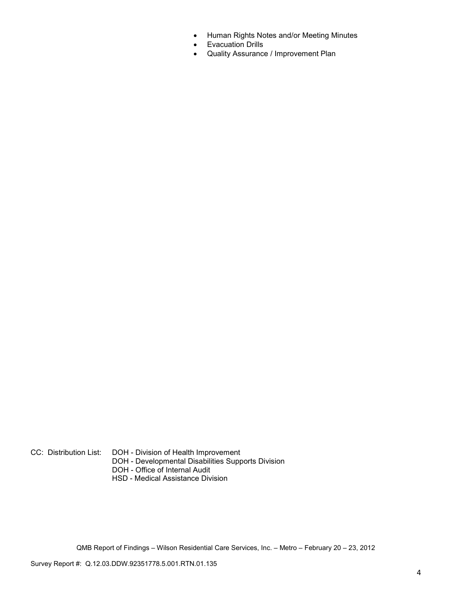- Human Rights Notes and/or Meeting Minutes
- Evacuation Drills
- Quality Assurance / Improvement Plan

CC: Distribution List: DOH - Division of Health Improvement

- DOH Developmental Disabilities Supports Division
- DOH Office of Internal Audit
- HSD Medical Assistance Division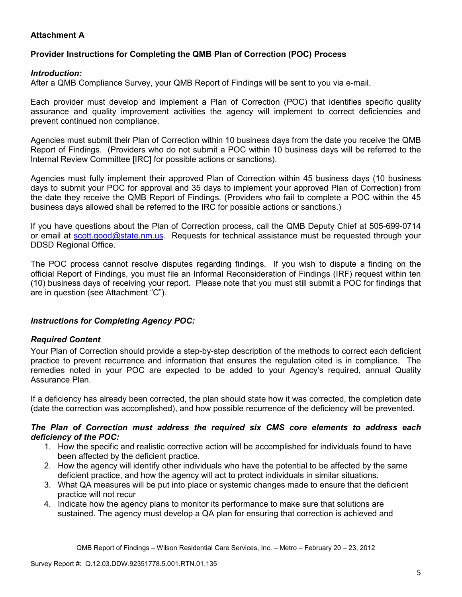# **Attachment A**

# **Provider Instructions for Completing the QMB Plan of Correction (POC) Process**

# *Introduction:*

After a QMB Compliance Survey, your QMB Report of Findings will be sent to you via e-mail.

Each provider must develop and implement a Plan of Correction (POC) that identifies specific quality assurance and quality improvement activities the agency will implement to correct deficiencies and prevent continued non compliance.

Agencies must submit their Plan of Correction within 10 business days from the date you receive the QMB Report of Findings. (Providers who do not submit a POC within 10 business days will be referred to the Internal Review Committee [IRC] for possible actions or sanctions).

Agencies must fully implement their approved Plan of Correction within 45 business days (10 business days to submit your POC for approval and 35 days to implement your approved Plan of Correction) from the date they receive the QMB Report of Findings. (Providers who fail to complete a POC within the 45 business days allowed shall be referred to the IRC for possible actions or sanctions.)

If you have questions about the Plan of Correction process, call the QMB Deputy Chief at 505-699-0714 or email at scott.good@state.nm.us. Requests for technical assistance must be requested through your DDSD Regional Office.

The POC process cannot resolve disputes regarding findings. If you wish to dispute a finding on the official Report of Findings, you must file an Informal Reconsideration of Findings (IRF) request within ten (10) business days of receiving your report. Please note that you must still submit a POC for findings that are in question (see Attachment "C").

# *Instructions for Completing Agency POC:*

# *Required Content*

Your Plan of Correction should provide a step-by-step description of the methods to correct each deficient practice to prevent recurrence and information that ensures the regulation cited is in compliance. The remedies noted in your POC are expected to be added to your Agency's required, annual Quality Assurance Plan.

If a deficiency has already been corrected, the plan should state how it was corrected, the completion date (date the correction was accomplished), and how possible recurrence of the deficiency will be prevented.

## *The Plan of Correction must address the required six CMS core elements to address each deficiency of the POC:*

- 1. How the specific and realistic corrective action will be accomplished for individuals found to have been affected by the deficient practice.
- 2. How the agency will identify other individuals who have the potential to be affected by the same deficient practice, and how the agency will act to protect individuals in similar situations.
- 3. What QA measures will be put into place or systemic changes made to ensure that the deficient practice will not recur
- 4. Indicate how the agency plans to monitor its performance to make sure that solutions are sustained. The agency must develop a QA plan for ensuring that correction is achieved and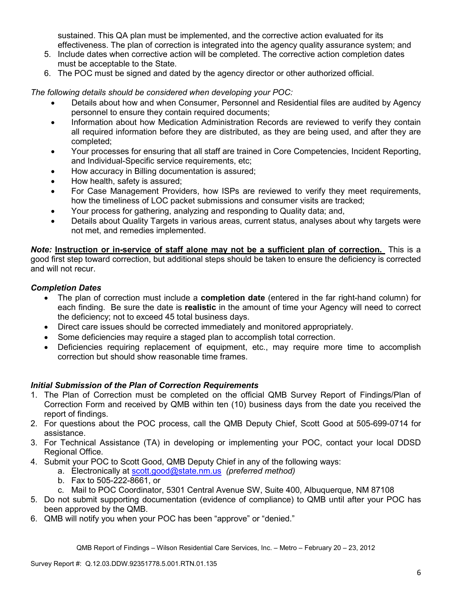sustained. This QA plan must be implemented, and the corrective action evaluated for its effectiveness. The plan of correction is integrated into the agency quality assurance system; and

- 5. Include dates when corrective action will be completed. The corrective action completion dates must be acceptable to the State.
- 6. The POC must be signed and dated by the agency director or other authorized official.

*The following details should be considered when developing your POC:* 

- Details about how and when Consumer, Personnel and Residential files are audited by Agency personnel to ensure they contain required documents;
- Information about how Medication Administration Records are reviewed to verify they contain all required information before they are distributed, as they are being used, and after they are completed;
- Your processes for ensuring that all staff are trained in Core Competencies, Incident Reporting, and Individual-Specific service requirements, etc;
- How accuracy in Billing documentation is assured;
- How health, safety is assured;
- For Case Management Providers, how ISPs are reviewed to verify they meet requirements, how the timeliness of LOC packet submissions and consumer visits are tracked;
- Your process for gathering, analyzing and responding to Quality data; and,
- Details about Quality Targets in various areas, current status, analyses about why targets were not met, and remedies implemented.

*Note:* **Instruction or in-service of staff alone may not be a sufficient plan of correction.** This is a good first step toward correction, but additional steps should be taken to ensure the deficiency is corrected and will not recur.

# *Completion Dates*

- The plan of correction must include a **completion date** (entered in the far right-hand column) for each finding. Be sure the date is **realistic** in the amount of time your Agency will need to correct the deficiency; not to exceed 45 total business days.
- Direct care issues should be corrected immediately and monitored appropriately.
- Some deficiencies may require a staged plan to accomplish total correction.
- Deficiencies requiring replacement of equipment, etc., may require more time to accomplish correction but should show reasonable time frames.

# *Initial Submission of the Plan of Correction Requirements*

- 1. The Plan of Correction must be completed on the official QMB Survey Report of Findings/Plan of Correction Form and received by QMB within ten (10) business days from the date you received the report of findings.
- 2. For questions about the POC process, call the QMB Deputy Chief, Scott Good at 505-699-0714 for assistance.
- 3. For Technical Assistance (TA) in developing or implementing your POC, contact your local DDSD Regional Office.
- 4. Submit your POC to Scott Good, QMB Deputy Chief in any of the following ways:
	- a. Electronically at scott.good@state.nm.us *(preferred method)*
	- b. Fax to 505-222-8661, or
	- c. Mail to POC Coordinator, 5301 Central Avenue SW, Suite 400, Albuquerque, NM 87108
- 5. Do not submit supporting documentation (evidence of compliance) to QMB until after your POC has been approved by the QMB.
- 6. QMB will notify you when your POC has been "approve" or "denied."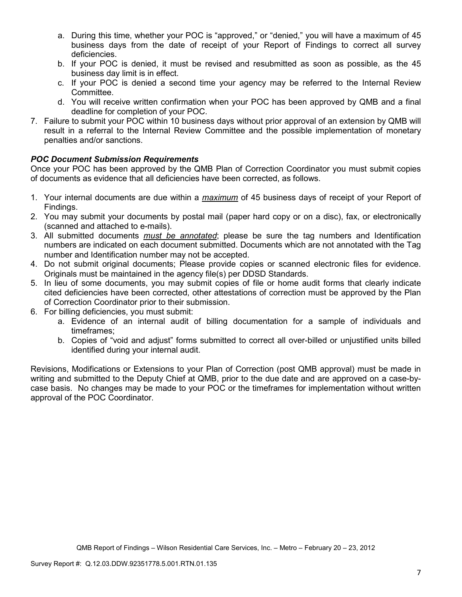- a. During this time, whether your POC is "approved," or "denied," you will have a maximum of 45 business days from the date of receipt of your Report of Findings to correct all survey deficiencies.
- b. If your POC is denied, it must be revised and resubmitted as soon as possible, as the 45 business day limit is in effect.
- c. If your POC is denied a second time your agency may be referred to the Internal Review Committee.
- d. You will receive written confirmation when your POC has been approved by QMB and a final deadline for completion of your POC.
- 7. Failure to submit your POC within 10 business days without prior approval of an extension by QMB will result in a referral to the Internal Review Committee and the possible implementation of monetary penalties and/or sanctions.

# *POC Document Submission Requirements*

Once your POC has been approved by the QMB Plan of Correction Coordinator you must submit copies of documents as evidence that all deficiencies have been corrected, as follows.

- 1. Your internal documents are due within a *maximum* of 45 business days of receipt of your Report of Findings.
- 2. You may submit your documents by postal mail (paper hard copy or on a disc), fax, or electronically (scanned and attached to e-mails).
- 3. All submitted documents *must be annotated*; please be sure the tag numbers and Identification numbers are indicated on each document submitted. Documents which are not annotated with the Tag number and Identification number may not be accepted.
- 4. Do not submit original documents; Please provide copies or scanned electronic files for evidence. Originals must be maintained in the agency file(s) per DDSD Standards.
- 5. In lieu of some documents, you may submit copies of file or home audit forms that clearly indicate cited deficiencies have been corrected, other attestations of correction must be approved by the Plan of Correction Coordinator prior to their submission.
- 6. For billing deficiencies, you must submit:
	- a. Evidence of an internal audit of billing documentation for a sample of individuals and timeframes;
	- b. Copies of "void and adjust" forms submitted to correct all over-billed or unjustified units billed identified during your internal audit.

Revisions, Modifications or Extensions to your Plan of Correction (post QMB approval) must be made in writing and submitted to the Deputy Chief at QMB, prior to the due date and are approved on a case-bycase basis. No changes may be made to your POC or the timeframes for implementation without written approval of the POC Coordinator.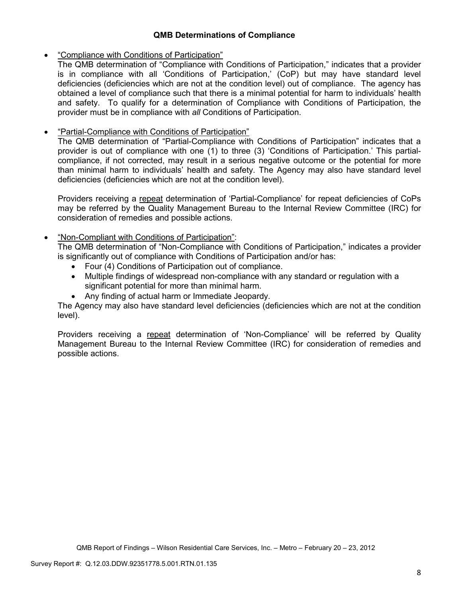# **QMB Determinations of Compliance**

## • "Compliance with Conditions of Participation"

The QMB determination of "Compliance with Conditions of Participation," indicates that a provider is in compliance with all 'Conditions of Participation,' (CoP) but may have standard level deficiencies (deficiencies which are not at the condition level) out of compliance. The agency has obtained a level of compliance such that there is a minimal potential for harm to individuals' health and safety. To qualify for a determination of Compliance with Conditions of Participation, the provider must be in compliance with *all* Conditions of Participation.

# • "Partial-Compliance with Conditions of Participation"

The QMB determination of "Partial-Compliance with Conditions of Participation" indicates that a provider is out of compliance with one (1) to three (3) 'Conditions of Participation.' This partialcompliance, if not corrected, may result in a serious negative outcome or the potential for more than minimal harm to individuals' health and safety. The Agency may also have standard level deficiencies (deficiencies which are not at the condition level).

Providers receiving a repeat determination of 'Partial-Compliance' for repeat deficiencies of CoPs may be referred by the Quality Management Bureau to the Internal Review Committee (IRC) for consideration of remedies and possible actions.

# • "Non-Compliant with Conditions of Participation":

The QMB determination of "Non-Compliance with Conditions of Participation," indicates a provider is significantly out of compliance with Conditions of Participation and/or has:

- Four (4) Conditions of Participation out of compliance.
- Multiple findings of widespread non-compliance with any standard or regulation with a significant potential for more than minimal harm.
- Any finding of actual harm or Immediate Jeopardy.

The Agency may also have standard level deficiencies (deficiencies which are not at the condition level).

Providers receiving a repeat determination of 'Non-Compliance' will be referred by Quality Management Bureau to the Internal Review Committee (IRC) for consideration of remedies and possible actions.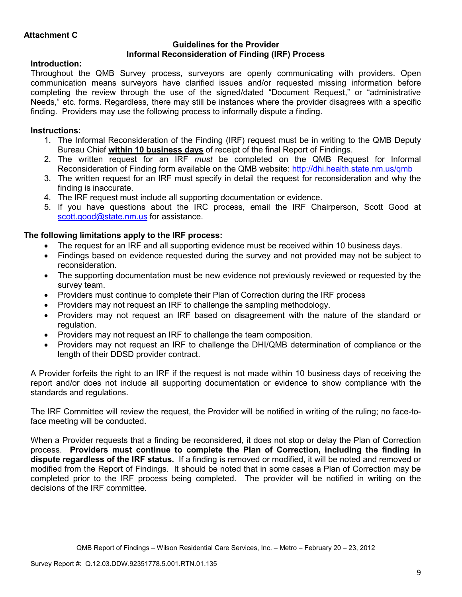## **Guidelines for the Provider Informal Reconsideration of Finding (IRF) Process**

# **Introduction:**

Throughout the QMB Survey process, surveyors are openly communicating with providers. Open communication means surveyors have clarified issues and/or requested missing information before completing the review through the use of the signed/dated "Document Request," or "administrative Needs," etc. forms. Regardless, there may still be instances where the provider disagrees with a specific finding. Providers may use the following process to informally dispute a finding.

# **Instructions:**

- 1. The Informal Reconsideration of the Finding (IRF) request must be in writing to the QMB Deputy Bureau Chief **within 10 business days** of receipt of the final Report of Findings.
- 2. The written request for an IRF *must* be completed on the QMB Request for Informal Reconsideration of Finding form available on the QMB website: http://dhi.health.state.nm.us/qmb
- 3. The written request for an IRF must specify in detail the request for reconsideration and why the finding is inaccurate.
- 4. The IRF request must include all supporting documentation or evidence.
- 5. If you have questions about the IRC process, email the IRF Chairperson, Scott Good at scott.good@state.nm.us for assistance.

# **The following limitations apply to the IRF process:**

- The request for an IRF and all supporting evidence must be received within 10 business days.
- Findings based on evidence requested during the survey and not provided may not be subject to reconsideration.
- The supporting documentation must be new evidence not previously reviewed or requested by the survey team.
- Providers must continue to complete their Plan of Correction during the IRF process
- Providers may not request an IRF to challenge the sampling methodology.
- Providers may not request an IRF based on disagreement with the nature of the standard or regulation.
- Providers may not request an IRF to challenge the team composition.
- Providers may not request an IRF to challenge the DHI/QMB determination of compliance or the length of their DDSD provider contract.

A Provider forfeits the right to an IRF if the request is not made within 10 business days of receiving the report and/or does not include all supporting documentation or evidence to show compliance with the standards and regulations.

The IRF Committee will review the request, the Provider will be notified in writing of the ruling; no face-toface meeting will be conducted.

When a Provider requests that a finding be reconsidered, it does not stop or delay the Plan of Correction process. **Providers must continue to complete the Plan of Correction, including the finding in dispute regardless of the IRF status.** If a finding is removed or modified, it will be noted and removed or modified from the Report of Findings. It should be noted that in some cases a Plan of Correction may be completed prior to the IRF process being completed. The provider will be notified in writing on the decisions of the IRF committee.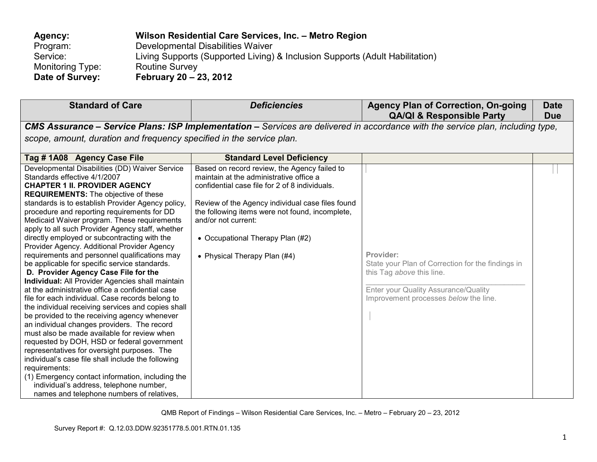| Agency:          | Wilson Residential Care Services, Inc. - Metro Region                        |
|------------------|------------------------------------------------------------------------------|
| Program:         | Developmental Disabilities Waiver                                            |
| Service:         | Living Supports (Supported Living) & Inclusion Supports (Adult Habilitation) |
| Monitoring Type: | <b>Routine Survey</b>                                                        |
| Date of Survey:  | February 20 – 23, 2012                                                       |

| <b>Standard of Care</b>                                                                                                                                                                                                                                                                                                                                                                                                                                                                                                                                                                                                                                                                                                                                                                                                                                                                                                                                                                                                                                                                                                                                                                                                                                                                                | <b>Deficiencies</b>                                                                                                                                                                                                                                                                                                                         | <b>Agency Plan of Correction, On-going</b><br><b>QA/QI &amp; Responsible Party</b>                                                                                           | <b>Date</b><br><b>Due</b> |  |  |
|--------------------------------------------------------------------------------------------------------------------------------------------------------------------------------------------------------------------------------------------------------------------------------------------------------------------------------------------------------------------------------------------------------------------------------------------------------------------------------------------------------------------------------------------------------------------------------------------------------------------------------------------------------------------------------------------------------------------------------------------------------------------------------------------------------------------------------------------------------------------------------------------------------------------------------------------------------------------------------------------------------------------------------------------------------------------------------------------------------------------------------------------------------------------------------------------------------------------------------------------------------------------------------------------------------|---------------------------------------------------------------------------------------------------------------------------------------------------------------------------------------------------------------------------------------------------------------------------------------------------------------------------------------------|------------------------------------------------------------------------------------------------------------------------------------------------------------------------------|---------------------------|--|--|
|                                                                                                                                                                                                                                                                                                                                                                                                                                                                                                                                                                                                                                                                                                                                                                                                                                                                                                                                                                                                                                                                                                                                                                                                                                                                                                        | <b>CMS Assurance – Service Plans: ISP Implementation –</b> Services are delivered in accordance with the service plan, including type,                                                                                                                                                                                                      |                                                                                                                                                                              |                           |  |  |
| scope, amount, duration and frequency specified in the service plan.                                                                                                                                                                                                                                                                                                                                                                                                                                                                                                                                                                                                                                                                                                                                                                                                                                                                                                                                                                                                                                                                                                                                                                                                                                   |                                                                                                                                                                                                                                                                                                                                             |                                                                                                                                                                              |                           |  |  |
| Tag #1A08 Agency Case File                                                                                                                                                                                                                                                                                                                                                                                                                                                                                                                                                                                                                                                                                                                                                                                                                                                                                                                                                                                                                                                                                                                                                                                                                                                                             | <b>Standard Level Deficiency</b>                                                                                                                                                                                                                                                                                                            |                                                                                                                                                                              |                           |  |  |
| Developmental Disabilities (DD) Waiver Service<br>Standards effective 4/1/2007<br><b>CHAPTER 1 II. PROVIDER AGENCY</b><br><b>REQUIREMENTS:</b> The objective of these<br>standards is to establish Provider Agency policy,<br>procedure and reporting requirements for DD<br>Medicaid Waiver program. These requirements<br>apply to all such Provider Agency staff, whether<br>directly employed or subcontracting with the<br>Provider Agency. Additional Provider Agency<br>requirements and personnel qualifications may<br>be applicable for specific service standards.<br>D. Provider Agency Case File for the<br>Individual: All Provider Agencies shall maintain<br>at the administrative office a confidential case<br>file for each individual. Case records belong to<br>the individual receiving services and copies shall<br>be provided to the receiving agency whenever<br>an individual changes providers. The record<br>must also be made available for review when<br>requested by DOH, HSD or federal government<br>representatives for oversight purposes. The<br>individual's case file shall include the following<br>requirements:<br>(1) Emergency contact information, including the<br>individual's address, telephone number,<br>names and telephone numbers of relatives, | Based on record review, the Agency failed to<br>maintain at the administrative office a<br>confidential case file for 2 of 8 individuals.<br>Review of the Agency individual case files found<br>the following items were not found, incomplete,<br>and/or not current:<br>• Occupational Therapy Plan (#2)<br>• Physical Therapy Plan (#4) | Provider:<br>State your Plan of Correction for the findings in<br>this Tag above this line.<br>Enter your Quality Assurance/Quality<br>Improvement processes below the line. |                           |  |  |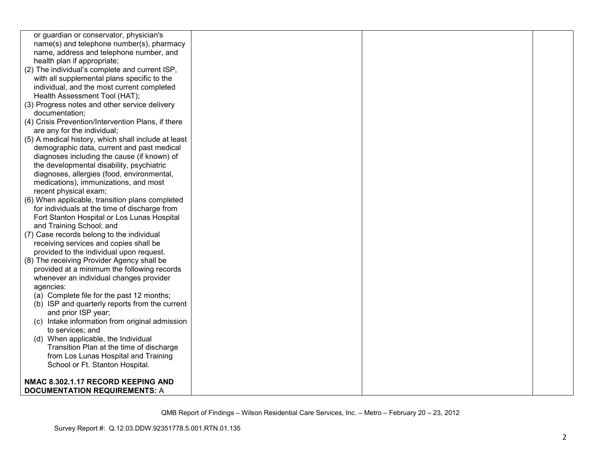| or guardian or conservator, physician's             |  |  |
|-----------------------------------------------------|--|--|
| name(s) and telephone number(s), pharmacy           |  |  |
| name, address and telephone number, and             |  |  |
| health plan if appropriate;                         |  |  |
| (2) The individual's complete and current ISP,      |  |  |
| with all supplemental plans specific to the         |  |  |
| individual, and the most current completed          |  |  |
| Health Assessment Tool (HAT);                       |  |  |
| (3) Progress notes and other service delivery       |  |  |
| documentation;                                      |  |  |
| (4) Crisis Prevention/Intervention Plans, if there  |  |  |
| are any for the individual;                         |  |  |
| (5) A medical history, which shall include at least |  |  |
| demographic data, current and past medical          |  |  |
| diagnoses including the cause (if known) of         |  |  |
| the developmental disability, psychiatric           |  |  |
| diagnoses, allergies (food, environmental,          |  |  |
| medications), immunizations, and most               |  |  |
| recent physical exam;                               |  |  |
| (6) When applicable, transition plans completed     |  |  |
| for individuals at the time of discharge from       |  |  |
| Fort Stanton Hospital or Los Lunas Hospital         |  |  |
| and Training School; and                            |  |  |
| (7) Case records belong to the individual           |  |  |
| receiving services and copies shall be              |  |  |
| provided to the individual upon request.            |  |  |
| (8) The receiving Provider Agency shall be          |  |  |
| provided at a minimum the following records         |  |  |
| whenever an individual changes provider             |  |  |
| agencies:                                           |  |  |
| (a) Complete file for the past 12 months;           |  |  |
| (b) ISP and quarterly reports from the current      |  |  |
| and prior ISP year;                                 |  |  |
| (c) Intake information from original admission      |  |  |
| to services; and                                    |  |  |
| (d) When applicable, the Individual                 |  |  |
| Transition Plan at the time of discharge            |  |  |
| from Los Lunas Hospital and Training                |  |  |
| School or Ft. Stanton Hospital.                     |  |  |
|                                                     |  |  |
| NMAC 8.302.1.17 RECORD KEEPING AND                  |  |  |
| <b>DOCUMENTATION REQUIREMENTS: A</b>                |  |  |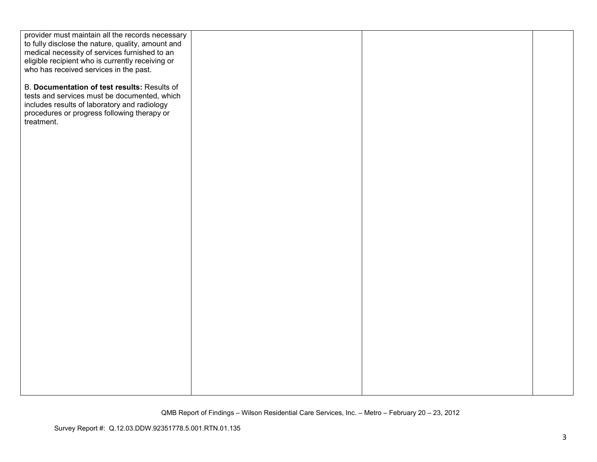| provider must maintain all the records necessary  |  |  |
|---------------------------------------------------|--|--|
| to fully disclose the nature, quality, amount and |  |  |
| medical necessity of services furnished to an     |  |  |
| eligible recipient who is currently receiving or  |  |  |
| who has received services in the past.            |  |  |
|                                                   |  |  |
| B. Documentation of test results: Results of      |  |  |
|                                                   |  |  |
| tests and services must be documented, which      |  |  |
| includes results of laboratory and radiology      |  |  |
| procedures or progress following therapy or       |  |  |
| treatment.                                        |  |  |
|                                                   |  |  |
|                                                   |  |  |
|                                                   |  |  |
|                                                   |  |  |
|                                                   |  |  |
|                                                   |  |  |
|                                                   |  |  |
|                                                   |  |  |
|                                                   |  |  |
|                                                   |  |  |
|                                                   |  |  |
|                                                   |  |  |
|                                                   |  |  |
|                                                   |  |  |
|                                                   |  |  |
|                                                   |  |  |
|                                                   |  |  |
|                                                   |  |  |
|                                                   |  |  |
|                                                   |  |  |
|                                                   |  |  |
|                                                   |  |  |
|                                                   |  |  |
|                                                   |  |  |
|                                                   |  |  |
|                                                   |  |  |
|                                                   |  |  |
|                                                   |  |  |
|                                                   |  |  |
|                                                   |  |  |
|                                                   |  |  |
|                                                   |  |  |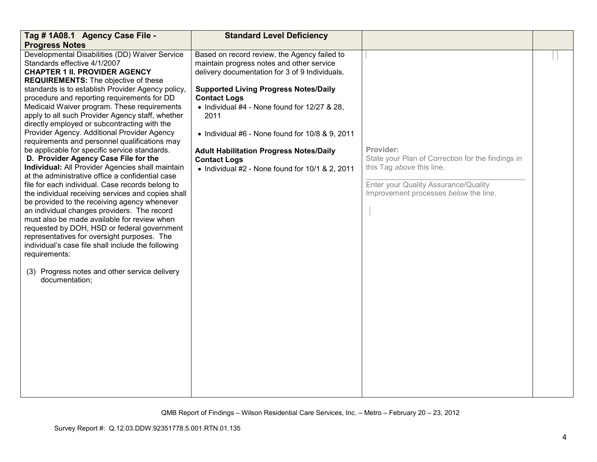| Tag # 1A08.1 Agency Case File -                                                                                                                                                                                                                                                                                                                                                                                                                                                                                                                                                                                                                                                               | <b>Standard Level Deficiency</b>                                                                                                                                                            |                                                                                                                                                                              |  |
|-----------------------------------------------------------------------------------------------------------------------------------------------------------------------------------------------------------------------------------------------------------------------------------------------------------------------------------------------------------------------------------------------------------------------------------------------------------------------------------------------------------------------------------------------------------------------------------------------------------------------------------------------------------------------------------------------|---------------------------------------------------------------------------------------------------------------------------------------------------------------------------------------------|------------------------------------------------------------------------------------------------------------------------------------------------------------------------------|--|
| <b>Progress Notes</b>                                                                                                                                                                                                                                                                                                                                                                                                                                                                                                                                                                                                                                                                         |                                                                                                                                                                                             |                                                                                                                                                                              |  |
| Developmental Disabilities (DD) Waiver Service<br>Standards effective 4/1/2007<br><b>CHAPTER 1 II. PROVIDER AGENCY</b><br><b>REQUIREMENTS:</b> The objective of these<br>standards is to establish Provider Agency policy,                                                                                                                                                                                                                                                                                                                                                                                                                                                                    | Based on record review, the Agency failed to<br>maintain progress notes and other service<br>delivery documentation for 3 of 9 Individuals.<br><b>Supported Living Progress Notes/Daily</b> |                                                                                                                                                                              |  |
| procedure and reporting requirements for DD<br>Medicaid Waiver program. These requirements<br>apply to all such Provider Agency staff, whether<br>directly employed or subcontracting with the<br>Provider Agency. Additional Provider Agency                                                                                                                                                                                                                                                                                                                                                                                                                                                 | <b>Contact Logs</b><br>• Individual #4 - None found for 12/27 & 28,<br>2011<br>• Individual #6 - None found for 10/8 & 9, 2011                                                              |                                                                                                                                                                              |  |
| requirements and personnel qualifications may                                                                                                                                                                                                                                                                                                                                                                                                                                                                                                                                                                                                                                                 |                                                                                                                                                                                             |                                                                                                                                                                              |  |
| be applicable for specific service standards.<br>D. Provider Agency Case File for the<br>Individual: All Provider Agencies shall maintain<br>at the administrative office a confidential case<br>file for each individual. Case records belong to<br>the individual receiving services and copies shall<br>be provided to the receiving agency whenever<br>an individual changes providers. The record<br>must also be made available for review when<br>requested by DOH, HSD or federal government<br>representatives for oversight purposes. The<br>individual's case file shall include the following<br>requirements:<br>(3) Progress notes and other service delivery<br>documentation; | <b>Adult Habilitation Progress Notes/Daily</b><br><b>Contact Logs</b><br>• Individual #2 - None found for 10/1 & 2, 2011                                                                    | Provider:<br>State your Plan of Correction for the findings in<br>this Tag above this line.<br>Enter your Quality Assurance/Quality<br>Improvement processes below the line. |  |
|                                                                                                                                                                                                                                                                                                                                                                                                                                                                                                                                                                                                                                                                                               |                                                                                                                                                                                             |                                                                                                                                                                              |  |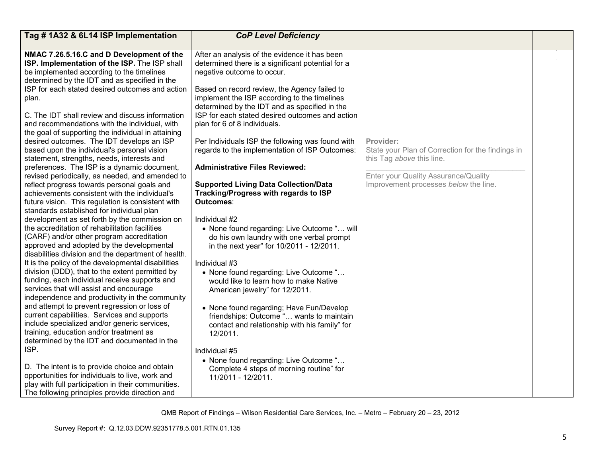| Tag #1A32 & 6L14 ISP Implementation                                                                                                                                                                                                                                                                                                                                                                                                                                                                                                                                                                                                                                                                                                                                                                                                                                                                                                                                                                                                                                                                                                                                                                                                                                                                                                                                                                                                                                                                                                                                                                                                                                                                                                                                                | <b>CoP Level Deficiency</b>                                                                                                                                                                                                                                                                                                                                                                                                                                                                                                                                                                                                                                                                                                                                                                                                                                                                                                                                                                                                                                                                                                                                                                                 |                                                                                                                                                                              |  |
|------------------------------------------------------------------------------------------------------------------------------------------------------------------------------------------------------------------------------------------------------------------------------------------------------------------------------------------------------------------------------------------------------------------------------------------------------------------------------------------------------------------------------------------------------------------------------------------------------------------------------------------------------------------------------------------------------------------------------------------------------------------------------------------------------------------------------------------------------------------------------------------------------------------------------------------------------------------------------------------------------------------------------------------------------------------------------------------------------------------------------------------------------------------------------------------------------------------------------------------------------------------------------------------------------------------------------------------------------------------------------------------------------------------------------------------------------------------------------------------------------------------------------------------------------------------------------------------------------------------------------------------------------------------------------------------------------------------------------------------------------------------------------------|-------------------------------------------------------------------------------------------------------------------------------------------------------------------------------------------------------------------------------------------------------------------------------------------------------------------------------------------------------------------------------------------------------------------------------------------------------------------------------------------------------------------------------------------------------------------------------------------------------------------------------------------------------------------------------------------------------------------------------------------------------------------------------------------------------------------------------------------------------------------------------------------------------------------------------------------------------------------------------------------------------------------------------------------------------------------------------------------------------------------------------------------------------------------------------------------------------------|------------------------------------------------------------------------------------------------------------------------------------------------------------------------------|--|
| NMAC 7.26.5.16.C and D Development of the<br>ISP. Implementation of the ISP. The ISP shall<br>be implemented according to the timelines<br>determined by the IDT and as specified in the<br>ISP for each stated desired outcomes and action<br>plan.<br>C. The IDT shall review and discuss information<br>and recommendations with the individual, with<br>the goal of supporting the individual in attaining<br>desired outcomes. The IDT develops an ISP<br>based upon the individual's personal vision<br>statement, strengths, needs, interests and<br>preferences. The ISP is a dynamic document,<br>revised periodically, as needed, and amended to<br>reflect progress towards personal goals and<br>achievements consistent with the individual's<br>future vision. This regulation is consistent with<br>standards established for individual plan<br>development as set forth by the commission on<br>the accreditation of rehabilitation facilities<br>(CARF) and/or other program accreditation<br>approved and adopted by the developmental<br>disabilities division and the department of health.<br>It is the policy of the developmental disabilities<br>division (DDD), that to the extent permitted by<br>funding, each individual receive supports and<br>services that will assist and encourage<br>independence and productivity in the community<br>and attempt to prevent regression or loss of<br>current capabilities. Services and supports<br>include specialized and/or generic services,<br>training, education and/or treatment as<br>determined by the IDT and documented in the<br>ISP.<br>D. The intent is to provide choice and obtain<br>opportunities for individuals to live, work and<br>play with full participation in their communities. | After an analysis of the evidence it has been<br>determined there is a significant potential for a<br>negative outcome to occur.<br>Based on record review, the Agency failed to<br>implement the ISP according to the timelines<br>determined by the IDT and as specified in the<br>ISP for each stated desired outcomes and action<br>plan for 6 of 8 individuals.<br>Per Individuals ISP the following was found with<br>regards to the implementation of ISP Outcomes:<br><b>Administrative Files Reviewed:</b><br><b>Supported Living Data Collection/Data</b><br>Tracking/Progress with regards to ISP<br>Outcomes:<br>Individual #2<br>• None found regarding: Live Outcome " will<br>do his own laundry with one verbal prompt<br>in the next year" for 10/2011 - 12/2011.<br>Individual #3<br>• None found regarding: Live Outcome "<br>would like to learn how to make Native<br>American jewelry" for 12/2011.<br>• None found regarding; Have Fun/Develop<br>friendships: Outcome " wants to maintain<br>contact and relationship with his family" for<br>12/2011.<br>Individual #5<br>• None found regarding: Live Outcome "<br>Complete 4 steps of morning routine" for<br>11/2011 - 12/2011. | Provider:<br>State your Plan of Correction for the findings in<br>this Tag above this line.<br>Enter your Quality Assurance/Quality<br>Improvement processes below the line. |  |
| The following principles provide direction and                                                                                                                                                                                                                                                                                                                                                                                                                                                                                                                                                                                                                                                                                                                                                                                                                                                                                                                                                                                                                                                                                                                                                                                                                                                                                                                                                                                                                                                                                                                                                                                                                                                                                                                                     |                                                                                                                                                                                                                                                                                                                                                                                                                                                                                                                                                                                                                                                                                                                                                                                                                                                                                                                                                                                                                                                                                                                                                                                                             |                                                                                                                                                                              |  |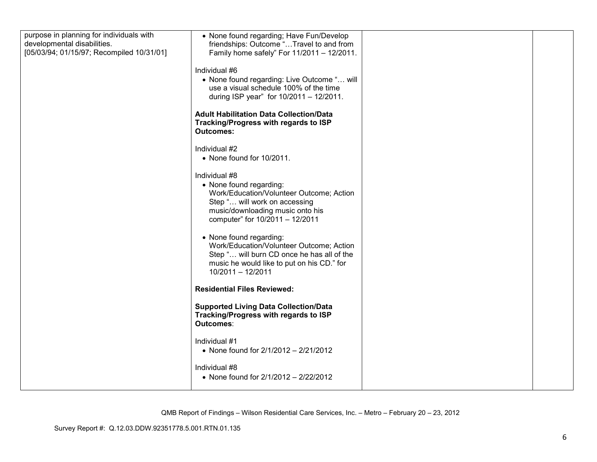| purpose in planning for individuals with<br>developmental disabilities. | • None found regarding; Have Fun/Develop<br>friendships: Outcome "Travel to and from                                                                                                         |  |
|-------------------------------------------------------------------------|----------------------------------------------------------------------------------------------------------------------------------------------------------------------------------------------|--|
| [05/03/94; 01/15/97; Recompiled 10/31/01]                               | Family home safely" For 11/2011 - 12/2011.<br>Individual #6                                                                                                                                  |  |
|                                                                         | • None found regarding: Live Outcome " will<br>use a visual schedule 100% of the time<br>during ISP year" for 10/2011 - 12/2011.                                                             |  |
|                                                                         | <b>Adult Habilitation Data Collection/Data</b><br>Tracking/Progress with regards to ISP<br><b>Outcomes:</b>                                                                                  |  |
|                                                                         | Individual #2<br>• None found for 10/2011.                                                                                                                                                   |  |
|                                                                         | Individual #8<br>• None found regarding:<br>Work/Education/Volunteer Outcome; Action<br>Step " will work on accessing<br>music/downloading music onto his<br>computer" for 10/2011 - 12/2011 |  |
|                                                                         | • None found regarding:<br>Work/Education/Volunteer Outcome; Action<br>Step " will burn CD once he has all of the<br>music he would like to put on his CD." for<br>10/2011 - 12/2011         |  |
|                                                                         | <b>Residential Files Reviewed:</b>                                                                                                                                                           |  |
|                                                                         | <b>Supported Living Data Collection/Data</b><br>Tracking/Progress with regards to ISP<br>Outcomes:                                                                                           |  |
|                                                                         | Individual #1<br>• None found for 2/1/2012 - 2/21/2012                                                                                                                                       |  |
|                                                                         | Individual #8<br>• None found for $2/1/2012 - 2/22/2012$                                                                                                                                     |  |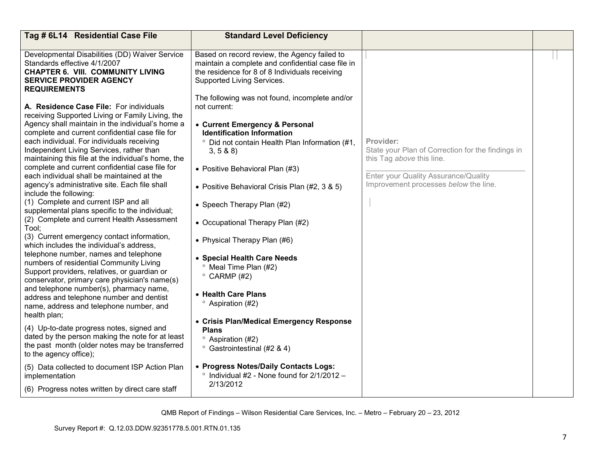| Tag # 6L14 Residential Case File                                                                                                                                                                                                                                                                                                                                                                                                                                                                                                                                                                                                                                                                                                                                                                                                                                                                                                                                                                                                                                                                                                                                                                                                                                                                                                                                                                                      | <b>Standard Level Deficiency</b>                                                                                                                                                                                                                                                                                                                                                                                                                                                                                                                                                                                                                                                                                                                                                                              |                                                                                                                                                                              |  |
|-----------------------------------------------------------------------------------------------------------------------------------------------------------------------------------------------------------------------------------------------------------------------------------------------------------------------------------------------------------------------------------------------------------------------------------------------------------------------------------------------------------------------------------------------------------------------------------------------------------------------------------------------------------------------------------------------------------------------------------------------------------------------------------------------------------------------------------------------------------------------------------------------------------------------------------------------------------------------------------------------------------------------------------------------------------------------------------------------------------------------------------------------------------------------------------------------------------------------------------------------------------------------------------------------------------------------------------------------------------------------------------------------------------------------|---------------------------------------------------------------------------------------------------------------------------------------------------------------------------------------------------------------------------------------------------------------------------------------------------------------------------------------------------------------------------------------------------------------------------------------------------------------------------------------------------------------------------------------------------------------------------------------------------------------------------------------------------------------------------------------------------------------------------------------------------------------------------------------------------------------|------------------------------------------------------------------------------------------------------------------------------------------------------------------------------|--|
| Developmental Disabilities (DD) Waiver Service<br>Standards effective 4/1/2007<br><b>CHAPTER 6. VIII. COMMUNITY LIVING</b><br><b>SERVICE PROVIDER AGENCY</b><br><b>REQUIREMENTS</b>                                                                                                                                                                                                                                                                                                                                                                                                                                                                                                                                                                                                                                                                                                                                                                                                                                                                                                                                                                                                                                                                                                                                                                                                                                   | Based on record review, the Agency failed to<br>maintain a complete and confidential case file in<br>the residence for 8 of 8 Individuals receiving<br>Supported Living Services.                                                                                                                                                                                                                                                                                                                                                                                                                                                                                                                                                                                                                             |                                                                                                                                                                              |  |
| A. Residence Case File: For individuals<br>receiving Supported Living or Family Living, the<br>Agency shall maintain in the individual's home a<br>complete and current confidential case file for<br>each individual. For individuals receiving<br>Independent Living Services, rather than<br>maintaining this file at the individual's home, the<br>complete and current confidential case file for<br>each individual shall be maintained at the<br>agency's administrative site. Each file shall<br>include the following:<br>(1) Complete and current ISP and all<br>supplemental plans specific to the individual;<br>(2) Complete and current Health Assessment<br>Tool;<br>(3) Current emergency contact information,<br>which includes the individual's address,<br>telephone number, names and telephone<br>numbers of residential Community Living<br>Support providers, relatives, or guardian or<br>conservator, primary care physician's name(s)<br>and telephone number(s), pharmacy name,<br>address and telephone number and dentist<br>name, address and telephone number, and<br>health plan;<br>(4) Up-to-date progress notes, signed and<br>dated by the person making the note for at least<br>the past month (older notes may be transferred<br>to the agency office);<br>(5) Data collected to document ISP Action Plan<br>implementation<br>(6) Progress notes written by direct care staff | The following was not found, incomplete and/or<br>not current:<br>• Current Emergency & Personal<br><b>Identification Information</b><br><sup>o</sup> Did not contain Health Plan Information (#1,<br>3, 5 & 8 & 8<br>• Positive Behavioral Plan (#3)<br>• Positive Behavioral Crisis Plan (#2, 3 & 5)<br>• Speech Therapy Plan (#2)<br>• Occupational Therapy Plan (#2)<br>• Physical Therapy Plan (#6)<br>• Special Health Care Needs<br><sup>o</sup> Meal Time Plan (#2)<br>$\degree$ CARMP (#2)<br>• Health Care Plans<br><sup>o</sup> Aspiration (#2)<br>• Crisis Plan/Medical Emergency Response<br><b>Plans</b><br><sup>o</sup> Aspiration (#2)<br><sup>o</sup> Gastrointestinal (#2 & 4)<br>• Progress Notes/Daily Contacts Logs:<br>$\degree$ Individual #2 - None found for 2/1/2012 -<br>2/13/2012 | Provider:<br>State your Plan of Correction for the findings in<br>this Tag above this line.<br>Enter your Quality Assurance/Quality<br>Improvement processes below the line. |  |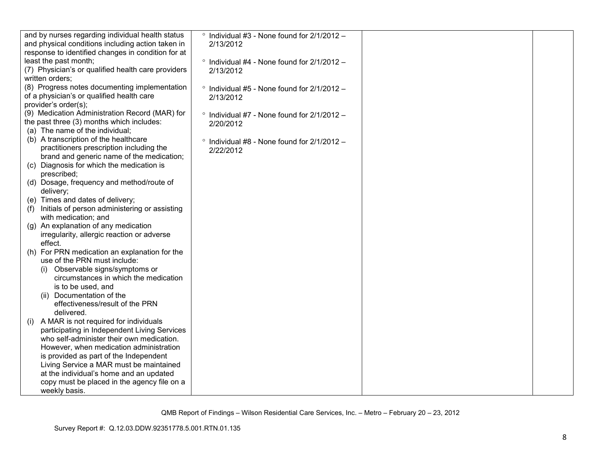| and by nurses regarding individual health status<br>and physical conditions including action taken in | $\degree$ Individual #3 - None found for 2/1/2012 -<br>2/13/2012 |  |
|-------------------------------------------------------------------------------------------------------|------------------------------------------------------------------|--|
| response to identified changes in condition for at                                                    |                                                                  |  |
| least the past month;                                                                                 | $\degree$ Individual #4 - None found for 2/1/2012 -              |  |
| (7) Physician's or qualified health care providers                                                    | 2/13/2012                                                        |  |
| written orders:                                                                                       |                                                                  |  |
| (8) Progress notes documenting implementation                                                         |                                                                  |  |
| of a physician's or qualified health care                                                             | $\degree$ Individual #5 - None found for 2/1/2012 -              |  |
| provider's order(s);                                                                                  | 2/13/2012                                                        |  |
| (9) Medication Administration Record (MAR) for                                                        |                                                                  |  |
|                                                                                                       | $\degree$ Individual #7 - None found for 2/1/2012 -              |  |
| the past three (3) months which includes:                                                             | 2/20/2012                                                        |  |
| (a) The name of the individual;                                                                       |                                                                  |  |
| (b) A transcription of the healthcare                                                                 | $\degree$ Individual #8 - None found for 2/1/2012 -              |  |
| practitioners prescription including the                                                              | 2/22/2012                                                        |  |
| brand and generic name of the medication;                                                             |                                                                  |  |
| (c) Diagnosis for which the medication is                                                             |                                                                  |  |
| prescribed;                                                                                           |                                                                  |  |
| (d) Dosage, frequency and method/route of                                                             |                                                                  |  |
| delivery;                                                                                             |                                                                  |  |
| (e) Times and dates of delivery;                                                                      |                                                                  |  |
| Initials of person administering or assisting<br>(1)                                                  |                                                                  |  |
| with medication; and                                                                                  |                                                                  |  |
| (g) An explanation of any medication                                                                  |                                                                  |  |
| irregularity, allergic reaction or adverse                                                            |                                                                  |  |
| effect.                                                                                               |                                                                  |  |
| (h) For PRN medication an explanation for the                                                         |                                                                  |  |
| use of the PRN must include:                                                                          |                                                                  |  |
| (i) Observable signs/symptoms or                                                                      |                                                                  |  |
| circumstances in which the medication                                                                 |                                                                  |  |
| is to be used, and                                                                                    |                                                                  |  |
| (ii) Documentation of the                                                                             |                                                                  |  |
| effectiveness/result of the PRN                                                                       |                                                                  |  |
| delivered.                                                                                            |                                                                  |  |
| A MAR is not required for individuals<br>(i)                                                          |                                                                  |  |
| participating in Independent Living Services                                                          |                                                                  |  |
| who self-administer their own medication.                                                             |                                                                  |  |
| However, when medication administration                                                               |                                                                  |  |
| is provided as part of the Independent                                                                |                                                                  |  |
| Living Service a MAR must be maintained                                                               |                                                                  |  |
| at the individual's home and an updated                                                               |                                                                  |  |
| copy must be placed in the agency file on a                                                           |                                                                  |  |
| weekly basis.                                                                                         |                                                                  |  |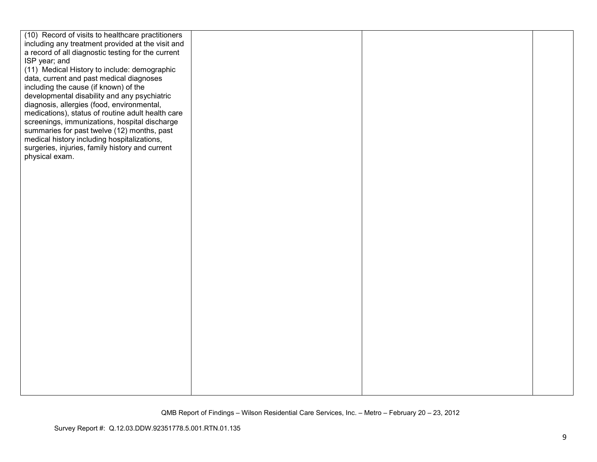| (10) Record of visits to healthcare practitioners  |  |  |
|----------------------------------------------------|--|--|
| including any treatment provided at the visit and  |  |  |
| a record of all diagnostic testing for the current |  |  |
| ISP year; and                                      |  |  |
| (11) Medical History to include: demographic       |  |  |
| data, current and past medical diagnoses           |  |  |
| including the cause (if known) of the              |  |  |
| developmental disability and any psychiatric       |  |  |
| diagnosis, allergies (food, environmental,         |  |  |
| medications), status of routine adult health care  |  |  |
| screenings, immunizations, hospital discharge      |  |  |
| summaries for past twelve (12) months, past        |  |  |
| medical history including hospitalizations,        |  |  |
| surgeries, injuries, family history and current    |  |  |
| physical exam.                                     |  |  |
|                                                    |  |  |
|                                                    |  |  |
|                                                    |  |  |
|                                                    |  |  |
|                                                    |  |  |
|                                                    |  |  |
|                                                    |  |  |
|                                                    |  |  |
|                                                    |  |  |
|                                                    |  |  |
|                                                    |  |  |
|                                                    |  |  |
|                                                    |  |  |
|                                                    |  |  |
|                                                    |  |  |
|                                                    |  |  |
|                                                    |  |  |
|                                                    |  |  |
|                                                    |  |  |
|                                                    |  |  |
|                                                    |  |  |
|                                                    |  |  |
|                                                    |  |  |
|                                                    |  |  |
|                                                    |  |  |
|                                                    |  |  |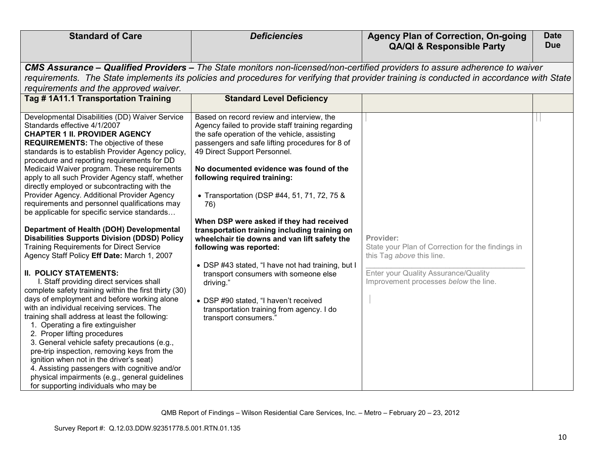| <b>Standard of Care</b>                                                                                                                                                                                                                                                                                                                                                                                                                                                                                                                                                                                                                                                                                                                                                                                                                                                                                                                                                                                                                                                                                                                                                                                                                                                                                                                                                                                                          | <b>Deficiencies</b>                                                                                                                                                                                                                                                                                                                                                                                                                                                                                                                                                                                                                                                                                                                                                  | <b>Agency Plan of Correction, On-going</b><br><b>QA/QI &amp; Responsible Party</b>                                                                                           | <b>Date</b><br><b>Due</b> |  |  |
|----------------------------------------------------------------------------------------------------------------------------------------------------------------------------------------------------------------------------------------------------------------------------------------------------------------------------------------------------------------------------------------------------------------------------------------------------------------------------------------------------------------------------------------------------------------------------------------------------------------------------------------------------------------------------------------------------------------------------------------------------------------------------------------------------------------------------------------------------------------------------------------------------------------------------------------------------------------------------------------------------------------------------------------------------------------------------------------------------------------------------------------------------------------------------------------------------------------------------------------------------------------------------------------------------------------------------------------------------------------------------------------------------------------------------------|----------------------------------------------------------------------------------------------------------------------------------------------------------------------------------------------------------------------------------------------------------------------------------------------------------------------------------------------------------------------------------------------------------------------------------------------------------------------------------------------------------------------------------------------------------------------------------------------------------------------------------------------------------------------------------------------------------------------------------------------------------------------|------------------------------------------------------------------------------------------------------------------------------------------------------------------------------|---------------------------|--|--|
| requirements and the approved waiver.                                                                                                                                                                                                                                                                                                                                                                                                                                                                                                                                                                                                                                                                                                                                                                                                                                                                                                                                                                                                                                                                                                                                                                                                                                                                                                                                                                                            | <b>CMS Assurance – Qualified Providers –</b> The State monitors non-licensed/non-certified providers to assure adherence to waiver<br>requirements. The State implements its policies and procedures for verifying that provider training is conducted in accordance with State                                                                                                                                                                                                                                                                                                                                                                                                                                                                                      |                                                                                                                                                                              |                           |  |  |
| Tag #1A11.1 Transportation Training                                                                                                                                                                                                                                                                                                                                                                                                                                                                                                                                                                                                                                                                                                                                                                                                                                                                                                                                                                                                                                                                                                                                                                                                                                                                                                                                                                                              | <b>Standard Level Deficiency</b>                                                                                                                                                                                                                                                                                                                                                                                                                                                                                                                                                                                                                                                                                                                                     |                                                                                                                                                                              |                           |  |  |
| Developmental Disabilities (DD) Waiver Service<br>Standards effective 4/1/2007<br><b>CHAPTER 1 II. PROVIDER AGENCY</b><br><b>REQUIREMENTS:</b> The objective of these<br>standards is to establish Provider Agency policy,<br>procedure and reporting requirements for DD<br>Medicaid Waiver program. These requirements<br>apply to all such Provider Agency staff, whether<br>directly employed or subcontracting with the<br>Provider Agency. Additional Provider Agency<br>requirements and personnel qualifications may<br>be applicable for specific service standards<br>Department of Health (DOH) Developmental<br><b>Disabilities Supports Division (DDSD) Policy</b><br><b>Training Requirements for Direct Service</b><br>Agency Staff Policy Eff Date: March 1, 2007<br><b>II. POLICY STATEMENTS:</b><br>I. Staff providing direct services shall<br>complete safety training within the first thirty (30)<br>days of employment and before working alone<br>with an individual receiving services. The<br>training shall address at least the following:<br>1. Operating a fire extinguisher<br>2. Proper lifting procedures<br>3. General vehicle safety precautions (e.g.,<br>pre-trip inspection, removing keys from the<br>ignition when not in the driver's seat)<br>4. Assisting passengers with cognitive and/or<br>physical impairments (e.g., general guidelines<br>for supporting individuals who may be | Based on record review and interview, the<br>Agency failed to provide staff training regarding<br>the safe operation of the vehicle, assisting<br>passengers and safe lifting procedures for 8 of<br>49 Direct Support Personnel.<br>No documented evidence was found of the<br>following required training:<br>• Transportation (DSP #44, 51, 71, 72, 75 &<br>76)<br>When DSP were asked if they had received<br>transportation training including training on<br>wheelchair tie downs and van lift safety the<br>following was reported:<br>• DSP #43 stated, "I have not had training, but I<br>transport consumers with someone else<br>driving."<br>• DSP #90 stated, "I haven't received<br>transportation training from agency. I do<br>transport consumers.' | Provider:<br>State your Plan of Correction for the findings in<br>this Tag above this line.<br>Enter your Quality Assurance/Quality<br>Improvement processes below the line. |                           |  |  |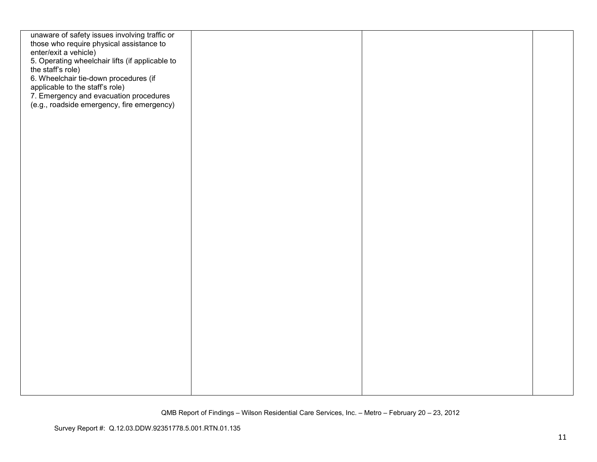| unaware of safety issues involving traffic or                     |  |  |
|-------------------------------------------------------------------|--|--|
| those who require physical assistance to<br>enter/exit a vehicle) |  |  |
| 5. Operating wheelchair lifts (if applicable to                   |  |  |
| the staff's role)                                                 |  |  |
| 6. Wheelchair tie-down procedures (if                             |  |  |
| applicable to the staff's role)                                   |  |  |
| 7. Emergency and evacuation procedures                            |  |  |
| (e.g., roadside emergency, fire emergency)                        |  |  |
|                                                                   |  |  |
|                                                                   |  |  |
|                                                                   |  |  |
|                                                                   |  |  |
|                                                                   |  |  |
|                                                                   |  |  |
|                                                                   |  |  |
|                                                                   |  |  |
|                                                                   |  |  |
|                                                                   |  |  |
|                                                                   |  |  |
|                                                                   |  |  |
|                                                                   |  |  |
|                                                                   |  |  |
|                                                                   |  |  |
|                                                                   |  |  |
|                                                                   |  |  |
|                                                                   |  |  |
|                                                                   |  |  |
|                                                                   |  |  |
|                                                                   |  |  |
|                                                                   |  |  |
|                                                                   |  |  |
|                                                                   |  |  |
|                                                                   |  |  |
|                                                                   |  |  |
|                                                                   |  |  |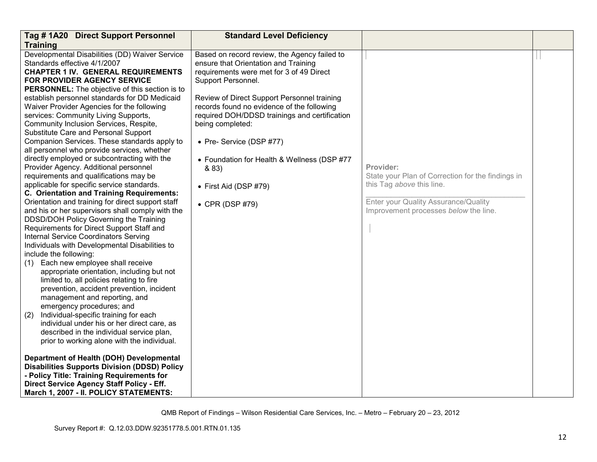| Tag #1A20 Direct Support Personnel                    | <b>Standard Level Deficiency</b>              |                                                   |  |
|-------------------------------------------------------|-----------------------------------------------|---------------------------------------------------|--|
| <b>Training</b>                                       |                                               |                                                   |  |
| Developmental Disabilities (DD) Waiver Service        | Based on record review, the Agency failed to  |                                                   |  |
| Standards effective 4/1/2007                          | ensure that Orientation and Training          |                                                   |  |
| <b>CHAPTER 1 IV. GENERAL REQUIREMENTS</b>             | requirements were met for 3 of 49 Direct      |                                                   |  |
| <b>FOR PROVIDER AGENCY SERVICE</b>                    | Support Personnel.                            |                                                   |  |
| <b>PERSONNEL:</b> The objective of this section is to |                                               |                                                   |  |
| establish personnel standards for DD Medicaid         | Review of Direct Support Personnel training   |                                                   |  |
| Waiver Provider Agencies for the following            | records found no evidence of the following    |                                                   |  |
| services: Community Living Supports,                  | required DOH/DDSD trainings and certification |                                                   |  |
| Community Inclusion Services, Respite,                | being completed:                              |                                                   |  |
| Substitute Care and Personal Support                  |                                               |                                                   |  |
| Companion Services. These standards apply to          | • Pre- Service (DSP #77)                      |                                                   |  |
| all personnel who provide services, whether           |                                               |                                                   |  |
| directly employed or subcontracting with the          | • Foundation for Health & Wellness (DSP #77   |                                                   |  |
| Provider Agency. Additional personnel                 | & 83)                                         | Provider:                                         |  |
| requirements and qualifications may be                |                                               | State your Plan of Correction for the findings in |  |
| applicable for specific service standards.            | $\bullet$ First Aid (DSP #79)                 | this Tag above this line.                         |  |
| C. Orientation and Training Requirements:             |                                               |                                                   |  |
| Orientation and training for direct support staff     | $\bullet$ CPR (DSP #79)                       | Enter your Quality Assurance/Quality              |  |
| and his or her supervisors shall comply with the      |                                               | Improvement processes below the line.             |  |
| DDSD/DOH Policy Governing the Training                |                                               |                                                   |  |
| Requirements for Direct Support Staff and             |                                               |                                                   |  |
| <b>Internal Service Coordinators Serving</b>          |                                               |                                                   |  |
| Individuals with Developmental Disabilities to        |                                               |                                                   |  |
| include the following:                                |                                               |                                                   |  |
| Each new employee shall receive<br>(1)                |                                               |                                                   |  |
| appropriate orientation, including but not            |                                               |                                                   |  |
| limited to, all policies relating to fire             |                                               |                                                   |  |
| prevention, accident prevention, incident             |                                               |                                                   |  |
| management and reporting, and                         |                                               |                                                   |  |
| emergency procedures; and                             |                                               |                                                   |  |
| Individual-specific training for each<br>(2)          |                                               |                                                   |  |
| individual under his or her direct care, as           |                                               |                                                   |  |
| described in the individual service plan,             |                                               |                                                   |  |
| prior to working alone with the individual.           |                                               |                                                   |  |
|                                                       |                                               |                                                   |  |
| Department of Health (DOH) Developmental              |                                               |                                                   |  |
| <b>Disabilities Supports Division (DDSD) Policy</b>   |                                               |                                                   |  |
| - Policy Title: Training Requirements for             |                                               |                                                   |  |
| Direct Service Agency Staff Policy - Eff.             |                                               |                                                   |  |
| March 1, 2007 - II. POLICY STATEMENTS:                |                                               |                                                   |  |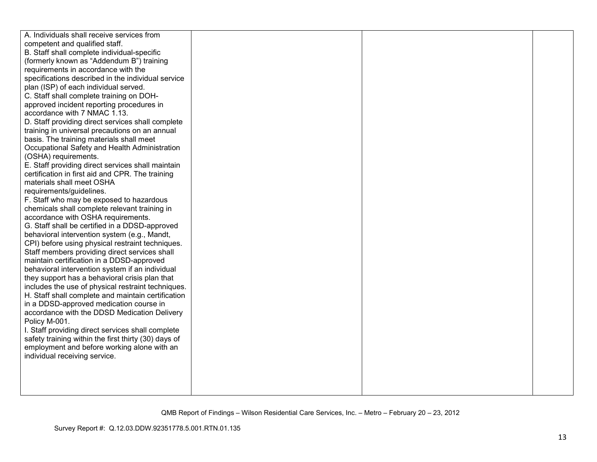| A. Individuals shall receive services from                         |  |
|--------------------------------------------------------------------|--|
| competent and qualified staff.                                     |  |
| B. Staff shall complete individual-specific                        |  |
| (formerly known as "Addendum B") training                          |  |
| requirements in accordance with the                                |  |
| specifications described in the individual service                 |  |
| plan (ISP) of each individual served.                              |  |
| C. Staff shall complete training on DOH-                           |  |
| approved incident reporting procedures in                          |  |
| accordance with 7 NMAC 1.13.                                       |  |
| D. Staff providing direct services shall complete                  |  |
| training in universal precautions on an annual                     |  |
| basis. The training materials shall meet                           |  |
| Occupational Safety and Health Administration                      |  |
| (OSHA) requirements.                                               |  |
| E. Staff providing direct services shall maintain                  |  |
| certification in first aid and CPR. The training                   |  |
| materials shall meet OSHA                                          |  |
| requirements/guidelines.                                           |  |
| F. Staff who may be exposed to hazardous                           |  |
| chemicals shall complete relevant training in                      |  |
| accordance with OSHA requirements.                                 |  |
| G. Staff shall be certified in a DDSD-approved                     |  |
| behavioral intervention system (e.g., Mandt,                       |  |
| CPI) before using physical restraint techniques.                   |  |
| Staff members providing direct services shall                      |  |
| maintain certification in a DDSD-approved                          |  |
| behavioral intervention system if an individual                    |  |
| they support has a behavioral crisis plan that                     |  |
| includes the use of physical restraint techniques.                 |  |
| H. Staff shall complete and maintain certification                 |  |
| in a DDSD-approved medication course in                            |  |
| accordance with the DDSD Medication Delivery                       |  |
| Policy M-001.<br>I. Staff providing direct services shall complete |  |
| safety training within the first thirty (30) days of               |  |
| employment and before working alone with an                        |  |
| individual receiving service.                                      |  |
|                                                                    |  |
|                                                                    |  |
|                                                                    |  |
|                                                                    |  |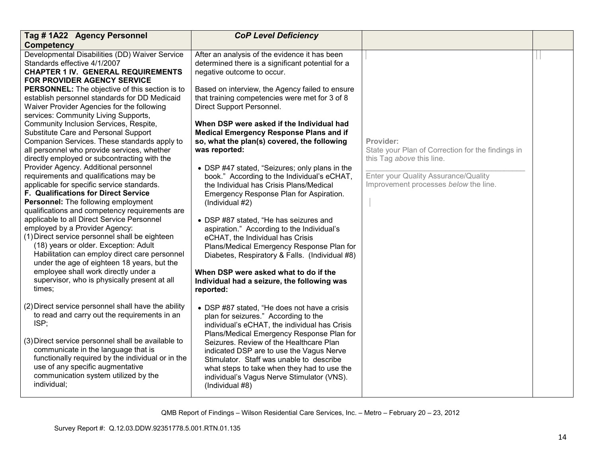| Tag #1A22 Agency Personnel                                                                                                                                                                                                                                              | <b>CoP Level Deficiency</b>                                                                                                                                                                                                                     |                                                                                             |  |
|-------------------------------------------------------------------------------------------------------------------------------------------------------------------------------------------------------------------------------------------------------------------------|-------------------------------------------------------------------------------------------------------------------------------------------------------------------------------------------------------------------------------------------------|---------------------------------------------------------------------------------------------|--|
| <b>Competency</b>                                                                                                                                                                                                                                                       |                                                                                                                                                                                                                                                 |                                                                                             |  |
| Developmental Disabilities (DD) Waiver Service<br>Standards effective 4/1/2007<br><b>CHAPTER 1 IV. GENERAL REQUIREMENTS</b><br><b>FOR PROVIDER AGENCY SERVICE</b>                                                                                                       | After an analysis of the evidence it has been<br>determined there is a significant potential for a<br>negative outcome to occur.                                                                                                                |                                                                                             |  |
| <b>PERSONNEL:</b> The objective of this section is to<br>establish personnel standards for DD Medicaid<br>Waiver Provider Agencies for the following<br>services: Community Living Supports,                                                                            | Based on interview, the Agency failed to ensure<br>that training competencies were met for 3 of 8<br>Direct Support Personnel.                                                                                                                  |                                                                                             |  |
| Community Inclusion Services, Respite,<br>Substitute Care and Personal Support<br>Companion Services. These standards apply to<br>all personnel who provide services, whether<br>directly employed or subcontracting with the                                           | When DSP were asked if the Individual had<br><b>Medical Emergency Response Plans and if</b><br>so, what the plan(s) covered, the following<br>was reported:                                                                                     | Provider:<br>State your Plan of Correction for the findings in<br>this Tag above this line. |  |
| Provider Agency. Additional personnel<br>requirements and qualifications may be<br>applicable for specific service standards.<br><b>F. Qualifications for Direct Service</b><br>Personnel: The following employment<br>qualifications and competency requirements are   | • DSP #47 stated, "Seizures; only plans in the<br>book." According to the Individual's eCHAT,<br>the Individual has Crisis Plans/Medical<br>Emergency Response Plan for Aspiration.<br>(Individual #2)                                          | Enter your Quality Assurance/Quality<br>Improvement processes below the line.               |  |
| applicable to all Direct Service Personnel<br>employed by a Provider Agency:<br>(1) Direct service personnel shall be eighteen<br>(18) years or older. Exception: Adult<br>Habilitation can employ direct care personnel<br>under the age of eighteen 18 years, but the | • DSP #87 stated, "He has seizures and<br>aspiration." According to the Individual's<br>eCHAT, the Individual has Crisis<br>Plans/Medical Emergency Response Plan for<br>Diabetes, Respiratory & Falls. (Individual #8)                         |                                                                                             |  |
| employee shall work directly under a<br>supervisor, who is physically present at all<br>times;                                                                                                                                                                          | When DSP were asked what to do if the<br>Individual had a seizure, the following was<br>reported:                                                                                                                                               |                                                                                             |  |
| (2) Direct service personnel shall have the ability<br>to read and carry out the requirements in an<br>ISP;                                                                                                                                                             | • DSP #87 stated, "He does not have a crisis<br>plan for seizures." According to the<br>individual's eCHAT, the individual has Crisis<br>Plans/Medical Emergency Response Plan for                                                              |                                                                                             |  |
| (3) Direct service personnel shall be available to<br>communicate in the language that is<br>functionally required by the individual or in the<br>use of any specific augmentative<br>communication system utilized by the<br>individual;                               | Seizures. Review of the Healthcare Plan<br>indicated DSP are to use the Vagus Nerve<br>Stimulator. Staff was unable to describe<br>what steps to take when they had to use the<br>individual's Vagus Nerve Stimulator (VNS).<br>(Individual #8) |                                                                                             |  |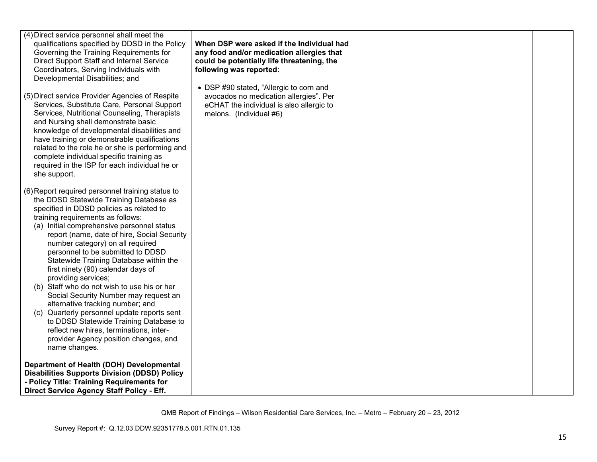| (4) Direct service personnel shall meet the<br>qualifications specified by DDSD in the Policy<br>Governing the Training Requirements for<br>Direct Support Staff and Internal Service<br>Coordinators, Serving Individuals with<br>Developmental Disabilities; and<br>(5) Direct service Provider Agencies of Respite<br>Services, Substitute Care, Personal Support<br>Services, Nutritional Counseling, Therapists<br>and Nursing shall demonstrate basic<br>knowledge of developmental disabilities and<br>have training or demonstrable qualifications<br>related to the role he or she is performing and<br>complete individual specific training as<br>required in the ISP for each individual he or<br>she support.                                                          | When DSP were asked if the Individual had<br>any food and/or medication allergies that<br>could be potentially life threatening, the<br>following was reported:<br>• DSP #90 stated, "Allergic to corn and<br>avocados no medication allergies". Per<br>eCHAT the individual is also allergic to<br>melons. (Individual #6) |  |
|-------------------------------------------------------------------------------------------------------------------------------------------------------------------------------------------------------------------------------------------------------------------------------------------------------------------------------------------------------------------------------------------------------------------------------------------------------------------------------------------------------------------------------------------------------------------------------------------------------------------------------------------------------------------------------------------------------------------------------------------------------------------------------------|-----------------------------------------------------------------------------------------------------------------------------------------------------------------------------------------------------------------------------------------------------------------------------------------------------------------------------|--|
| (6) Report required personnel training status to<br>the DDSD Statewide Training Database as<br>specified in DDSD policies as related to<br>training requirements as follows:<br>(a) Initial comprehensive personnel status<br>report (name, date of hire, Social Security<br>number category) on all required<br>personnel to be submitted to DDSD<br>Statewide Training Database within the<br>first ninety (90) calendar days of<br>providing services;<br>(b) Staff who do not wish to use his or her<br>Social Security Number may request an<br>alternative tracking number; and<br>(c) Quarterly personnel update reports sent<br>to DDSD Statewide Training Database to<br>reflect new hires, terminations, inter-<br>provider Agency position changes, and<br>name changes. |                                                                                                                                                                                                                                                                                                                             |  |
| Department of Health (DOH) Developmental<br><b>Disabilities Supports Division (DDSD) Policy</b><br>- Policy Title: Training Requirements for<br>Direct Service Agency Staff Policy - Eff.                                                                                                                                                                                                                                                                                                                                                                                                                                                                                                                                                                                           |                                                                                                                                                                                                                                                                                                                             |  |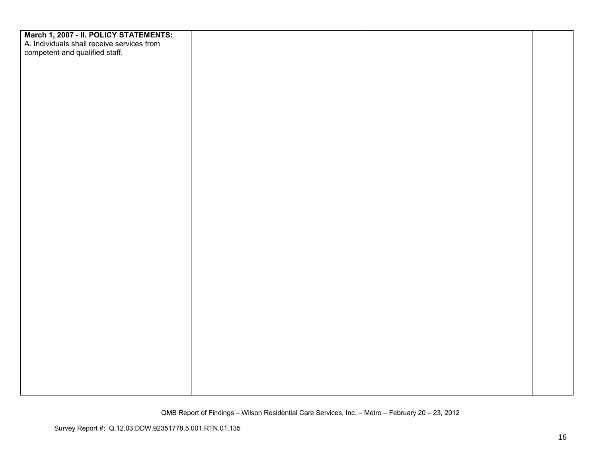| March 1, 2007 - II. POLICY STATEMENTS:<br>A. Individuals shall receive services from<br>competent and qualified staff. |  |  |
|------------------------------------------------------------------------------------------------------------------------|--|--|
|                                                                                                                        |  |  |
|                                                                                                                        |  |  |
|                                                                                                                        |  |  |
|                                                                                                                        |  |  |
|                                                                                                                        |  |  |
|                                                                                                                        |  |  |
|                                                                                                                        |  |  |
|                                                                                                                        |  |  |
|                                                                                                                        |  |  |
|                                                                                                                        |  |  |
|                                                                                                                        |  |  |
|                                                                                                                        |  |  |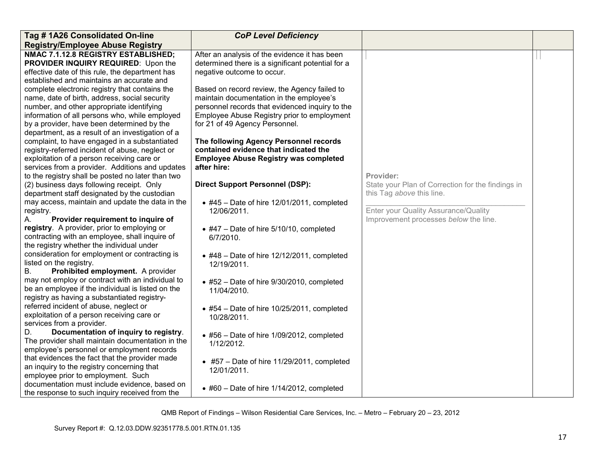| Tag #1A26 Consolidated On-line                                                                                                                                                                                                                                                                                                                                                                       | <b>CoP Level Deficiency</b>                                                                                                                                                                                                                                                                                     |                                                                                             |  |
|------------------------------------------------------------------------------------------------------------------------------------------------------------------------------------------------------------------------------------------------------------------------------------------------------------------------------------------------------------------------------------------------------|-----------------------------------------------------------------------------------------------------------------------------------------------------------------------------------------------------------------------------------------------------------------------------------------------------------------|---------------------------------------------------------------------------------------------|--|
| <b>Registry/Employee Abuse Registry</b>                                                                                                                                                                                                                                                                                                                                                              |                                                                                                                                                                                                                                                                                                                 |                                                                                             |  |
| NMAC 7.1.12.8 REGISTRY ESTABLISHED;<br>PROVIDER INQUIRY REQUIRED: Upon the<br>effective date of this rule, the department has<br>established and maintains an accurate and                                                                                                                                                                                                                           | After an analysis of the evidence it has been<br>determined there is a significant potential for a<br>negative outcome to occur.                                                                                                                                                                                |                                                                                             |  |
| complete electronic registry that contains the<br>name, date of birth, address, social security<br>number, and other appropriate identifying<br>information of all persons who, while employed<br>by a provider, have been determined by the<br>department, as a result of an investigation of a<br>complaint, to have engaged in a substantiated<br>registry-referred incident of abuse, neglect or | Based on record review, the Agency failed to<br>maintain documentation in the employee's<br>personnel records that evidenced inquiry to the<br>Employee Abuse Registry prior to employment<br>for 21 of 49 Agency Personnel.<br>The following Agency Personnel records<br>contained evidence that indicated the |                                                                                             |  |
| exploitation of a person receiving care or<br>services from a provider. Additions and updates                                                                                                                                                                                                                                                                                                        | <b>Employee Abuse Registry was completed</b><br>after hire:                                                                                                                                                                                                                                                     |                                                                                             |  |
| to the registry shall be posted no later than two<br>(2) business days following receipt. Only<br>department staff designated by the custodian                                                                                                                                                                                                                                                       | <b>Direct Support Personnel (DSP):</b>                                                                                                                                                                                                                                                                          | Provider:<br>State your Plan of Correction for the findings in<br>this Tag above this line. |  |
| may access, maintain and update the data in the<br>registry.<br>Provider requirement to inquire of<br>А.                                                                                                                                                                                                                                                                                             | $\bullet$ #45 - Date of hire 12/01/2011, completed<br>12/06/2011.                                                                                                                                                                                                                                               | Enter your Quality Assurance/Quality<br>Improvement processes below the line.               |  |
| registry. A provider, prior to employing or<br>contracting with an employee, shall inquire of<br>the registry whether the individual under                                                                                                                                                                                                                                                           | $\bullet$ #47 – Date of hire 5/10/10, completed<br>6/7/2010.                                                                                                                                                                                                                                                    |                                                                                             |  |
| consideration for employment or contracting is<br>listed on the registry.<br>Prohibited employment. A provider<br>В.                                                                                                                                                                                                                                                                                 | $\bullet$ #48 - Date of hire 12/12/2011, completed<br>12/19/2011.                                                                                                                                                                                                                                               |                                                                                             |  |
| may not employ or contract with an individual to<br>be an employee if the individual is listed on the<br>registry as having a substantiated registry-                                                                                                                                                                                                                                                | $\bullet$ #52 - Date of hire 9/30/2010, completed<br>11/04/2010.                                                                                                                                                                                                                                                |                                                                                             |  |
| referred incident of abuse, neglect or<br>exploitation of a person receiving care or<br>services from a provider.                                                                                                                                                                                                                                                                                    | $\bullet$ #54 - Date of hire 10/25/2011, completed<br>10/28/2011.                                                                                                                                                                                                                                               |                                                                                             |  |
| Documentation of inquiry to registry.<br>D.<br>The provider shall maintain documentation in the<br>employee's personnel or employment records                                                                                                                                                                                                                                                        | $\bullet$ #56 - Date of hire 1/09/2012, completed<br>1/12/2012.                                                                                                                                                                                                                                                 |                                                                                             |  |
| that evidences the fact that the provider made<br>an inquiry to the registry concerning that<br>employee prior to employment. Such                                                                                                                                                                                                                                                                   | $\bullet$ #57 – Date of hire 11/29/2011, completed<br>12/01/2011.                                                                                                                                                                                                                                               |                                                                                             |  |
| documentation must include evidence, based on<br>the response to such inquiry received from the                                                                                                                                                                                                                                                                                                      | $\bullet$ #60 - Date of hire 1/14/2012, completed                                                                                                                                                                                                                                                               |                                                                                             |  |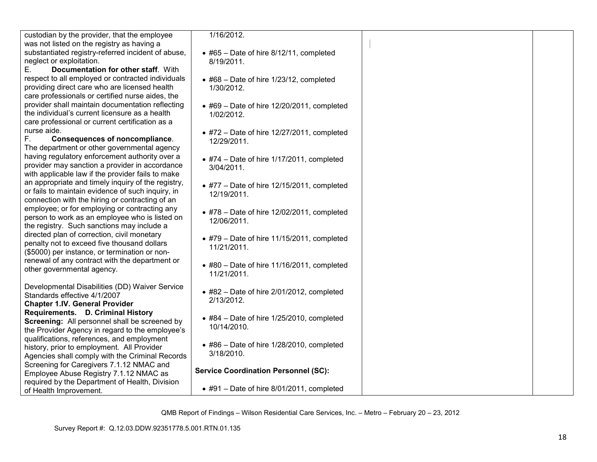| custodian by the provider, that the employee       |
|----------------------------------------------------|
| was not listed on the registry as having a         |
| substantiated registry-referred incident of abuse, |
| neglect or exploitation.                           |

 E. **Documentation for other staff**. With respect to all employed or contracted individuals providing direct care who are licensed health care professionals or certified nurse aides, the provider shall maintain documentation reflecting the individual's current licensure as a health care professional or current certification as a nurse aide.

 F. **Consequences of noncompliance**. The department or other governmental agency having regulatory enforcement authority over a provider may sanction a provider in accordance with applicable law if the provider fails to make an appropriate and timely inquiry of the registry, or fails to maintain evidence of such inquiry, in connection with the hiring or contracting of an employee; or for employing or contracting any person to work as an employee who is listed on the registry. Such sanctions may include a directed plan of correction, civil monetary penalty not to exceed five thousand dollars (\$5000) per instance, or termination or nonrenewal of any contract with the department or other governmental agency.

Developmental Disabilities (DD) Waiver Service Standards effective 4/1/2007 **Chapter 1.IV. General Provider Requirements. D. Criminal History Screening:** All personnel shall be screened by the Provider Agency in regard to the employee's qualifications, references, and employment history, prior to employment. All Provider Agencies shall comply with the Criminal Records Screening for Caregivers 7.1.12 NMAC and Employee Abuse Registry 7.1.12 NMAC as required by the Department of Health, Division of Health Improvement.

1/16/2012.

- #65 Date of hire 8/12/11, completed 8/19/2011.
- #68 Date of hire 1/23/12, completed 1/30/2012.
- $\bullet$  #69 Date of hire 12/20/2011, completed 1/02/2012.
- $\bullet$  #72 Date of hire 12/27/2011, completed 12/29/2011.
- #74 Date of hire 1/17/2011, completed 3/04/2011.
- $\bullet$  #77 Date of hire 12/15/2011, completed 12/19/2011.
- #78 Date of hire 12/02/2011, completed 12/06/2011.
- $\bullet$  #79 Date of hire 11/15/2011, completed 11/21/2011.
- #80 Date of hire 11/16/2011, completed 11/21/2011.
- #82 Date of hire 2/01/2012, completed 2/13/2012.
- #84 Date of hire 1/25/2010, completed 10/14/2010.
- #86 Date of hire 1/28/2010, completed 3/18/2010.

**Service Coordination Personnel (SC):** 

• #91 – Date of hire 8/01/2011, completed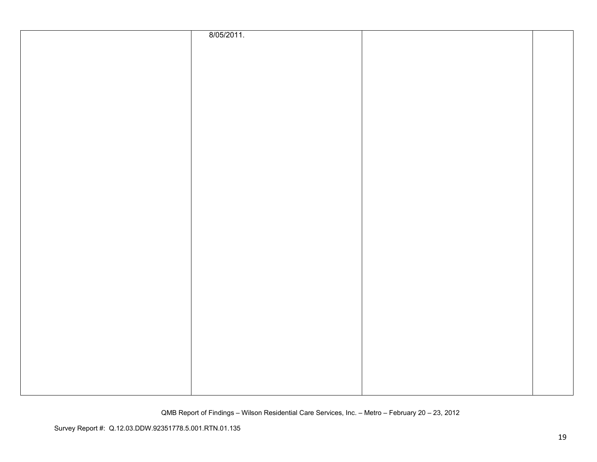| 8/05/2011. |  |
|------------|--|
|            |  |
|            |  |
|            |  |
|            |  |
|            |  |
|            |  |
|            |  |
|            |  |
|            |  |
|            |  |
|            |  |
|            |  |
|            |  |
|            |  |
|            |  |
|            |  |
|            |  |
|            |  |
|            |  |
|            |  |
|            |  |
|            |  |
|            |  |
|            |  |
|            |  |
|            |  |
|            |  |
|            |  |
|            |  |
|            |  |
|            |  |
|            |  |
|            |  |
|            |  |
|            |  |
|            |  |
|            |  |
|            |  |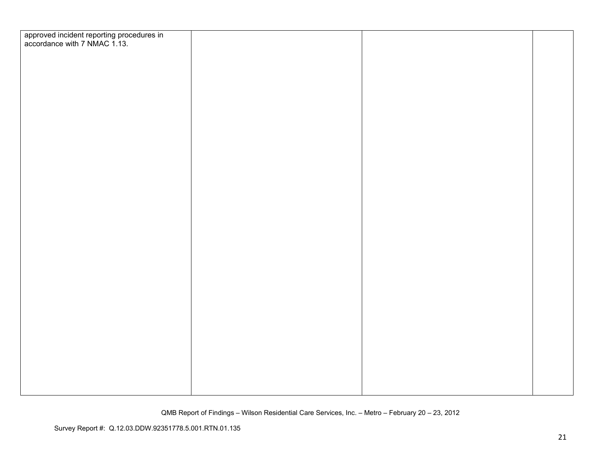| approved incident reporting procedures in<br>accordance with 7 NMAC 1.13. |  |  |
|---------------------------------------------------------------------------|--|--|
|                                                                           |  |  |
|                                                                           |  |  |
|                                                                           |  |  |
|                                                                           |  |  |
|                                                                           |  |  |
|                                                                           |  |  |
|                                                                           |  |  |
|                                                                           |  |  |
|                                                                           |  |  |
|                                                                           |  |  |
|                                                                           |  |  |
|                                                                           |  |  |
|                                                                           |  |  |
|                                                                           |  |  |
|                                                                           |  |  |
|                                                                           |  |  |
|                                                                           |  |  |
|                                                                           |  |  |
|                                                                           |  |  |
|                                                                           |  |  |
|                                                                           |  |  |
|                                                                           |  |  |
|                                                                           |  |  |
|                                                                           |  |  |
|                                                                           |  |  |
|                                                                           |  |  |
|                                                                           |  |  |
|                                                                           |  |  |
|                                                                           |  |  |
|                                                                           |  |  |
|                                                                           |  |  |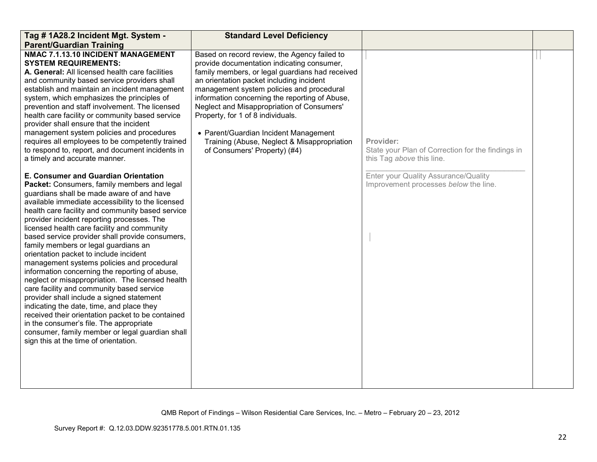| Tag # 1A28.2 Incident Mgt. System -                                                            | <b>Standard Level Deficiency</b>                                                           |                                                   |  |
|------------------------------------------------------------------------------------------------|--------------------------------------------------------------------------------------------|---------------------------------------------------|--|
| <b>Parent/Guardian Training</b>                                                                |                                                                                            |                                                   |  |
| NMAC 7.1.13.10 INCIDENT MANAGEMENT<br><b>SYSTEM REQUIREMENTS:</b>                              | Based on record review, the Agency failed to<br>provide documentation indicating consumer, |                                                   |  |
| A. General: All licensed health care facilities                                                | family members, or legal guardians had received                                            |                                                   |  |
| and community based service providers shall                                                    | an orientation packet including incident                                                   |                                                   |  |
| establish and maintain an incident management                                                  | management system policies and procedural                                                  |                                                   |  |
| system, which emphasizes the principles of                                                     | information concerning the reporting of Abuse,                                             |                                                   |  |
| prevention and staff involvement. The licensed                                                 | Neglect and Misappropriation of Consumers'                                                 |                                                   |  |
| health care facility or community based service<br>provider shall ensure that the incident     | Property, for 1 of 8 individuals.                                                          |                                                   |  |
| management system policies and procedures                                                      | • Parent/Guardian Incident Management                                                      |                                                   |  |
| requires all employees to be competently trained                                               | Training (Abuse, Neglect & Misappropriation                                                | Provider:                                         |  |
| to respond to, report, and document incidents in                                               | of Consumers' Property) (#4)                                                               | State your Plan of Correction for the findings in |  |
| a timely and accurate manner.                                                                  |                                                                                            | this Tag above this line.                         |  |
|                                                                                                |                                                                                            |                                                   |  |
| E. Consumer and Guardian Orientation                                                           |                                                                                            | Enter your Quality Assurance/Quality              |  |
| Packet: Consumers, family members and legal<br>guardians shall be made aware of and have       |                                                                                            | Improvement processes below the line.             |  |
| available immediate accessibility to the licensed                                              |                                                                                            |                                                   |  |
| health care facility and community based service                                               |                                                                                            |                                                   |  |
| provider incident reporting processes. The                                                     |                                                                                            |                                                   |  |
| licensed health care facility and community                                                    |                                                                                            |                                                   |  |
| based service provider shall provide consumers,                                                |                                                                                            |                                                   |  |
| family members or legal guardians an<br>orientation packet to include incident                 |                                                                                            |                                                   |  |
| management systems policies and procedural                                                     |                                                                                            |                                                   |  |
| information concerning the reporting of abuse,                                                 |                                                                                            |                                                   |  |
| neglect or misappropriation. The licensed health                                               |                                                                                            |                                                   |  |
| care facility and community based service                                                      |                                                                                            |                                                   |  |
| provider shall include a signed statement                                                      |                                                                                            |                                                   |  |
| indicating the date, time, and place they<br>received their orientation packet to be contained |                                                                                            |                                                   |  |
| in the consumer's file. The appropriate                                                        |                                                                                            |                                                   |  |
| consumer, family member or legal guardian shall                                                |                                                                                            |                                                   |  |
| sign this at the time of orientation.                                                          |                                                                                            |                                                   |  |
|                                                                                                |                                                                                            |                                                   |  |
|                                                                                                |                                                                                            |                                                   |  |
|                                                                                                |                                                                                            |                                                   |  |
|                                                                                                |                                                                                            |                                                   |  |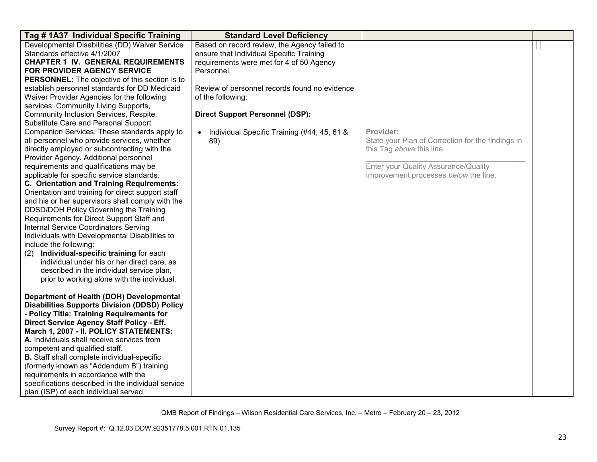| Tag # 1A37 Individual Specific Training                                                     | <b>Standard Level Deficiency</b>                         |                                                                                |  |
|---------------------------------------------------------------------------------------------|----------------------------------------------------------|--------------------------------------------------------------------------------|--|
| Developmental Disabilities (DD) Waiver Service                                              | Based on record review, the Agency failed to             |                                                                                |  |
| Standards effective 4/1/2007                                                                | ensure that Individual Specific Training                 |                                                                                |  |
| <b>CHAPTER 1 IV. GENERAL REQUIREMENTS</b>                                                   | requirements were met for 4 of 50 Agency                 |                                                                                |  |
| <b>FOR PROVIDER AGENCY SERVICE</b>                                                          | Personnel.                                               |                                                                                |  |
| PERSONNEL: The objective of this section is to                                              |                                                          |                                                                                |  |
| establish personnel standards for DD Medicaid                                               | Review of personnel records found no evidence            |                                                                                |  |
| Waiver Provider Agencies for the following                                                  | of the following:                                        |                                                                                |  |
| services: Community Living Supports,                                                        |                                                          |                                                                                |  |
| Community Inclusion Services, Respite,                                                      | <b>Direct Support Personnel (DSP):</b>                   |                                                                                |  |
| Substitute Care and Personal Support                                                        |                                                          |                                                                                |  |
| Companion Services. These standards apply to                                                | Individual Specific Training (#44, 45, 61 &<br>$\bullet$ | Provider:                                                                      |  |
| all personnel who provide services, whether<br>directly employed or subcontracting with the | 89)                                                      | State your Plan of Correction for the findings in<br>this Tag above this line. |  |
| Provider Agency. Additional personnel                                                       |                                                          |                                                                                |  |
| requirements and qualifications may be                                                      |                                                          | Enter your Quality Assurance/Quality                                           |  |
| applicable for specific service standards.                                                  |                                                          | Improvement processes below the line.                                          |  |
| C. Orientation and Training Requirements:                                                   |                                                          |                                                                                |  |
| Orientation and training for direct support staff                                           |                                                          |                                                                                |  |
| and his or her supervisors shall comply with the                                            |                                                          |                                                                                |  |
| DDSD/DOH Policy Governing the Training                                                      |                                                          |                                                                                |  |
| Requirements for Direct Support Staff and                                                   |                                                          |                                                                                |  |
| <b>Internal Service Coordinators Serving</b>                                                |                                                          |                                                                                |  |
| Individuals with Developmental Disabilities to                                              |                                                          |                                                                                |  |
| include the following:                                                                      |                                                          |                                                                                |  |
| Individual-specific training for each<br>(2)                                                |                                                          |                                                                                |  |
| individual under his or her direct care, as                                                 |                                                          |                                                                                |  |
| described in the individual service plan,                                                   |                                                          |                                                                                |  |
| prior to working alone with the individual.                                                 |                                                          |                                                                                |  |
|                                                                                             |                                                          |                                                                                |  |
| Department of Health (DOH) Developmental                                                    |                                                          |                                                                                |  |
| <b>Disabilities Supports Division (DDSD) Policy</b>                                         |                                                          |                                                                                |  |
| - Policy Title: Training Requirements for                                                   |                                                          |                                                                                |  |
| Direct Service Agency Staff Policy - Eff.                                                   |                                                          |                                                                                |  |
| March 1, 2007 - II. POLICY STATEMENTS:                                                      |                                                          |                                                                                |  |
| A. Individuals shall receive services from                                                  |                                                          |                                                                                |  |
| competent and qualified staff.<br><b>B.</b> Staff shall complete individual-specific        |                                                          |                                                                                |  |
| (formerly known as "Addendum B") training                                                   |                                                          |                                                                                |  |
| requirements in accordance with the                                                         |                                                          |                                                                                |  |
| specifications described in the individual service                                          |                                                          |                                                                                |  |
| plan (ISP) of each individual served.                                                       |                                                          |                                                                                |  |
|                                                                                             |                                                          |                                                                                |  |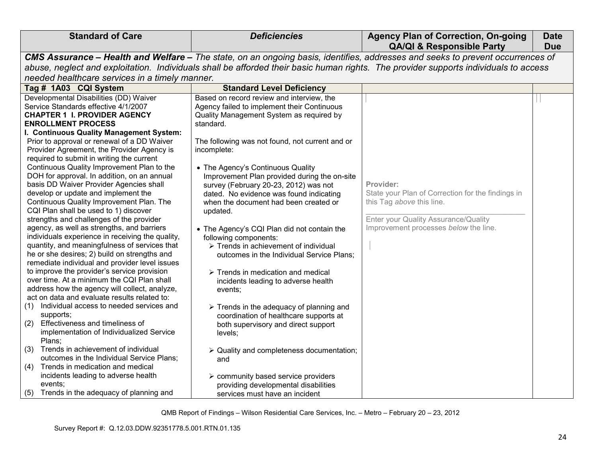| <b>Standard of Care</b>                                                                                                                                                                                                                                                                                                                                                                                                                                                                                                                                                                                                                                                                                                                                                                                                                                                                                                                                                                                                                                                                                                                                                                                                                                                                                                                                             | <b>Deficiencies</b>                                                                                                                                                                                                                                                                                                                                                                                                                                                                                                                                                                                                                                                                                                                                                                                                                                                                                                                                             | <b>Agency Plan of Correction, On-going</b><br><b>QA/QI &amp; Responsible Party</b>                                                                                           | <b>Date</b><br><b>Due</b> |
|---------------------------------------------------------------------------------------------------------------------------------------------------------------------------------------------------------------------------------------------------------------------------------------------------------------------------------------------------------------------------------------------------------------------------------------------------------------------------------------------------------------------------------------------------------------------------------------------------------------------------------------------------------------------------------------------------------------------------------------------------------------------------------------------------------------------------------------------------------------------------------------------------------------------------------------------------------------------------------------------------------------------------------------------------------------------------------------------------------------------------------------------------------------------------------------------------------------------------------------------------------------------------------------------------------------------------------------------------------------------|-----------------------------------------------------------------------------------------------------------------------------------------------------------------------------------------------------------------------------------------------------------------------------------------------------------------------------------------------------------------------------------------------------------------------------------------------------------------------------------------------------------------------------------------------------------------------------------------------------------------------------------------------------------------------------------------------------------------------------------------------------------------------------------------------------------------------------------------------------------------------------------------------------------------------------------------------------------------|------------------------------------------------------------------------------------------------------------------------------------------------------------------------------|---------------------------|
|                                                                                                                                                                                                                                                                                                                                                                                                                                                                                                                                                                                                                                                                                                                                                                                                                                                                                                                                                                                                                                                                                                                                                                                                                                                                                                                                                                     | CMS Assurance - Health and Welfare - The state, on an ongoing basis, identifies, addresses and seeks to prevent occurrences of                                                                                                                                                                                                                                                                                                                                                                                                                                                                                                                                                                                                                                                                                                                                                                                                                                  |                                                                                                                                                                              |                           |
| abuse, neglect and exploitation. Individuals shall be afforded their basic human rights. The provider supports individuals to access                                                                                                                                                                                                                                                                                                                                                                                                                                                                                                                                                                                                                                                                                                                                                                                                                                                                                                                                                                                                                                                                                                                                                                                                                                |                                                                                                                                                                                                                                                                                                                                                                                                                                                                                                                                                                                                                                                                                                                                                                                                                                                                                                                                                                 |                                                                                                                                                                              |                           |
| needed healthcare services in a timely manner.                                                                                                                                                                                                                                                                                                                                                                                                                                                                                                                                                                                                                                                                                                                                                                                                                                                                                                                                                                                                                                                                                                                                                                                                                                                                                                                      |                                                                                                                                                                                                                                                                                                                                                                                                                                                                                                                                                                                                                                                                                                                                                                                                                                                                                                                                                                 |                                                                                                                                                                              |                           |
| Tag # 1A03 CQI System                                                                                                                                                                                                                                                                                                                                                                                                                                                                                                                                                                                                                                                                                                                                                                                                                                                                                                                                                                                                                                                                                                                                                                                                                                                                                                                                               | <b>Standard Level Deficiency</b>                                                                                                                                                                                                                                                                                                                                                                                                                                                                                                                                                                                                                                                                                                                                                                                                                                                                                                                                |                                                                                                                                                                              |                           |
| Developmental Disabilities (DD) Waiver<br>Service Standards effective 4/1/2007<br><b>CHAPTER 1 I. PROVIDER AGENCY</b><br><b>ENROLLMENT PROCESS</b><br>I. Continuous Quality Management System:<br>Prior to approval or renewal of a DD Waiver<br>Provider Agreement, the Provider Agency is<br>required to submit in writing the current<br>Continuous Quality Improvement Plan to the<br>DOH for approval. In addition, on an annual<br>basis DD Waiver Provider Agencies shall<br>develop or update and implement the<br>Continuous Quality Improvement Plan. The<br>CQI Plan shall be used to 1) discover<br>strengths and challenges of the provider<br>agency, as well as strengths, and barriers<br>individuals experience in receiving the quality,<br>quantity, and meaningfulness of services that<br>he or she desires; 2) build on strengths and<br>remediate individual and provider level issues<br>to improve the provider's service provision<br>over time. At a minimum the CQI Plan shall<br>address how the agency will collect, analyze,<br>act on data and evaluate results related to:<br>(1) Individual access to needed services and<br>supports;<br>Effectiveness and timeliness of<br>(2)<br>implementation of Individualized Service<br>Plans;<br>Trends in achievement of individual<br>(3)<br>outcomes in the Individual Service Plans; | Based on record review and interview, the<br>Agency failed to implement their Continuous<br>Quality Management System as required by<br>standard.<br>The following was not found, not current and or<br>incomplete:<br>• The Agency's Continuous Quality<br>Improvement Plan provided during the on-site<br>survey (February 20-23, 2012) was not<br>dated. No evidence was found indicating<br>when the document had been created or<br>updated.<br>• The Agency's CQI Plan did not contain the<br>following components:<br>$\triangleright$ Trends in achievement of individual<br>outcomes in the Individual Service Plans;<br>$\triangleright$ Trends in medication and medical<br>incidents leading to adverse health<br>events;<br>$\triangleright$ Trends in the adequacy of planning and<br>coordination of healthcare supports at<br>both supervisory and direct support<br>levels;<br>$\triangleright$ Quality and completeness documentation;<br>and | Provider:<br>State your Plan of Correction for the findings in<br>this Tag above this line.<br>Enter your Quality Assurance/Quality<br>Improvement processes below the line. |                           |
| Trends in medication and medical<br>(4)<br>incidents leading to adverse health<br>events;<br>Trends in the adequacy of planning and<br>(5)                                                                                                                                                                                                                                                                                                                                                                                                                                                                                                                                                                                                                                                                                                                                                                                                                                                                                                                                                                                                                                                                                                                                                                                                                          | $\triangleright$ community based service providers<br>providing developmental disabilities<br>services must have an incident                                                                                                                                                                                                                                                                                                                                                                                                                                                                                                                                                                                                                                                                                                                                                                                                                                    |                                                                                                                                                                              |                           |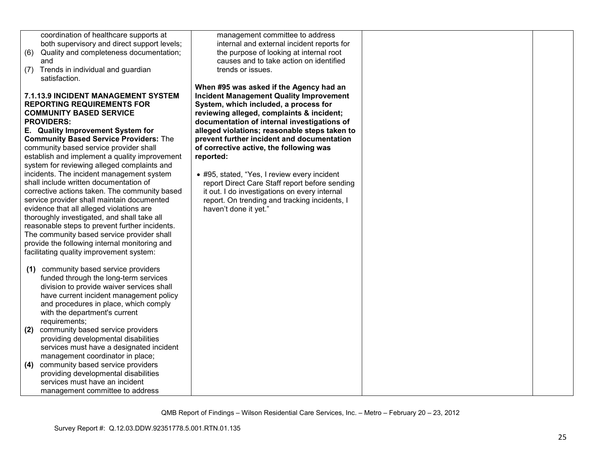|     | coordination of healthcare supports at         | management committee to address                |  |
|-----|------------------------------------------------|------------------------------------------------|--|
|     | both supervisory and direct support levels;    | internal and external incident reports for     |  |
| (6) | Quality and completeness documentation;        | the purpose of looking at internal root        |  |
|     | and                                            | causes and to take action on identified        |  |
| (7) | Trends in individual and guardian              | trends or issues.                              |  |
|     | satisfaction.                                  |                                                |  |
|     |                                                | When #95 was asked if the Agency had an        |  |
|     | <b>7.1.13.9 INCIDENT MANAGEMENT SYSTEM</b>     | <b>Incident Management Quality Improvement</b> |  |
|     | <b>REPORTING REQUIREMENTS FOR</b>              | System, which included, a process for          |  |
|     | <b>COMMUNITY BASED SERVICE</b>                 | reviewing alleged, complaints & incident;      |  |
|     | <b>PROVIDERS:</b>                              | documentation of internal investigations of    |  |
|     | E. Quality Improvement System for              | alleged violations; reasonable steps taken to  |  |
|     | <b>Community Based Service Providers: The</b>  | prevent further incident and documentation     |  |
|     | community based service provider shall         | of corrective active, the following was        |  |
|     | establish and implement a quality improvement  | reported:                                      |  |
|     | system for reviewing alleged complaints and    |                                                |  |
|     | incidents. The incident management system      | • #95, stated, "Yes, I review every incident   |  |
|     | shall include written documentation of         | report Direct Care Staff report before sending |  |
|     | corrective actions taken. The community based  | it out. I do investigations on every internal  |  |
|     | service provider shall maintain documented     | report. On trending and tracking incidents, I  |  |
|     | evidence that all alleged violations are       | haven't done it yet."                          |  |
|     | thoroughly investigated, and shall take all    |                                                |  |
|     | reasonable steps to prevent further incidents. |                                                |  |
|     | The community based service provider shall     |                                                |  |
|     | provide the following internal monitoring and  |                                                |  |
|     | facilitating quality improvement system:       |                                                |  |
|     |                                                |                                                |  |
| (1) | community based service providers              |                                                |  |
|     | funded through the long-term services          |                                                |  |
|     | division to provide waiver services shall      |                                                |  |
|     | have current incident management policy        |                                                |  |
|     | and procedures in place, which comply          |                                                |  |
|     | with the department's current                  |                                                |  |
|     | requirements;                                  |                                                |  |
| (2) | community based service providers              |                                                |  |
|     | providing developmental disabilities           |                                                |  |
|     | services must have a designated incident       |                                                |  |
|     | management coordinator in place;               |                                                |  |
| (4) | community based service providers              |                                                |  |
|     | providing developmental disabilities           |                                                |  |
|     | services must have an incident                 |                                                |  |
|     | management committee to address                |                                                |  |
|     |                                                |                                                |  |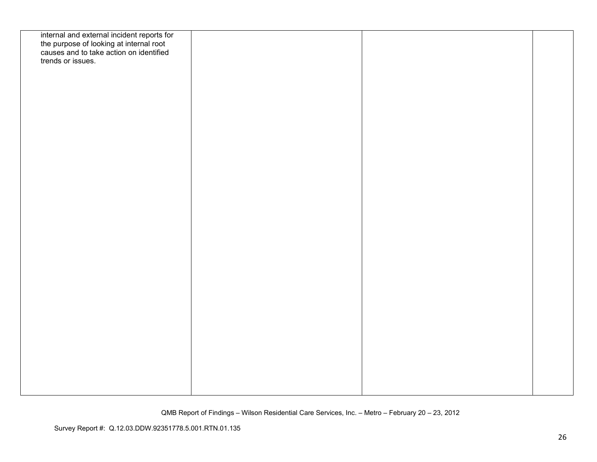| internal and external incident reports for<br>the purpose of looking at internal root<br>causes and to take action on identified |  |  |
|----------------------------------------------------------------------------------------------------------------------------------|--|--|
|                                                                                                                                  |  |  |
| trends or issues.                                                                                                                |  |  |
|                                                                                                                                  |  |  |
|                                                                                                                                  |  |  |
|                                                                                                                                  |  |  |
|                                                                                                                                  |  |  |
|                                                                                                                                  |  |  |
|                                                                                                                                  |  |  |
|                                                                                                                                  |  |  |
|                                                                                                                                  |  |  |
|                                                                                                                                  |  |  |
|                                                                                                                                  |  |  |
|                                                                                                                                  |  |  |
|                                                                                                                                  |  |  |
|                                                                                                                                  |  |  |
|                                                                                                                                  |  |  |
|                                                                                                                                  |  |  |
|                                                                                                                                  |  |  |
|                                                                                                                                  |  |  |
|                                                                                                                                  |  |  |
|                                                                                                                                  |  |  |
|                                                                                                                                  |  |  |
|                                                                                                                                  |  |  |
|                                                                                                                                  |  |  |
|                                                                                                                                  |  |  |
|                                                                                                                                  |  |  |
|                                                                                                                                  |  |  |
|                                                                                                                                  |  |  |
|                                                                                                                                  |  |  |
|                                                                                                                                  |  |  |
|                                                                                                                                  |  |  |
|                                                                                                                                  |  |  |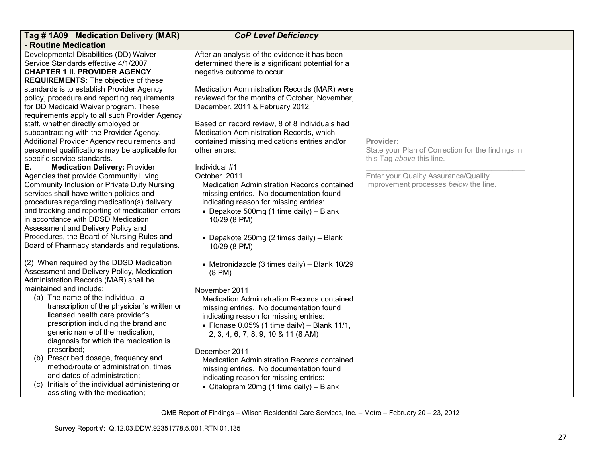| Tag # 1A09 Medication Delivery (MAR)                                                                                                                                                                                                                                                                                                                                                                                                                         | <b>CoP Level Deficiency</b>                                                                                                                                                                                                                                                                                   |                                                                                |  |
|--------------------------------------------------------------------------------------------------------------------------------------------------------------------------------------------------------------------------------------------------------------------------------------------------------------------------------------------------------------------------------------------------------------------------------------------------------------|---------------------------------------------------------------------------------------------------------------------------------------------------------------------------------------------------------------------------------------------------------------------------------------------------------------|--------------------------------------------------------------------------------|--|
| - Routine Medication                                                                                                                                                                                                                                                                                                                                                                                                                                         |                                                                                                                                                                                                                                                                                                               |                                                                                |  |
| Developmental Disabilities (DD) Waiver<br>Service Standards effective 4/1/2007<br><b>CHAPTER 1 II. PROVIDER AGENCY</b>                                                                                                                                                                                                                                                                                                                                       | After an analysis of the evidence it has been<br>determined there is a significant potential for a<br>negative outcome to occur.                                                                                                                                                                              |                                                                                |  |
| <b>REQUIREMENTS:</b> The objective of these<br>standards is to establish Provider Agency<br>policy, procedure and reporting requirements<br>for DD Medicaid Waiver program. These<br>requirements apply to all such Provider Agency<br>staff, whether directly employed or<br>subcontracting with the Provider Agency.<br>Additional Provider Agency requirements and                                                                                        | Medication Administration Records (MAR) were<br>reviewed for the months of October, November,<br>December, 2011 & February 2012.<br>Based on record review, 8 of 8 individuals had<br>Medication Administration Records, which<br>contained missing medications entries and/or                                | Provider:                                                                      |  |
| personnel qualifications may be applicable for<br>specific service standards.                                                                                                                                                                                                                                                                                                                                                                                | other errors:                                                                                                                                                                                                                                                                                                 | State your Plan of Correction for the findings in<br>this Tag above this line. |  |
| <b>Medication Delivery: Provider</b><br>Е.<br>Agencies that provide Community Living,<br>Community Inclusion or Private Duty Nursing<br>services shall have written policies and<br>procedures regarding medication(s) delivery<br>and tracking and reporting of medication errors<br>in accordance with DDSD Medication<br>Assessment and Delivery Policy and<br>Procedures, the Board of Nursing Rules and<br>Board of Pharmacy standards and regulations. | Individual #1<br>October 2011<br><b>Medication Administration Records contained</b><br>missing entries. No documentation found<br>indicating reason for missing entries:<br>• Depakote 500mg (1 time daily) - Blank<br>10/29 (8 PM)<br>• Depakote 250mg (2 times daily) - Blank<br>10/29 (8 PM)               | Enter your Quality Assurance/Quality<br>Improvement processes below the line.  |  |
| (2) When required by the DDSD Medication<br>Assessment and Delivery Policy, Medication<br>Administration Records (MAR) shall be<br>maintained and include:<br>(a) The name of the individual, a<br>transcription of the physician's written or<br>licensed health care provider's<br>prescription including the brand and<br>generic name of the medication,<br>diagnosis for which the medication is                                                        | • Metronidazole (3 times daily) - Blank 10/29<br>$(8 \text{ PM})$<br>November 2011<br>Medication Administration Records contained<br>missing entries. No documentation found<br>indicating reason for missing entries:<br>• Flonase 0.05% (1 time daily) - Blank 11/1,<br>2, 3, 4, 6, 7, 8, 9, 10 & 11 (8 AM) |                                                                                |  |
| prescribed;<br>(b) Prescribed dosage, frequency and<br>method/route of administration, times<br>and dates of administration;<br>(c) Initials of the individual administering or<br>assisting with the medication;                                                                                                                                                                                                                                            | December 2011<br><b>Medication Administration Records contained</b><br>missing entries. No documentation found<br>indicating reason for missing entries:<br>• Citalopram 20mg (1 time daily) - Blank                                                                                                          |                                                                                |  |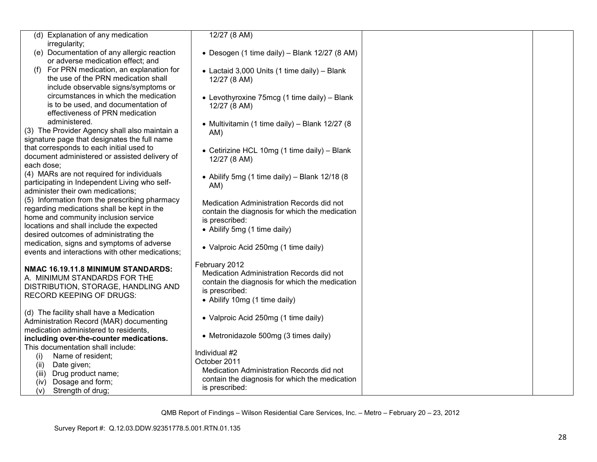|                                                                                     | 12/27(8 AM)                                    |  |
|-------------------------------------------------------------------------------------|------------------------------------------------|--|
| (d) Explanation of any medication<br>irregularity;                                  |                                                |  |
| (e) Documentation of any allergic reaction                                          | • Desogen (1 time daily) - Blank 12/27 (8 AM)  |  |
| or adverse medication effect; and                                                   |                                                |  |
| (f) For PRN medication, an explanation for                                          | • Lactaid 3,000 Units (1 time daily) - Blank   |  |
| the use of the PRN medication shall                                                 | 12/27 (8 AM)                                   |  |
| include observable signs/symptoms or                                                |                                                |  |
| circumstances in which the medication                                               | • Levothyroxine 75mcg (1 time daily) - Blank   |  |
| is to be used, and documentation of                                                 | 12/27 (8 AM)                                   |  |
| effectiveness of PRN medication                                                     |                                                |  |
| administered.                                                                       | • Multivitamin (1 time daily) - Blank 12/27 (8 |  |
| (3) The Provider Agency shall also maintain a                                       | AM)                                            |  |
| signature page that designates the full name                                        |                                                |  |
| that corresponds to each initial used to                                            | • Cetirizine HCL 10mg (1 time daily) - Blank   |  |
| document administered or assisted delivery of                                       | 12/27 (8 AM)                                   |  |
| each dose;                                                                          |                                                |  |
| (4) MARs are not required for individuals                                           | • Abilify 5mg (1 time daily) - Blank 12/18 (8  |  |
| participating in Independent Living who self-                                       | AM)                                            |  |
| administer their own medications;<br>(5) Information from the prescribing pharmacy  |                                                |  |
| regarding medications shall be kept in the                                          | Medication Administration Records did not      |  |
| home and community inclusion service                                                | contain the diagnosis for which the medication |  |
| locations and shall include the expected                                            | is prescribed:                                 |  |
| desired outcomes of administrating the                                              | • Abilify 5mg (1 time daily)                   |  |
| medication, signs and symptoms of adverse                                           |                                                |  |
| events and interactions with other medications;                                     | • Valproic Acid 250mg (1 time daily)           |  |
|                                                                                     | February 2012                                  |  |
| NMAC 16.19.11.8 MINIMUM STANDARDS:                                                  | Medication Administration Records did not      |  |
| A. MINIMUM STANDARDS FOR THE                                                        | contain the diagnosis for which the medication |  |
| DISTRIBUTION, STORAGE, HANDLING AND                                                 | is prescribed:                                 |  |
| <b>RECORD KEEPING OF DRUGS:</b>                                                     | • Abilify 10mg (1 time daily)                  |  |
|                                                                                     |                                                |  |
| (d) The facility shall have a Medication<br>Administration Record (MAR) documenting | • Valproic Acid 250mg (1 time daily)           |  |
| medication administered to residents.                                               |                                                |  |
| including over-the-counter medications.                                             | • Metronidazole 500mg (3 times daily)          |  |
| This documentation shall include:                                                   |                                                |  |
| Name of resident;<br>(i)                                                            | Individual #2                                  |  |
| Date given;<br>(ii)                                                                 | October 2011                                   |  |
| Drug product name;<br>(iii)                                                         | Medication Administration Records did not      |  |
| Dosage and form;<br>(iv)                                                            | contain the diagnosis for which the medication |  |
| Strength of drug;<br>(v)                                                            | is prescribed:                                 |  |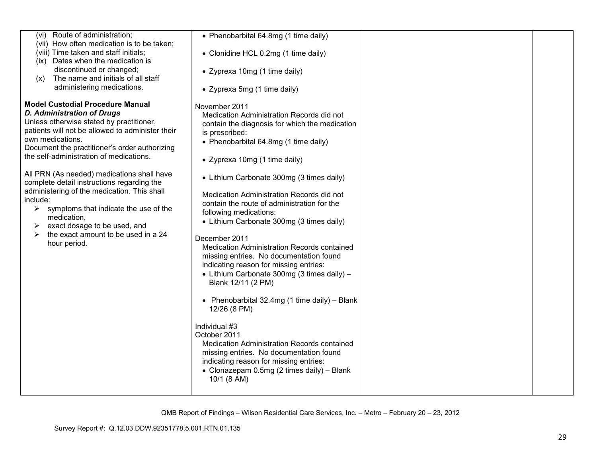| (vi) Route of administration;<br>(vii) How often medication is to be taken;<br>(viii) Time taken and staff initials;<br>(ix) Dates when the medication is<br>discontinued or changed;<br>The name and initials of all staff<br>(x)<br>administering medications.                                                                                                                                                                                                                                                                                                                                        | • Phenobarbital 64.8mg (1 time daily)<br>• Clonidine HCL 0.2mg (1 time daily)<br>• Zyprexa 10mg (1 time daily)<br>• Zyprexa 5mg (1 time daily)                                                                                                                                                                                                                                                                                                                                                                                                                                                                                                                                                                                                                                                                                                                                                                                                        |  |
|---------------------------------------------------------------------------------------------------------------------------------------------------------------------------------------------------------------------------------------------------------------------------------------------------------------------------------------------------------------------------------------------------------------------------------------------------------------------------------------------------------------------------------------------------------------------------------------------------------|-------------------------------------------------------------------------------------------------------------------------------------------------------------------------------------------------------------------------------------------------------------------------------------------------------------------------------------------------------------------------------------------------------------------------------------------------------------------------------------------------------------------------------------------------------------------------------------------------------------------------------------------------------------------------------------------------------------------------------------------------------------------------------------------------------------------------------------------------------------------------------------------------------------------------------------------------------|--|
| <b>Model Custodial Procedure Manual</b><br><b>D. Administration of Drugs</b><br>Unless otherwise stated by practitioner,<br>patients will not be allowed to administer their<br>own medications.<br>Document the practitioner's order authorizing<br>the self-administration of medications.<br>All PRN (As needed) medications shall have<br>complete detail instructions regarding the<br>administering of the medication. This shall<br>include:<br>symptoms that indicate the use of the<br>≻<br>medication,<br>exact dosage to be used, and<br>the exact amount to be used in a 24<br>hour period. | November 2011<br>Medication Administration Records did not<br>contain the diagnosis for which the medication<br>is prescribed:<br>• Phenobarbital 64.8mg (1 time daily)<br>• Zyprexa 10mg (1 time daily)<br>• Lithium Carbonate 300mg (3 times daily)<br>Medication Administration Records did not<br>contain the route of administration for the<br>following medications:<br>• Lithium Carbonate 300mg (3 times daily)<br>December 2011<br>Medication Administration Records contained<br>missing entries. No documentation found<br>indicating reason for missing entries:<br>• Lithium Carbonate 300mg (3 times daily) -<br>Blank 12/11 (2 PM)<br>• Phenobarbital 32.4mg (1 time daily) - Blank<br>12/26 (8 PM)<br>Individual #3<br>October 2011<br>Medication Administration Records contained<br>missing entries. No documentation found<br>indicating reason for missing entries:<br>• Clonazepam 0.5mg (2 times daily) - Blank<br>10/1 (8 AM) |  |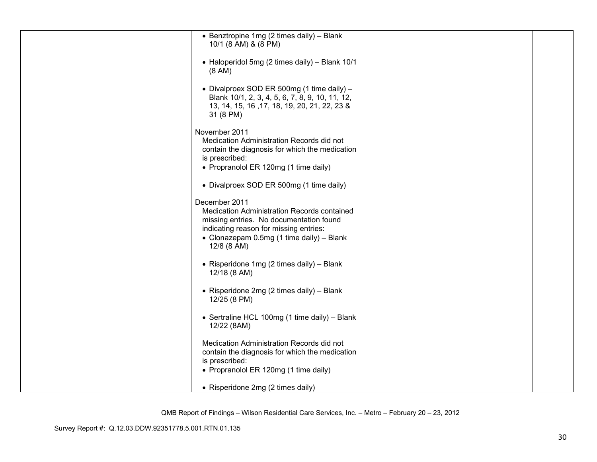| • Benztropine 1mg (2 times daily) - Blank                                                                                                                                                                     |  |
|---------------------------------------------------------------------------------------------------------------------------------------------------------------------------------------------------------------|--|
| 10/1 (8 AM) & (8 PM)                                                                                                                                                                                          |  |
| • Haloperidol 5mg (2 times daily) - Blank 10/1<br>$(8 \text{ AM})$                                                                                                                                            |  |
| • Divalproex SOD ER 500mg (1 time daily) -<br>Blank 10/1, 2, 3, 4, 5, 6, 7, 8, 9, 10, 11, 12,<br>13, 14, 15, 16, 17, 18, 19, 20, 21, 22, 23 &<br>31 (8 PM)                                                    |  |
| November 2011<br>Medication Administration Records did not                                                                                                                                                    |  |
| contain the diagnosis for which the medication<br>is prescribed:<br>• Propranolol ER 120mg (1 time daily)                                                                                                     |  |
| • Divalproex SOD ER 500mg (1 time daily)                                                                                                                                                                      |  |
| December 2011<br>Medication Administration Records contained<br>missing entries. No documentation found<br>indicating reason for missing entries:<br>• Clonazepam 0.5mg (1 time daily) - Blank<br>12/8 (8 AM) |  |
| • Risperidone 1mg (2 times daily) - Blank<br>12/18 (8 AM)                                                                                                                                                     |  |
| • Risperidone 2mg (2 times daily) - Blank<br>12/25 (8 PM)                                                                                                                                                     |  |
| • Sertraline HCL 100mg (1 time daily) - Blank<br>12/22 (8AM)                                                                                                                                                  |  |
| Medication Administration Records did not<br>contain the diagnosis for which the medication<br>is prescribed:<br>• Propranolol ER 120mg (1 time daily)                                                        |  |
|                                                                                                                                                                                                               |  |
| • Risperidone 2mg (2 times daily)                                                                                                                                                                             |  |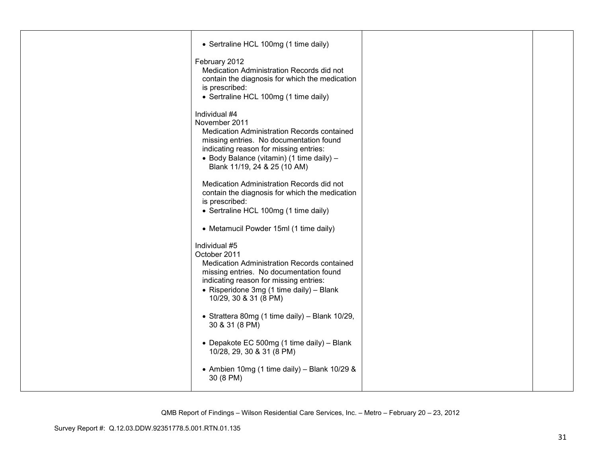| • Sertraline HCL 100mg (1 time daily)                                                                                                                                                                                                           |  |
|-------------------------------------------------------------------------------------------------------------------------------------------------------------------------------------------------------------------------------------------------|--|
| February 2012<br>Medication Administration Records did not<br>contain the diagnosis for which the medication<br>is prescribed:<br>• Sertraline HCL 100mg (1 time daily)                                                                         |  |
| Individual #4<br>November 2011<br>Medication Administration Records contained<br>missing entries. No documentation found<br>indicating reason for missing entries:<br>• Body Balance (vitamin) (1 time daily) -<br>Blank 11/19, 24 & 25 (10 AM) |  |
| Medication Administration Records did not<br>contain the diagnosis for which the medication<br>is prescribed:<br>• Sertraline HCL 100mg (1 time daily)                                                                                          |  |
| • Metamucil Powder 15ml (1 time daily)                                                                                                                                                                                                          |  |
| Individual #5<br>October 2011<br>Medication Administration Records contained<br>missing entries. No documentation found<br>indicating reason for missing entries:<br>• Risperidone 3mg (1 time daily) - Blank<br>10/29, 30 & 31 (8 PM)          |  |
| • Strattera 80mg (1 time daily) - Blank 10/29,<br>30 & 31 (8 PM)                                                                                                                                                                                |  |
| • Depakote EC 500mg (1 time daily) - Blank<br>10/28, 29, 30 & 31 (8 PM)                                                                                                                                                                         |  |
| • Ambien 10mg (1 time daily) - Blank 10/29 &<br>30 (8 PM)                                                                                                                                                                                       |  |
|                                                                                                                                                                                                                                                 |  |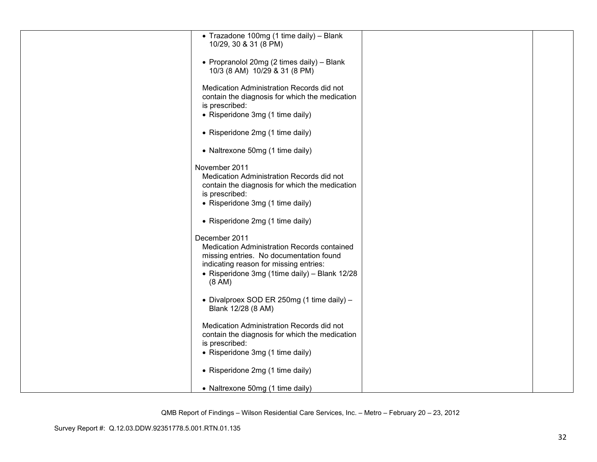| • Trazadone 100mg (1 time daily) - Blank       |  |
|------------------------------------------------|--|
| 10/29, 30 & 31 (8 PM)                          |  |
|                                                |  |
|                                                |  |
| • Propranolol 20mg (2 times daily) - Blank     |  |
|                                                |  |
| 10/3 (8 AM) 10/29 & 31 (8 PM)                  |  |
|                                                |  |
|                                                |  |
| Medication Administration Records did not      |  |
| contain the diagnosis for which the medication |  |
|                                                |  |
| is prescribed:                                 |  |
| • Risperidone 3mg (1 time daily)               |  |
|                                                |  |
|                                                |  |
| • Risperidone 2mg (1 time daily)               |  |
|                                                |  |
|                                                |  |
| • Naltrexone 50mg (1 time daily)               |  |
|                                                |  |
|                                                |  |
| November 2011                                  |  |
| Medication Administration Records did not      |  |
|                                                |  |
| contain the diagnosis for which the medication |  |
| is prescribed:                                 |  |
|                                                |  |
| • Risperidone 3mg (1 time daily)               |  |
|                                                |  |
|                                                |  |
| • Risperidone 2mg (1 time daily)               |  |
|                                                |  |
|                                                |  |
| December 2011                                  |  |
| Medication Administration Records contained    |  |
|                                                |  |
| missing entries. No documentation found        |  |
| indicating reason for missing entries:         |  |
|                                                |  |
| • Risperidone 3mg (1time daily) - Blank 12/28  |  |
| $(8 \text{ AM})$                               |  |
|                                                |  |
|                                                |  |
| • Divalproex SOD ER 250mg (1 time daily) -     |  |
|                                                |  |
| Blank 12/28 (8 AM)                             |  |
|                                                |  |
|                                                |  |
| Medication Administration Records did not      |  |
| contain the diagnosis for which the medication |  |
| is prescribed:                                 |  |
|                                                |  |
| • Risperidone 3mg (1 time daily)               |  |
|                                                |  |
|                                                |  |
| • Risperidone 2mg (1 time daily)               |  |
|                                                |  |
|                                                |  |
| • Naltrexone 50mg (1 time daily)               |  |
|                                                |  |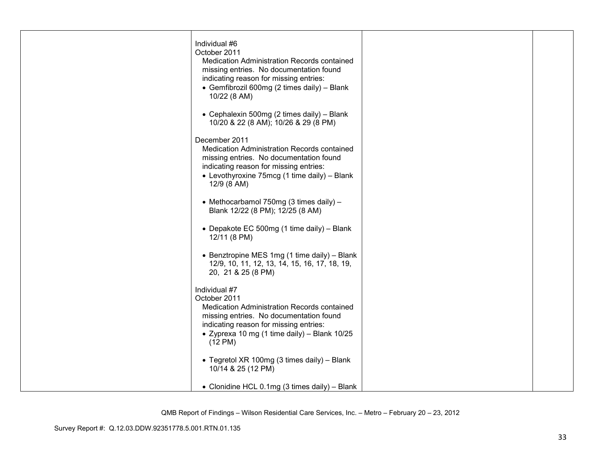| Individual #6<br>October 2011                                                          |  |
|----------------------------------------------------------------------------------------|--|
| Medication Administration Records contained                                            |  |
| missing entries. No documentation found<br>indicating reason for missing entries:      |  |
| • Gemfibrozil 600mg (2 times daily) - Blank                                            |  |
| 10/22 (8 AM)                                                                           |  |
| • Cephalexin 500mg (2 times daily) - Blank<br>10/20 & 22 (8 AM); 10/26 & 29 (8 PM)     |  |
| December 2011                                                                          |  |
| Medication Administration Records contained<br>missing entries. No documentation found |  |
| indicating reason for missing entries:                                                 |  |
| • Levothyroxine 75mcg (1 time daily) - Blank<br>12/9 (8 AM)                            |  |
| • Methocarbamol 750mg (3 times daily) -                                                |  |
| Blank 12/22 (8 PM); 12/25 (8 AM)                                                       |  |
| • Depakote EC 500mg (1 time daily) - Blank<br>12/11 (8 PM)                             |  |
| • Benztropine MES 1mg (1 time daily) – Blank                                           |  |
| 12/9, 10, 11, 12, 13, 14, 15, 16, 17, 18, 19,<br>20, 21 & 25 (8 PM)                    |  |
| Individual #7                                                                          |  |
| October 2011<br>Medication Administration Records contained                            |  |
| missing entries. No documentation found                                                |  |
| indicating reason for missing entries:<br>• Zyprexa 10 mg (1 time daily) - Blank 10/25 |  |
| $(12 \text{ PM})$                                                                      |  |
| • Tegretol XR 100mg (3 times daily) - Blank                                            |  |
| 10/14 & 25 (12 PM)                                                                     |  |
| • Clonidine HCL 0.1mg (3 times daily) - Blank                                          |  |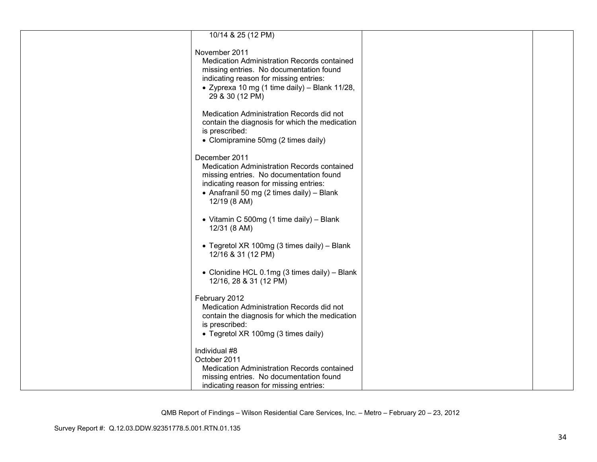| 10/14 & 25 (12 PM)                                                                |  |
|-----------------------------------------------------------------------------------|--|
|                                                                                   |  |
| November 2011                                                                     |  |
| Medication Administration Records contained                                       |  |
| missing entries. No documentation found                                           |  |
| indicating reason for missing entries:                                            |  |
| • Zyprexa 10 mg (1 time daily) - Blank 11/28,                                     |  |
| 29 & 30 (12 PM)                                                                   |  |
|                                                                                   |  |
| Medication Administration Records did not                                         |  |
| contain the diagnosis for which the medication                                    |  |
| is prescribed:                                                                    |  |
| • Clomipramine 50mg (2 times daily)                                               |  |
|                                                                                   |  |
| December 2011                                                                     |  |
| Medication Administration Records contained                                       |  |
| missing entries. No documentation found<br>indicating reason for missing entries: |  |
| • Anafranil 50 mg (2 times daily) - Blank                                         |  |
| 12/19 (8 AM)                                                                      |  |
|                                                                                   |  |
| • Vitamin C 500mg (1 time daily) - Blank                                          |  |
| 12/31 (8 AM)                                                                      |  |
|                                                                                   |  |
| • Tegretol XR 100mg (3 times daily) - Blank                                       |  |
| 12/16 & 31 (12 PM)                                                                |  |
|                                                                                   |  |
| • Clonidine HCL 0.1mg (3 times daily) - Blank                                     |  |
| 12/16, 28 & 31 (12 PM)                                                            |  |
|                                                                                   |  |
| February 2012                                                                     |  |
| Medication Administration Records did not                                         |  |
| contain the diagnosis for which the medication                                    |  |
| is prescribed:                                                                    |  |
| • Tegretol XR 100mg (3 times daily)                                               |  |
| Individual #8                                                                     |  |
| October 2011                                                                      |  |
| Medication Administration Records contained                                       |  |
| missing entries. No documentation found                                           |  |
| indicating reason for missing entries:                                            |  |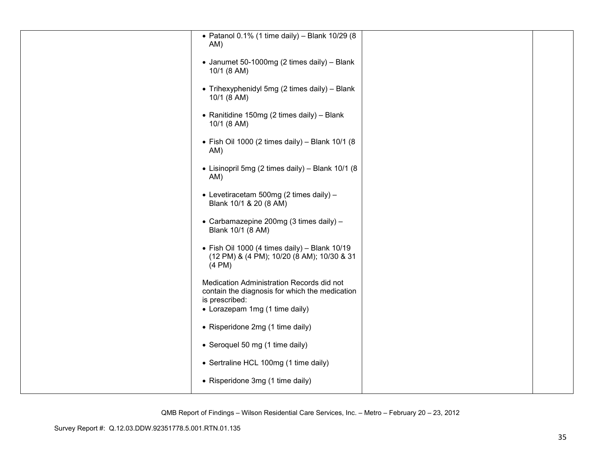| • Patanol 0.1% (1 time daily) - Blank 10/29 (8                                                                                                  |  |
|-------------------------------------------------------------------------------------------------------------------------------------------------|--|
| AM)                                                                                                                                             |  |
| • Janumet 50-1000mg (2 times daily) - Blank<br>10/1 (8 AM)                                                                                      |  |
| • Trihexyphenidyl 5mg (2 times daily) - Blank<br>10/1 (8 AM)                                                                                    |  |
| • Ranitidine 150mg (2 times daily) - Blank<br>10/1 (8 AM)                                                                                       |  |
| $\bullet$ Fish Oil 1000 (2 times daily) - Blank 10/1 (8<br>AM)                                                                                  |  |
| • Lisinopril 5mg (2 times daily) - Blank 10/1 (8<br>AM)                                                                                         |  |
| • Levetiracetam 500mg (2 times daily) -<br>Blank 10/1 & 20 (8 AM)                                                                               |  |
| • Carbamazepine 200mg (3 times daily) -<br>Blank 10/1 (8 AM)                                                                                    |  |
| • Fish Oil 1000 (4 times daily) - Blank 10/19<br>(12 PM) & (4 PM); 10/20 (8 AM); 10/30 & 31<br>$(4 \text{ PM})$                                 |  |
| Medication Administration Records did not<br>contain the diagnosis for which the medication<br>is prescribed:<br>• Lorazepam 1mg (1 time daily) |  |
| • Risperidone 2mg (1 time daily)                                                                                                                |  |
|                                                                                                                                                 |  |
| • Seroquel 50 mg (1 time daily)                                                                                                                 |  |
| • Sertraline HCL 100mg (1 time daily)                                                                                                           |  |
| • Risperidone 3mg (1 time daily)                                                                                                                |  |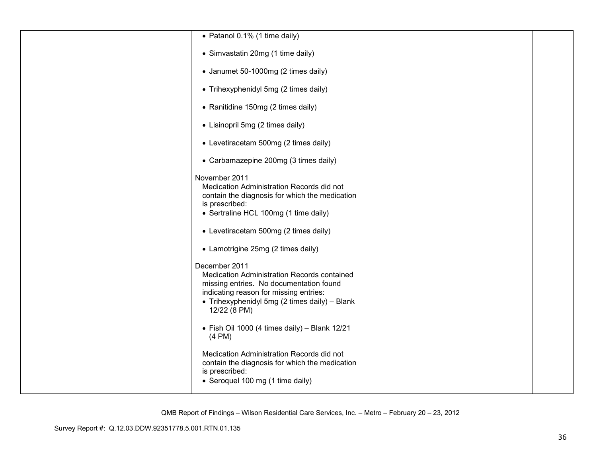| • Patanol 0.1% (1 time daily)                                                                                                                                                                                      |  |
|--------------------------------------------------------------------------------------------------------------------------------------------------------------------------------------------------------------------|--|
| • Simvastatin 20mg (1 time daily)                                                                                                                                                                                  |  |
| • Janumet 50-1000mg (2 times daily)                                                                                                                                                                                |  |
| • Trihexyphenidyl 5mg (2 times daily)                                                                                                                                                                              |  |
| • Ranitidine 150mg (2 times daily)                                                                                                                                                                                 |  |
| • Lisinopril 5mg (2 times daily)                                                                                                                                                                                   |  |
| • Levetiracetam 500mg (2 times daily)                                                                                                                                                                              |  |
| • Carbamazepine 200mg (3 times daily)                                                                                                                                                                              |  |
| November 2011<br>Medication Administration Records did not<br>contain the diagnosis for which the medication<br>is prescribed:<br>• Sertraline HCL 100mg (1 time daily)                                            |  |
| • Levetiracetam 500mg (2 times daily)                                                                                                                                                                              |  |
| • Lamotrigine 25mg (2 times daily)                                                                                                                                                                                 |  |
| December 2011<br>Medication Administration Records contained<br>missing entries. No documentation found<br>indicating reason for missing entries:<br>• Trihexyphenidyl 5mg (2 times daily) - Blank<br>12/22 (8 PM) |  |
| • Fish Oil 1000 (4 times daily) - Blank 12/21<br>$(4 \text{ PM})$                                                                                                                                                  |  |
| Medication Administration Records did not<br>contain the diagnosis for which the medication<br>is prescribed:<br>• Seroquel 100 mg (1 time daily)                                                                  |  |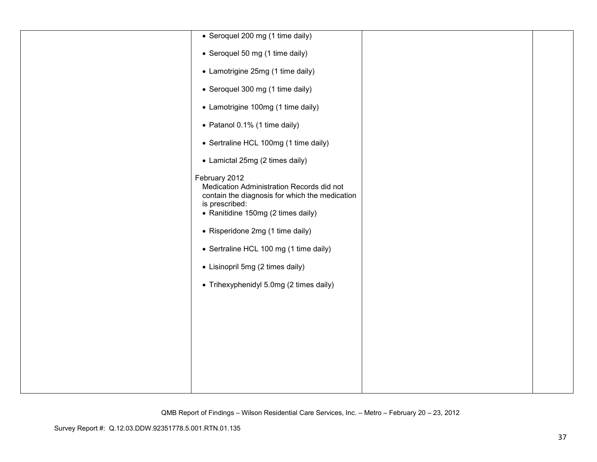| • Seroquel 200 mg (1 time daily)                                                                                                                                                                                                                                                                                                  |  |
|-----------------------------------------------------------------------------------------------------------------------------------------------------------------------------------------------------------------------------------------------------------------------------------------------------------------------------------|--|
|                                                                                                                                                                                                                                                                                                                                   |  |
| • Seroquel 50 mg (1 time daily)                                                                                                                                                                                                                                                                                                   |  |
| • Lamotrigine 25mg (1 time daily)                                                                                                                                                                                                                                                                                                 |  |
| • Seroquel 300 mg (1 time daily)                                                                                                                                                                                                                                                                                                  |  |
| • Lamotrigine 100mg (1 time daily)                                                                                                                                                                                                                                                                                                |  |
| • Patanol 0.1% (1 time daily)                                                                                                                                                                                                                                                                                                     |  |
| • Sertraline HCL 100mg (1 time daily)                                                                                                                                                                                                                                                                                             |  |
| • Lamictal 25mg (2 times daily)                                                                                                                                                                                                                                                                                                   |  |
| February 2012<br>Medication Administration Records did not<br>contain the diagnosis for which the medication<br>is prescribed:<br>• Ranitidine 150mg (2 times daily)<br>• Risperidone 2mg (1 time daily)<br>• Sertraline HCL 100 mg (1 time daily)<br>• Lisinopril 5mg (2 times daily)<br>• Trihexyphenidyl 5.0mg (2 times daily) |  |
|                                                                                                                                                                                                                                                                                                                                   |  |
|                                                                                                                                                                                                                                                                                                                                   |  |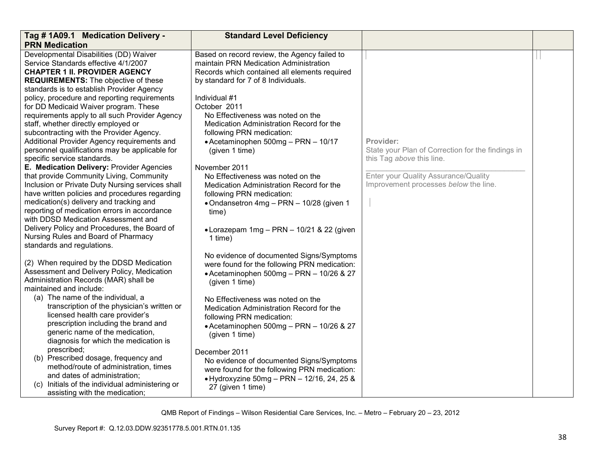| Tag #1A09.1 Medication Delivery -                                                                                                                                                                                                                                                                                                                                                                                                                                                                                                                                                                                                                                                                                                                                                                                               | <b>Standard Level Deficiency</b>                                                                                                                                                                                                                                                                                                                                                                                                                                                                                   |                                                                                                                                                                              |  |
|---------------------------------------------------------------------------------------------------------------------------------------------------------------------------------------------------------------------------------------------------------------------------------------------------------------------------------------------------------------------------------------------------------------------------------------------------------------------------------------------------------------------------------------------------------------------------------------------------------------------------------------------------------------------------------------------------------------------------------------------------------------------------------------------------------------------------------|--------------------------------------------------------------------------------------------------------------------------------------------------------------------------------------------------------------------------------------------------------------------------------------------------------------------------------------------------------------------------------------------------------------------------------------------------------------------------------------------------------------------|------------------------------------------------------------------------------------------------------------------------------------------------------------------------------|--|
| <b>PRN Medication</b>                                                                                                                                                                                                                                                                                                                                                                                                                                                                                                                                                                                                                                                                                                                                                                                                           |                                                                                                                                                                                                                                                                                                                                                                                                                                                                                                                    |                                                                                                                                                                              |  |
| Developmental Disabilities (DD) Waiver<br>Service Standards effective 4/1/2007<br><b>CHAPTER 1 II. PROVIDER AGENCY</b><br><b>REQUIREMENTS:</b> The objective of these                                                                                                                                                                                                                                                                                                                                                                                                                                                                                                                                                                                                                                                           | Based on record review, the Agency failed to<br>maintain PRN Medication Administration<br>Records which contained all elements required<br>by standard for 7 of 8 Individuals.                                                                                                                                                                                                                                                                                                                                     |                                                                                                                                                                              |  |
| standards is to establish Provider Agency<br>policy, procedure and reporting requirements<br>for DD Medicaid Waiver program. These<br>requirements apply to all such Provider Agency<br>staff, whether directly employed or<br>subcontracting with the Provider Agency.<br>Additional Provider Agency requirements and<br>personnel qualifications may be applicable for<br>specific service standards.<br>E. Medication Delivery: Provider Agencies<br>that provide Community Living, Community<br>Inclusion or Private Duty Nursing services shall<br>have written policies and procedures regarding<br>medication(s) delivery and tracking and<br>reporting of medication errors in accordance<br>with DDSD Medication Assessment and<br>Delivery Policy and Procedures, the Board of<br>Nursing Rules and Board of Pharmacy | Individual #1<br>October 2011<br>No Effectiveness was noted on the<br>Medication Administration Record for the<br>following PRN medication:<br>• Acetaminophen 500mg - PRN - 10/17<br>(given 1 time)<br>November 2011<br>No Effectiveness was noted on the<br>Medication Administration Record for the<br>following PRN medication:<br>• Ondansetron 4mg - PRN - 10/28 (given 1<br>time)<br>• Lorazepam 1mg - PRN - 10/21 & 22 (given<br>1 time)                                                                   | Provider:<br>State your Plan of Correction for the findings in<br>this Tag above this line.<br>Enter your Quality Assurance/Quality<br>Improvement processes below the line. |  |
| standards and regulations.<br>(2) When required by the DDSD Medication<br>Assessment and Delivery Policy, Medication<br>Administration Records (MAR) shall be<br>maintained and include:<br>(a) The name of the individual, a<br>transcription of the physician's written or<br>licensed health care provider's<br>prescription including the brand and<br>generic name of the medication,<br>diagnosis for which the medication is<br>prescribed;<br>(b) Prescribed dosage, frequency and<br>method/route of administration, times<br>and dates of administration;<br>(c) Initials of the individual administering or<br>assisting with the medication;                                                                                                                                                                        | No evidence of documented Signs/Symptoms<br>were found for the following PRN medication:<br>• Acetaminophen 500mg - PRN - 10/26 & 27<br>(given 1 time)<br>No Effectiveness was noted on the<br>Medication Administration Record for the<br>following PRN medication:<br>• Acetaminophen 500mg - PRN - 10/26 & 27<br>(given 1 time)<br>December 2011<br>No evidence of documented Signs/Symptoms<br>were found for the following PRN medication:<br>• Hydroxyzine 50mg - PRN - 12/16, 24, 25 &<br>27 (given 1 time) |                                                                                                                                                                              |  |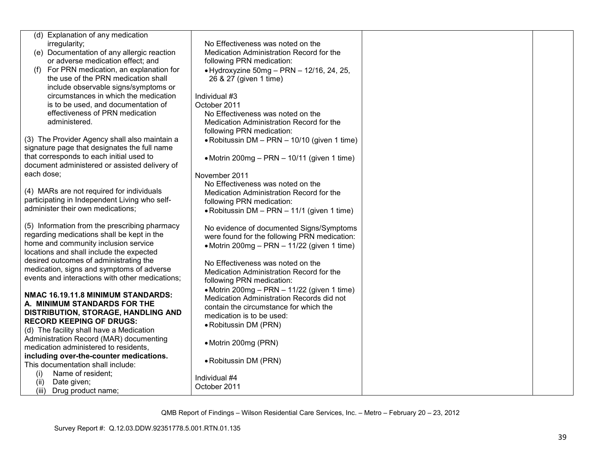| (d) Explanation of any medication               |                                              |  |
|-------------------------------------------------|----------------------------------------------|--|
| irregularity;                                   | No Effectiveness was noted on the            |  |
| (e) Documentation of any allergic reaction      | Medication Administration Record for the     |  |
| or adverse medication effect; and               | following PRN medication:                    |  |
| For PRN medication, an explanation for          | • Hydroxyzine 50mg - PRN - 12/16, 24, 25,    |  |
| the use of the PRN medication shall             | 26 & 27 (given 1 time)                       |  |
| include observable signs/symptoms or            |                                              |  |
| circumstances in which the medication           | Individual #3                                |  |
| is to be used, and documentation of             | October 2011                                 |  |
| effectiveness of PRN medication                 | No Effectiveness was noted on the            |  |
| administered.                                   | Medication Administration Record for the     |  |
|                                                 | following PRN medication:                    |  |
| (3) The Provider Agency shall also maintain a   | • Robitussin DM - PRN - 10/10 (given 1 time) |  |
| signature page that designates the full name    |                                              |  |
| that corresponds to each initial used to        | • Motrin 200mg - PRN - 10/11 (given 1 time)  |  |
| document administered or assisted delivery of   |                                              |  |
| each dose;                                      | November 2011                                |  |
|                                                 | No Effectiveness was noted on the            |  |
| (4) MARs are not required for individuals       | Medication Administration Record for the     |  |
| participating in Independent Living who self-   | following PRN medication:                    |  |
| administer their own medications;               | • Robitussin DM - PRN - 11/1 (given 1 time)  |  |
|                                                 |                                              |  |
| (5) Information from the prescribing pharmacy   | No evidence of documented Signs/Symptoms     |  |
| regarding medications shall be kept in the      | were found for the following PRN medication: |  |
| home and community inclusion service            | • Motrin 200mg – PRN – 11/22 (given 1 time)  |  |
| locations and shall include the expected        |                                              |  |
| desired outcomes of administrating the          | No Effectiveness was noted on the            |  |
| medication, signs and symptoms of adverse       | Medication Administration Record for the     |  |
| events and interactions with other medications; | following PRN medication:                    |  |
|                                                 | • Motrin 200mg – PRN – 11/22 (given 1 time)  |  |
| NMAC 16.19.11.8 MINIMUM STANDARDS:              | Medication Administration Records did not    |  |
| A. MINIMUM STANDARDS FOR THE                    | contain the circumstance for which the       |  |
| DISTRIBUTION, STORAGE, HANDLING AND             | medication is to be used:                    |  |
| <b>RECORD KEEPING OF DRUGS:</b>                 | • Robitussin DM (PRN)                        |  |
| (d) The facility shall have a Medication        |                                              |  |
| Administration Record (MAR) documenting         | • Motrin 200mg (PRN)                         |  |
| medication administered to residents,           |                                              |  |
| including over-the-counter medications.         | • Robitussin DM (PRN)                        |  |
| This documentation shall include:               |                                              |  |
| Name of resident;<br>(i)                        | Individual #4                                |  |
| Date given;<br>(ii)                             | October 2011                                 |  |
| (iii) Drug product name;                        |                                              |  |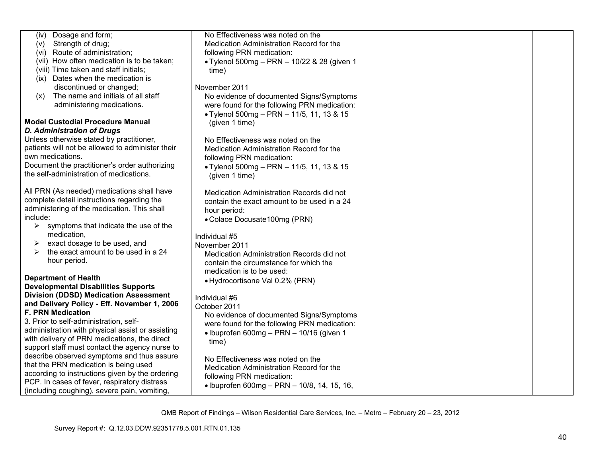| No Effectiveness was noted on the<br>Dosage and form;<br>(iv)                                |  |
|----------------------------------------------------------------------------------------------|--|
| Strength of drug;<br>Medication Administration Record for the<br>(v)                         |  |
| (vi) Route of administration;<br>following PRN medication:                                   |  |
| (vii) How often medication is to be taken;<br>• Tylenol 500mg - PRN - 10/22 & 28 (given 1    |  |
| (viii) Time taken and staff initials;<br>time)                                               |  |
| (ix) Dates when the medication is                                                            |  |
| discontinued or changed;<br>November 2011                                                    |  |
| The name and initials of all staff<br>No evidence of documented Signs/Symptoms<br>(x)        |  |
| administering medications.<br>were found for the following PRN medication:                   |  |
| • Tylenol 500mg - PRN - 11/5, 11, 13 & 15                                                    |  |
| <b>Model Custodial Procedure Manual</b><br>(given 1 time)                                    |  |
| <b>D. Administration of Drugs</b>                                                            |  |
| Unless otherwise stated by practitioner,<br>No Effectiveness was noted on the                |  |
| patients will not be allowed to administer their<br>Medication Administration Record for the |  |
| own medications.<br>following PRN medication:                                                |  |
| Document the practitioner's order authorizing<br>• Tylenol 500mg - PRN - 11/5, 11, 13 & 15   |  |
| the self-administration of medications.<br>(given 1 time)                                    |  |
|                                                                                              |  |
| All PRN (As needed) medications shall have<br>Medication Administration Records did not      |  |
| complete detail instructions regarding the<br>contain the exact amount to be used in a 24    |  |
| administering of the medication. This shall<br>hour period:                                  |  |
| include:<br>• Colace Docusate 100mg (PRN)                                                    |  |
| symptoms that indicate the use of the<br>➤                                                   |  |
| medication,<br>Individual #5                                                                 |  |
| exact dosage to be used, and<br>➤<br>November 2011                                           |  |
| the exact amount to be used in a 24<br>➤<br>Medication Administration Records did not        |  |
| hour period.<br>contain the circumstance for which the                                       |  |
| medication is to be used:                                                                    |  |
| <b>Department of Health</b><br>• Hydrocortisone Val 0.2% (PRN)                               |  |
| <b>Developmental Disabilities Supports</b>                                                   |  |
| <b>Division (DDSD) Medication Assessment</b><br>Individual #6                                |  |
| and Delivery Policy - Eff. November 1, 2006<br>October 2011                                  |  |
| <b>F. PRN Medication</b><br>No evidence of documented Signs/Symptoms                         |  |
| 3. Prior to self-administration, self-<br>were found for the following PRN medication:       |  |
| administration with physical assist or assisting<br>• Ibuprofen 600mg - PRN - 10/16 (given 1 |  |
| with delivery of PRN medications, the direct<br>time)                                        |  |
| support staff must contact the agency nurse to<br>describe observed symptoms and thus assure |  |
| No Effectiveness was noted on the<br>that the PRN medication is being used                   |  |
| Medication Administration Record for the<br>according to instructions given by the ordering  |  |
| following PRN medication:<br>PCP. In cases of fever, respiratory distress                    |  |
| • Ibuprofen 600mg - PRN - 10/8, 14, 15, 16,<br>(including coughing), severe pain, vomiting,  |  |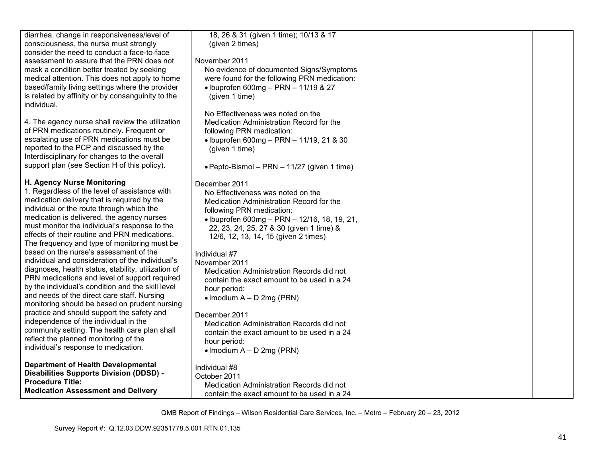| diarrhea, change in responsiveness/level of         | 18, 26 & 31 (given 1 time); 10/13 & 17       |  |
|-----------------------------------------------------|----------------------------------------------|--|
| consciousness, the nurse must strongly              | (given 2 times)                              |  |
| consider the need to conduct a face-to-face         |                                              |  |
| assessment to assure that the PRN does not          | November 2011                                |  |
| mask a condition better treated by seeking          | No evidence of documented Signs/Symptoms     |  |
|                                                     |                                              |  |
| medical attention. This does not apply to home      | were found for the following PRN medication: |  |
| based/family living settings where the provider     | • Ibuprofen 600mg - PRN - 11/19 & 27         |  |
| is related by affinity or by consanguinity to the   | (given 1 time)                               |  |
| individual.                                         |                                              |  |
|                                                     | No Effectiveness was noted on the            |  |
| 4. The agency nurse shall review the utilization    | Medication Administration Record for the     |  |
| of PRN medications routinely. Frequent or           | following PRN medication:                    |  |
| escalating use of PRN medications must be           |                                              |  |
| reported to the PCP and discussed by the            | • Ibuprofen 600mg - PRN - 11/19, 21 & 30     |  |
|                                                     | (given 1 time)                               |  |
| Interdisciplinary for changes to the overall        |                                              |  |
| support plan (see Section H of this policy).        | • Pepto-Bismol – PRN – 11/27 (given 1 time)  |  |
|                                                     |                                              |  |
| H. Agency Nurse Monitoring                          | December 2011                                |  |
| 1. Regardless of the level of assistance with       | No Effectiveness was noted on the            |  |
| medication delivery that is required by the         | Medication Administration Record for the     |  |
| individual or the route through which the           | following PRN medication:                    |  |
| medication is delivered, the agency nurses          | · Ibuprofen 600mg - PRN - 12/16, 18, 19, 21, |  |
| must monitor the individual's response to the       |                                              |  |
| effects of their routine and PRN medications.       | 22, 23, 24, 25, 27 & 30 (given 1 time) &     |  |
| The frequency and type of monitoring must be        | 12/6, 12, 13, 14, 15 (given 2 times)         |  |
| based on the nurse's assessment of the              |                                              |  |
|                                                     | Individual #7                                |  |
| individual and consideration of the individual's    | November 2011                                |  |
| diagnoses, health status, stability, utilization of | Medication Administration Records did not    |  |
| PRN medications and level of support required       | contain the exact amount to be used in a 24  |  |
| by the individual's condition and the skill level   | hour period:                                 |  |
| and needs of the direct care staff. Nursing         | $\bullet$ Imodium A – D 2mg (PRN)            |  |
| monitoring should be based on prudent nursing       |                                              |  |
| practice and should support the safety and          | December 2011                                |  |
| independence of the individual in the               | Medication Administration Records did not    |  |
| community setting. The health care plan shall       |                                              |  |
| reflect the planned monitoring of the               | contain the exact amount to be used in a 24  |  |
| individual's response to medication.                | hour period:                                 |  |
|                                                     | • Imodium $A - D$ 2mg (PRN)                  |  |
| <b>Department of Health Developmental</b>           |                                              |  |
|                                                     | Individual #8                                |  |
| <b>Disabilities Supports Division (DDSD) -</b>      | October 2011                                 |  |
| <b>Procedure Title:</b>                             | Medication Administration Records did not    |  |
| <b>Medication Assessment and Delivery</b>           | contain the exact amount to be used in a 24  |  |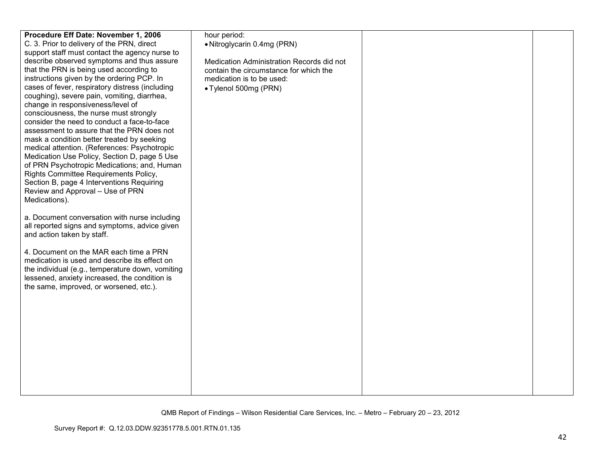| Procedure Eff Date: November 1, 2006             | hour period:                              |  |
|--------------------------------------------------|-------------------------------------------|--|
| C. 3. Prior to delivery of the PRN, direct       | • Nitroglycarin 0.4mg (PRN)               |  |
| support staff must contact the agency nurse to   |                                           |  |
| describe observed symptoms and thus assure       | Medication Administration Records did not |  |
| that the PRN is being used according to          | contain the circumstance for which the    |  |
| instructions given by the ordering PCP. In       | medication is to be used:                 |  |
| cases of fever, respiratory distress (including  | • Tylenol 500mg (PRN)                     |  |
| coughing), severe pain, vomiting, diarrhea,      |                                           |  |
| change in responsiveness/level of                |                                           |  |
| consciousness, the nurse must strongly           |                                           |  |
| consider the need to conduct a face-to-face      |                                           |  |
| assessment to assure that the PRN does not       |                                           |  |
| mask a condition better treated by seeking       |                                           |  |
| medical attention. (References: Psychotropic     |                                           |  |
| Medication Use Policy, Section D, page 5 Use     |                                           |  |
| of PRN Psychotropic Medications; and, Human      |                                           |  |
| Rights Committee Requirements Policy,            |                                           |  |
| Section B, page 4 Interventions Requiring        |                                           |  |
| Review and Approval - Use of PRN                 |                                           |  |
| Medications).                                    |                                           |  |
|                                                  |                                           |  |
| a. Document conversation with nurse including    |                                           |  |
| all reported signs and symptoms, advice given    |                                           |  |
|                                                  |                                           |  |
| and action taken by staff.                       |                                           |  |
| 4. Document on the MAR each time a PRN           |                                           |  |
| medication is used and describe its effect on    |                                           |  |
|                                                  |                                           |  |
| the individual (e.g., temperature down, vomiting |                                           |  |
| lessened, anxiety increased, the condition is    |                                           |  |
| the same, improved, or worsened, etc.).          |                                           |  |
|                                                  |                                           |  |
|                                                  |                                           |  |
|                                                  |                                           |  |
|                                                  |                                           |  |
|                                                  |                                           |  |
|                                                  |                                           |  |
|                                                  |                                           |  |
|                                                  |                                           |  |
|                                                  |                                           |  |
|                                                  |                                           |  |
|                                                  |                                           |  |
|                                                  |                                           |  |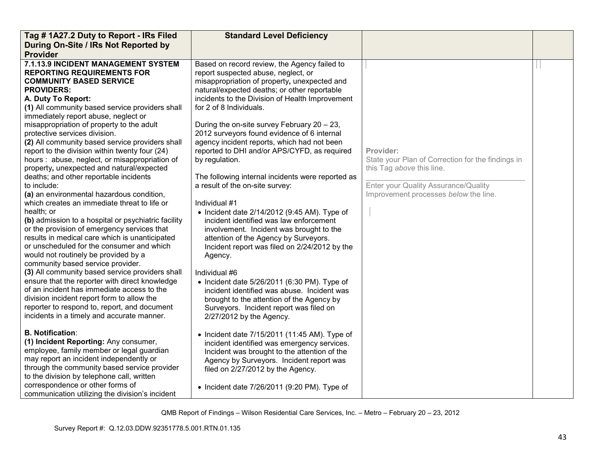| Tag #1A27.2 Duty to Report - IRs Filed                                                                                                                                                                                                                                                                                                                                                                                                                                                                                                                                                                                                                                                                                                                                                                                                                                                                                                                                                                                                                                                                                                                                                                                                                                                                                                                                                                                                                                                                                                                                                                                                  | <b>Standard Level Deficiency</b>                                                                                                                                                                                                                                                                                                                                                                                                                                                                                                                                                                                                                                                                                                                                                                                                                                                                                                                                                                                                                                                                                                                                                                                                                                                                                                                                     |                                                                                                                                                                              |  |
|-----------------------------------------------------------------------------------------------------------------------------------------------------------------------------------------------------------------------------------------------------------------------------------------------------------------------------------------------------------------------------------------------------------------------------------------------------------------------------------------------------------------------------------------------------------------------------------------------------------------------------------------------------------------------------------------------------------------------------------------------------------------------------------------------------------------------------------------------------------------------------------------------------------------------------------------------------------------------------------------------------------------------------------------------------------------------------------------------------------------------------------------------------------------------------------------------------------------------------------------------------------------------------------------------------------------------------------------------------------------------------------------------------------------------------------------------------------------------------------------------------------------------------------------------------------------------------------------------------------------------------------------|----------------------------------------------------------------------------------------------------------------------------------------------------------------------------------------------------------------------------------------------------------------------------------------------------------------------------------------------------------------------------------------------------------------------------------------------------------------------------------------------------------------------------------------------------------------------------------------------------------------------------------------------------------------------------------------------------------------------------------------------------------------------------------------------------------------------------------------------------------------------------------------------------------------------------------------------------------------------------------------------------------------------------------------------------------------------------------------------------------------------------------------------------------------------------------------------------------------------------------------------------------------------------------------------------------------------------------------------------------------------|------------------------------------------------------------------------------------------------------------------------------------------------------------------------------|--|
| During On-Site / IRs Not Reported by                                                                                                                                                                                                                                                                                                                                                                                                                                                                                                                                                                                                                                                                                                                                                                                                                                                                                                                                                                                                                                                                                                                                                                                                                                                                                                                                                                                                                                                                                                                                                                                                    |                                                                                                                                                                                                                                                                                                                                                                                                                                                                                                                                                                                                                                                                                                                                                                                                                                                                                                                                                                                                                                                                                                                                                                                                                                                                                                                                                                      |                                                                                                                                                                              |  |
| <b>Provider</b>                                                                                                                                                                                                                                                                                                                                                                                                                                                                                                                                                                                                                                                                                                                                                                                                                                                                                                                                                                                                                                                                                                                                                                                                                                                                                                                                                                                                                                                                                                                                                                                                                         |                                                                                                                                                                                                                                                                                                                                                                                                                                                                                                                                                                                                                                                                                                                                                                                                                                                                                                                                                                                                                                                                                                                                                                                                                                                                                                                                                                      |                                                                                                                                                                              |  |
| 7.1.13.9 INCIDENT MANAGEMENT SYSTEM<br><b>REPORTING REQUIREMENTS FOR</b><br><b>COMMUNITY BASED SERVICE</b><br><b>PROVIDERS:</b><br>A. Duty To Report:<br>(1) All community based service providers shall<br>immediately report abuse, neglect or<br>misappropriation of property to the adult<br>protective services division.<br>(2) All community based service providers shall<br>report to the division within twenty four (24)<br>hours: abuse, neglect, or misappropriation of<br>property, unexpected and natural/expected<br>deaths; and other reportable incidents<br>to include:<br>(a) an environmental hazardous condition,<br>which creates an immediate threat to life or<br>health; or<br>(b) admission to a hospital or psychiatric facility<br>or the provision of emergency services that<br>results in medical care which is unanticipated<br>or unscheduled for the consumer and which<br>would not routinely be provided by a<br>community based service provider.<br>(3) All community based service providers shall<br>ensure that the reporter with direct knowledge<br>of an incident has immediate access to the<br>division incident report form to allow the<br>reporter to respond to, report, and document<br>incidents in a timely and accurate manner.<br><b>B. Notification:</b><br>(1) Incident Reporting: Any consumer,<br>employee, family member or legal guardian<br>may report an incident independently or<br>through the community based service provider<br>to the division by telephone call, written<br>correspondence or other forms of<br>communication utilizing the division's incident | Based on record review, the Agency failed to<br>report suspected abuse, neglect, or<br>misappropriation of property, unexpected and<br>natural/expected deaths; or other reportable<br>incidents to the Division of Health Improvement<br>for 2 of 8 Individuals.<br>During the on-site survey February 20 - 23,<br>2012 surveyors found evidence of 6 internal<br>agency incident reports, which had not been<br>reported to DHI and/or APS/CYFD, as required<br>by regulation.<br>The following internal incidents were reported as<br>a result of the on-site survey:<br>Individual #1<br>$\bullet$ Incident date 2/14/2012 (9:45 AM). Type of<br>incident identified was law enforcement<br>involvement. Incident was brought to the<br>attention of the Agency by Surveyors.<br>Incident report was filed on 2/24/2012 by the<br>Agency.<br>Individual #6<br>• Incident date $5/26/2011$ (6:30 PM). Type of<br>incident identified was abuse. Incident was<br>brought to the attention of the Agency by<br>Surveyors. Incident report was filed on<br>2/27/2012 by the Agency.<br>• Incident date 7/15/2011 (11:45 AM). Type of<br>incident identified was emergency services.<br>Incident was brought to the attention of the<br>Agency by Surveyors. Incident report was<br>filed on 2/27/2012 by the Agency.<br>• Incident date 7/26/2011 (9:20 PM). Type of | Provider:<br>State your Plan of Correction for the findings in<br>this Tag above this line.<br>Enter your Quality Assurance/Quality<br>Improvement processes below the line. |  |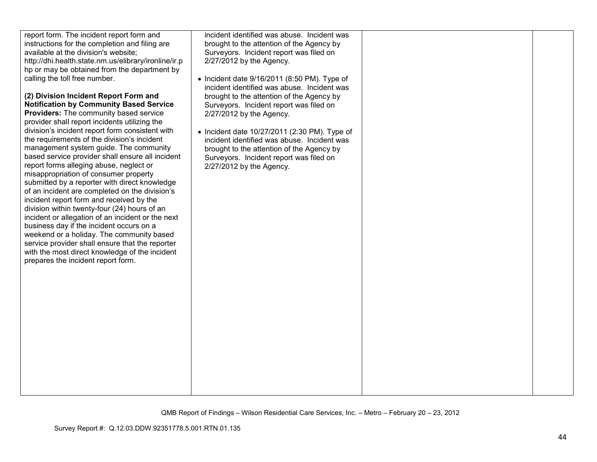| report form. The incident report form and            | incident identified was abuse. Incident was          |  |
|------------------------------------------------------|------------------------------------------------------|--|
| instructions for the completion and filing are       | brought to the attention of the Agency by            |  |
| available at the division's website;                 | Surveyors. Incident report was filed on              |  |
| http://dhi.health.state.nm.us/elibrary/ironline/ir.p | 2/27/2012 by the Agency.                             |  |
| hp or may be obtained from the department by         |                                                      |  |
| calling the toll free number.                        | $\bullet$ Incident date 9/16/2011 (8:50 PM). Type of |  |
|                                                      | incident identified was abuse. Incident was          |  |
| (2) Division Incident Report Form and                | brought to the attention of the Agency by            |  |
| <b>Notification by Community Based Service</b>       | Surveyors. Incident report was filed on              |  |
| <b>Providers:</b> The community based service        | 2/27/2012 by the Agency.                             |  |
| provider shall report incidents utilizing the        |                                                      |  |
| division's incident report form consistent with      | • Incident date 10/27/2011 (2:30 PM). Type of        |  |
| the requirements of the division's incident          | incident identified was abuse. Incident was          |  |
| management system guide. The community               | brought to the attention of the Agency by            |  |
| based service provider shall ensure all incident     | Surveyors. Incident report was filed on              |  |
| report forms alleging abuse, neglect or              | 2/27/2012 by the Agency.                             |  |
| misappropriation of consumer property                |                                                      |  |
| submitted by a reporter with direct knowledge        |                                                      |  |
| of an incident are completed on the division's       |                                                      |  |
| incident report form and received by the             |                                                      |  |
| division within twenty-four (24) hours of an         |                                                      |  |
| incident or allegation of an incident or the next    |                                                      |  |
| business day if the incident occurs on a             |                                                      |  |
| weekend or a holiday. The community based            |                                                      |  |
| service provider shall ensure that the reporter      |                                                      |  |
| with the most direct knowledge of the incident       |                                                      |  |
| prepares the incident report form.                   |                                                      |  |
|                                                      |                                                      |  |
|                                                      |                                                      |  |
|                                                      |                                                      |  |
|                                                      |                                                      |  |
|                                                      |                                                      |  |
|                                                      |                                                      |  |
|                                                      |                                                      |  |
|                                                      |                                                      |  |
|                                                      |                                                      |  |
|                                                      |                                                      |  |
|                                                      |                                                      |  |
|                                                      |                                                      |  |
|                                                      |                                                      |  |
|                                                      |                                                      |  |
|                                                      |                                                      |  |
|                                                      |                                                      |  |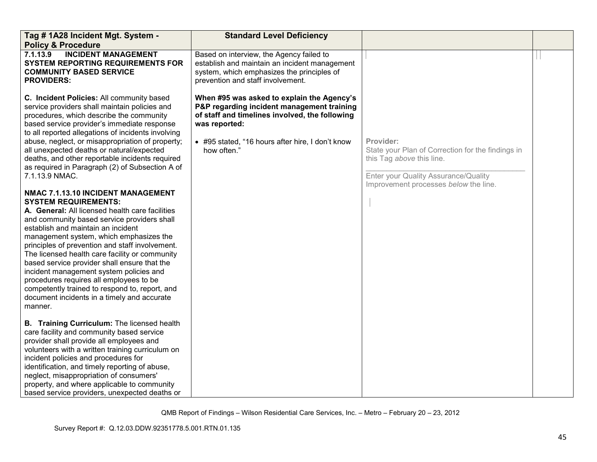| Tag # 1A28 Incident Mgt. System -<br><b>Policy &amp; Procedure</b>                                                                                                                                                                                                                                                                                                                                                                                                                                                                                                                                                                                                                                                                                                                                                                                                                                                                                                                                                                                                                  | <b>Standard Level Deficiency</b>                                                                                                                                                                                               |                                                                                                                                                                              |  |
|-------------------------------------------------------------------------------------------------------------------------------------------------------------------------------------------------------------------------------------------------------------------------------------------------------------------------------------------------------------------------------------------------------------------------------------------------------------------------------------------------------------------------------------------------------------------------------------------------------------------------------------------------------------------------------------------------------------------------------------------------------------------------------------------------------------------------------------------------------------------------------------------------------------------------------------------------------------------------------------------------------------------------------------------------------------------------------------|--------------------------------------------------------------------------------------------------------------------------------------------------------------------------------------------------------------------------------|------------------------------------------------------------------------------------------------------------------------------------------------------------------------------|--|
| <b>INCIDENT MANAGEMENT</b><br>7.1.13.9<br><b>SYSTEM REPORTING REQUIREMENTS FOR</b><br><b>COMMUNITY BASED SERVICE</b><br><b>PROVIDERS:</b>                                                                                                                                                                                                                                                                                                                                                                                                                                                                                                                                                                                                                                                                                                                                                                                                                                                                                                                                           | Based on interview, the Agency failed to<br>establish and maintain an incident management<br>system, which emphasizes the principles of<br>prevention and staff involvement.                                                   |                                                                                                                                                                              |  |
| C. Incident Policies: All community based<br>service providers shall maintain policies and<br>procedures, which describe the community<br>based service provider's immediate response<br>to all reported allegations of incidents involving<br>abuse, neglect, or misappropriation of property;<br>all unexpected deaths or natural/expected<br>deaths, and other reportable incidents required<br>as required in Paragraph (2) of Subsection A of<br>7.1.13.9 NMAC.<br>NMAC 7.1.13.10 INCIDENT MANAGEMENT<br><b>SYSTEM REQUIREMENTS:</b><br>A. General: All licensed health care facilities<br>and community based service providers shall<br>establish and maintain an incident<br>management system, which emphasizes the<br>principles of prevention and staff involvement.<br>The licensed health care facility or community<br>based service provider shall ensure that the<br>incident management system policies and<br>procedures requires all employees to be<br>competently trained to respond to, report, and<br>document incidents in a timely and accurate<br>manner. | When #95 was asked to explain the Agency's<br>P&P regarding incident management training<br>of staff and timelines involved, the following<br>was reported:<br>• #95 stated, "16 hours after hire, I don't know<br>how often.' | Provider:<br>State your Plan of Correction for the findings in<br>this Tag above this line.<br>Enter your Quality Assurance/Quality<br>Improvement processes below the line. |  |
| B. Training Curriculum: The licensed health<br>care facility and community based service<br>provider shall provide all employees and<br>volunteers with a written training curriculum on<br>incident policies and procedures for<br>identification, and timely reporting of abuse,<br>neglect, misappropriation of consumers'<br>property, and where applicable to community<br>based service providers, unexpected deaths or                                                                                                                                                                                                                                                                                                                                                                                                                                                                                                                                                                                                                                                       |                                                                                                                                                                                                                                |                                                                                                                                                                              |  |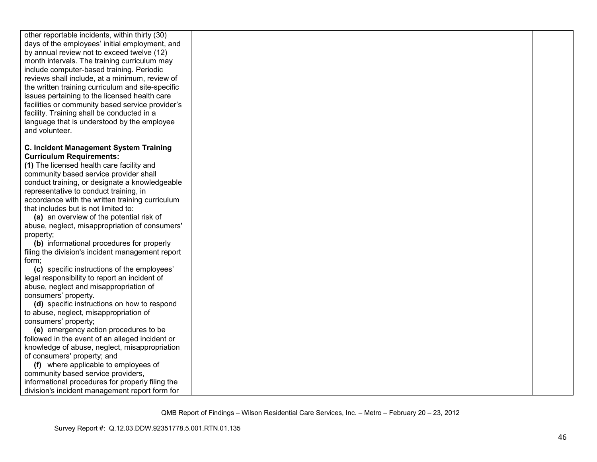| other reportable incidents, within thirty (30)    |  |  |
|---------------------------------------------------|--|--|
| days of the employees' initial employment, and    |  |  |
| by annual review not to exceed twelve (12)        |  |  |
| month intervals. The training curriculum may      |  |  |
| include computer-based training. Periodic         |  |  |
| reviews shall include, at a minimum, review of    |  |  |
| the written training curriculum and site-specific |  |  |
| issues pertaining to the licensed health care     |  |  |
| facilities or community based service provider's  |  |  |
| facility. Training shall be conducted in a        |  |  |
| language that is understood by the employee       |  |  |
| and volunteer.                                    |  |  |
|                                                   |  |  |
| <b>C. Incident Management System Training</b>     |  |  |
| <b>Curriculum Requirements:</b>                   |  |  |
| (1) The licensed health care facility and         |  |  |
| community based service provider shall            |  |  |
| conduct training, or designate a knowledgeable    |  |  |
| representative to conduct training, in            |  |  |
| accordance with the written training curriculum   |  |  |
| that includes but is not limited to:              |  |  |
| (a) an overview of the potential risk of          |  |  |
| abuse, neglect, misappropriation of consumers'    |  |  |
| property;                                         |  |  |
| (b) informational procedures for properly         |  |  |
| filing the division's incident management report  |  |  |
| form;                                             |  |  |
| (c) specific instructions of the employees'       |  |  |
| legal responsibility to report an incident of     |  |  |
| abuse, neglect and misappropriation of            |  |  |
| consumers' property.                              |  |  |
| (d) specific instructions on how to respond       |  |  |
| to abuse, neglect, misappropriation of            |  |  |
| consumers' property;                              |  |  |
| (e) emergency action procedures to be             |  |  |
| followed in the event of an alleged incident or   |  |  |
| knowledge of abuse, neglect, misappropriation     |  |  |
| of consumers' property; and                       |  |  |
| (f) where applicable to employees of              |  |  |
| community based service providers,                |  |  |
| informational procedures for properly filing the  |  |  |
| division's incident management report form for    |  |  |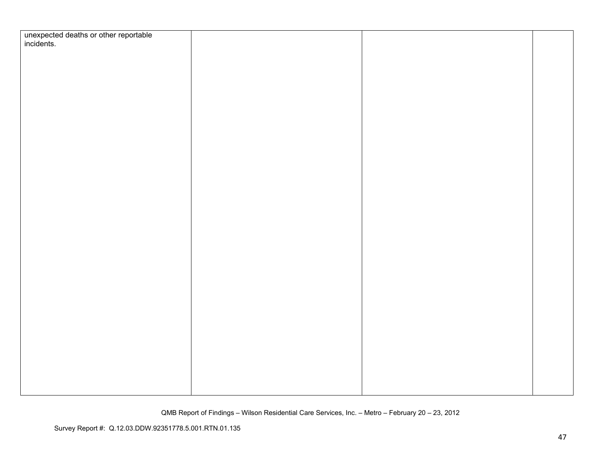| unexpected deaths or other reportable<br>incidents. |  |  |
|-----------------------------------------------------|--|--|
|                                                     |  |  |
|                                                     |  |  |
|                                                     |  |  |
|                                                     |  |  |
|                                                     |  |  |
|                                                     |  |  |
|                                                     |  |  |
|                                                     |  |  |
|                                                     |  |  |
|                                                     |  |  |
|                                                     |  |  |
|                                                     |  |  |
|                                                     |  |  |
|                                                     |  |  |
|                                                     |  |  |
|                                                     |  |  |
|                                                     |  |  |
|                                                     |  |  |
|                                                     |  |  |
|                                                     |  |  |
|                                                     |  |  |
|                                                     |  |  |
|                                                     |  |  |
|                                                     |  |  |
|                                                     |  |  |
|                                                     |  |  |
|                                                     |  |  |
|                                                     |  |  |
|                                                     |  |  |
|                                                     |  |  |
|                                                     |  |  |
|                                                     |  |  |
|                                                     |  |  |
|                                                     |  |  |
|                                                     |  |  |
|                                                     |  |  |
|                                                     |  |  |
|                                                     |  |  |
|                                                     |  |  |
|                                                     |  |  |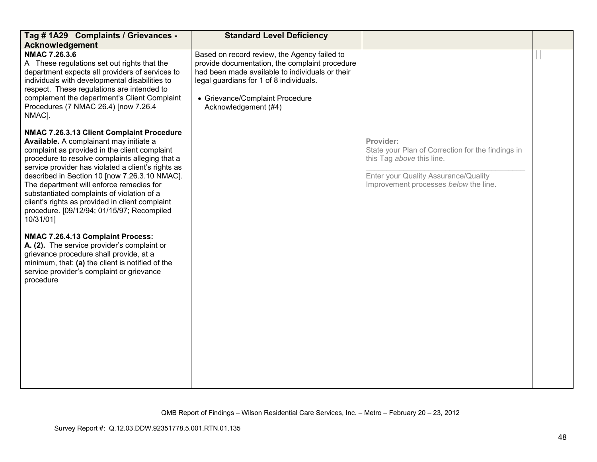| Tag # 1A29 Complaints / Grievances -<br><b>Acknowledgement</b>                                                                                                                                                                                                                                                                                                                                                                                                                                          | <b>Standard Level Deficiency</b>                                                                                                                                                                                                                        |                                                                                                                                                                              |  |
|---------------------------------------------------------------------------------------------------------------------------------------------------------------------------------------------------------------------------------------------------------------------------------------------------------------------------------------------------------------------------------------------------------------------------------------------------------------------------------------------------------|---------------------------------------------------------------------------------------------------------------------------------------------------------------------------------------------------------------------------------------------------------|------------------------------------------------------------------------------------------------------------------------------------------------------------------------------|--|
| NMAC 7.26.3.6<br>A These regulations set out rights that the<br>department expects all providers of services to<br>individuals with developmental disabilities to<br>respect. These regulations are intended to<br>complement the department's Client Complaint<br>Procedures (7 NMAC 26.4) [now 7.26.4]<br>NMAC].                                                                                                                                                                                      | Based on record review, the Agency failed to<br>provide documentation, the complaint procedure<br>had been made available to individuals or their<br>legal guardians for 1 of 8 individuals.<br>• Grievance/Complaint Procedure<br>Acknowledgement (#4) |                                                                                                                                                                              |  |
| NMAC 7.26.3.13 Client Complaint Procedure<br>Available. A complainant may initiate a<br>complaint as provided in the client complaint<br>procedure to resolve complaints alleging that a<br>service provider has violated a client's rights as<br>described in Section 10 [now 7.26.3.10 NMAC].<br>The department will enforce remedies for<br>substantiated complaints of violation of a<br>client's rights as provided in client complaint<br>procedure. [09/12/94; 01/15/97; Recompiled<br>10/31/01] |                                                                                                                                                                                                                                                         | Provider:<br>State your Plan of Correction for the findings in<br>this Tag above this line.<br>Enter your Quality Assurance/Quality<br>Improvement processes below the line. |  |
| NMAC 7.26.4.13 Complaint Process:<br>A. (2). The service provider's complaint or<br>grievance procedure shall provide, at a<br>minimum, that: (a) the client is notified of the<br>service provider's complaint or grievance<br>procedure                                                                                                                                                                                                                                                               |                                                                                                                                                                                                                                                         |                                                                                                                                                                              |  |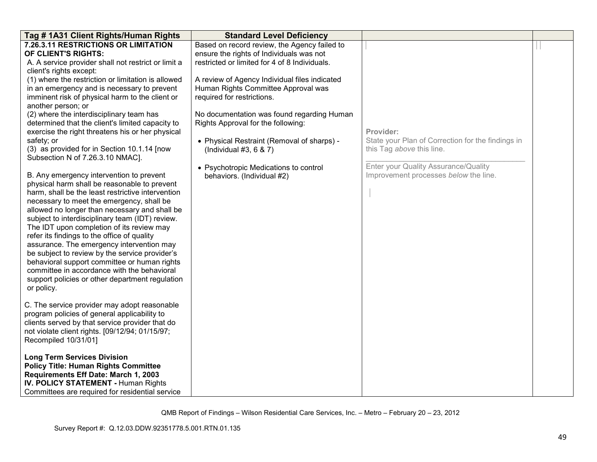| Tag # 1A31 Client Rights/Human Rights                                                                                                                                                                                                                                                                                                                                                                                                                                                                                                                                                                                                                     | <b>Standard Level Deficiency</b>                                                                                                          |                                                                                |  |
|-----------------------------------------------------------------------------------------------------------------------------------------------------------------------------------------------------------------------------------------------------------------------------------------------------------------------------------------------------------------------------------------------------------------------------------------------------------------------------------------------------------------------------------------------------------------------------------------------------------------------------------------------------------|-------------------------------------------------------------------------------------------------------------------------------------------|--------------------------------------------------------------------------------|--|
| 7.26.3.11 RESTRICTIONS OR LIMITATION<br>OF CLIENT'S RIGHTS:<br>A. A service provider shall not restrict or limit a                                                                                                                                                                                                                                                                                                                                                                                                                                                                                                                                        | Based on record review, the Agency failed to<br>ensure the rights of Individuals was not<br>restricted or limited for 4 of 8 Individuals. |                                                                                |  |
| client's rights except:                                                                                                                                                                                                                                                                                                                                                                                                                                                                                                                                                                                                                                   |                                                                                                                                           |                                                                                |  |
| (1) where the restriction or limitation is allowed<br>in an emergency and is necessary to prevent<br>imminent risk of physical harm to the client or<br>another person; or                                                                                                                                                                                                                                                                                                                                                                                                                                                                                | A review of Agency Individual files indicated<br>Human Rights Committee Approval was<br>required for restrictions.                        |                                                                                |  |
| (2) where the interdisciplinary team has<br>determined that the client's limited capacity to<br>exercise the right threatens his or her physical                                                                                                                                                                                                                                                                                                                                                                                                                                                                                                          | No documentation was found regarding Human<br>Rights Approval for the following:                                                          | Provider:                                                                      |  |
| safety; or<br>(3) as provided for in Section 10.1.14 [now<br>Subsection N of 7.26.3.10 NMAC].                                                                                                                                                                                                                                                                                                                                                                                                                                                                                                                                                             | • Physical Restraint (Removal of sharps) -<br>(Individual $#3, 6, 8, 7$ )                                                                 | State your Plan of Correction for the findings in<br>this Tag above this line. |  |
| B. Any emergency intervention to prevent<br>physical harm shall be reasonable to prevent<br>harm, shall be the least restrictive intervention<br>necessary to meet the emergency, shall be<br>allowed no longer than necessary and shall be<br>subject to interdisciplinary team (IDT) review.<br>The IDT upon completion of its review may<br>refer its findings to the office of quality<br>assurance. The emergency intervention may<br>be subject to review by the service provider's<br>behavioral support committee or human rights<br>committee in accordance with the behavioral<br>support policies or other department regulation<br>or policy. | • Psychotropic Medications to control<br>behaviors. (Individual #2)                                                                       | Enter your Quality Assurance/Quality<br>Improvement processes below the line.  |  |
| C. The service provider may adopt reasonable<br>program policies of general applicability to<br>clients served by that service provider that do<br>not violate client rights. [09/12/94; 01/15/97;<br>Recompiled 10/31/01]                                                                                                                                                                                                                                                                                                                                                                                                                                |                                                                                                                                           |                                                                                |  |
| <b>Long Term Services Division</b><br><b>Policy Title: Human Rights Committee</b><br>Requirements Eff Date: March 1, 2003<br><b>IV. POLICY STATEMENT - Human Rights</b><br>Committees are required for residential service                                                                                                                                                                                                                                                                                                                                                                                                                                |                                                                                                                                           |                                                                                |  |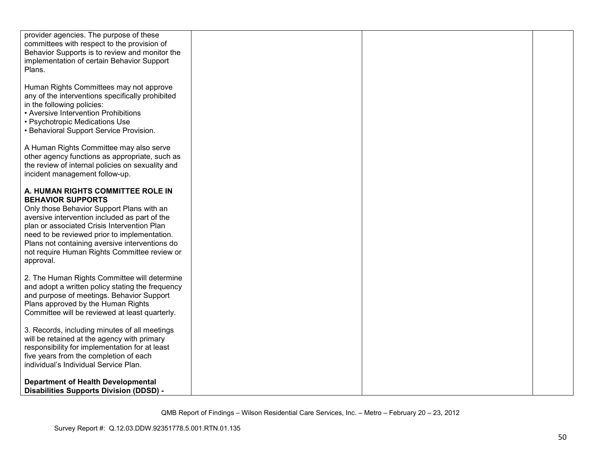| provider agencies. The purpose of these<br>committees with respect to the provision of<br>Behavior Supports is to review and monitor the<br>implementation of certain Behavior Support<br>Plans.                                                                                                                                                                          |  |  |
|---------------------------------------------------------------------------------------------------------------------------------------------------------------------------------------------------------------------------------------------------------------------------------------------------------------------------------------------------------------------------|--|--|
| Human Rights Committees may not approve<br>any of the interventions specifically prohibited<br>in the following policies:<br>• Aversive Intervention Prohibitions<br>• Psychotropic Medications Use<br>• Behavioral Support Service Provision.                                                                                                                            |  |  |
| A Human Rights Committee may also serve<br>other agency functions as appropriate, such as<br>the review of internal policies on sexuality and<br>incident management follow-up.                                                                                                                                                                                           |  |  |
| A. HUMAN RIGHTS COMMITTEE ROLE IN<br><b>BEHAVIOR SUPPORTS</b><br>Only those Behavior Support Plans with an<br>aversive intervention included as part of the<br>plan or associated Crisis Intervention Plan<br>need to be reviewed prior to implementation.<br>Plans not containing aversive interventions do<br>not require Human Rights Committee review or<br>approval. |  |  |
| 2. The Human Rights Committee will determine<br>and adopt a written policy stating the frequency<br>and purpose of meetings. Behavior Support<br>Plans approved by the Human Rights<br>Committee will be reviewed at least quarterly.                                                                                                                                     |  |  |
| 3. Records, including minutes of all meetings<br>will be retained at the agency with primary<br>responsibility for implementation for at least<br>five years from the completion of each<br>individual's Individual Service Plan.                                                                                                                                         |  |  |
| <b>Department of Health Developmental</b><br><b>Disabilities Supports Division (DDSD) -</b>                                                                                                                                                                                                                                                                               |  |  |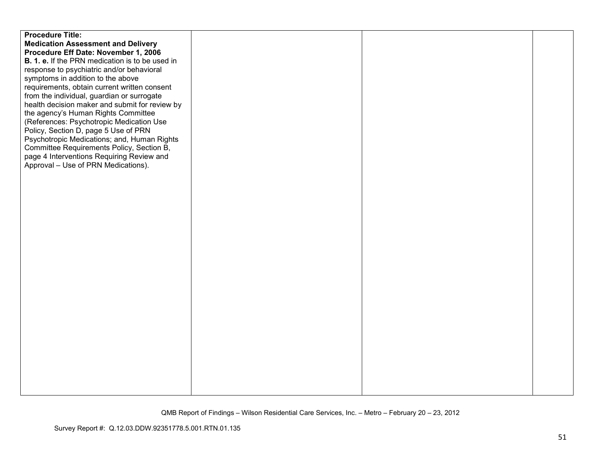| <b>Procedure Title:</b>                                |  |  |
|--------------------------------------------------------|--|--|
| <b>Medication Assessment and Delivery</b>              |  |  |
| Procedure Eff Date: November 1, 2006                   |  |  |
| <b>B. 1. e.</b> If the PRN medication is to be used in |  |  |
| response to psychiatric and/or behavioral              |  |  |
| symptoms in addition to the above                      |  |  |
| requirements, obtain current written consent           |  |  |
| from the individual, guardian or surrogate             |  |  |
| health decision maker and submit for review by         |  |  |
| the agency's Human Rights Committee                    |  |  |
| (References: Psychotropic Medication Use               |  |  |
| Policy, Section D, page 5 Use of PRN                   |  |  |
| Psychotropic Medications; and, Human Rights            |  |  |
| Committee Requirements Policy, Section B,              |  |  |
| page 4 Interventions Requiring Review and              |  |  |
| Approval – Use of PRN Medications).                    |  |  |
|                                                        |  |  |
|                                                        |  |  |
|                                                        |  |  |
|                                                        |  |  |
|                                                        |  |  |
|                                                        |  |  |
|                                                        |  |  |
|                                                        |  |  |
|                                                        |  |  |
|                                                        |  |  |
|                                                        |  |  |
|                                                        |  |  |
|                                                        |  |  |
|                                                        |  |  |
|                                                        |  |  |
|                                                        |  |  |
|                                                        |  |  |
|                                                        |  |  |
|                                                        |  |  |
|                                                        |  |  |
|                                                        |  |  |
|                                                        |  |  |
|                                                        |  |  |
|                                                        |  |  |
|                                                        |  |  |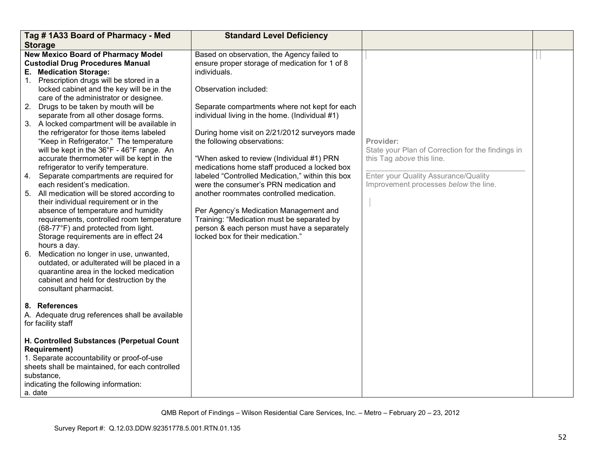|                | Tag #1A33 Board of Pharmacy - Med                                                                                                                                                                                                                                                                                                                                                                                                                                                                                                                                                                                                                                                                                                                                                                                                                                                                                                                                                                                                                                                                                                                                           | <b>Standard Level Deficiency</b>                                                                                                                                                                                                                                                                                                                                                                                                                                                                                                                                                                                                                                                                                                            |                                                                                                                                                                              |  |
|----------------|-----------------------------------------------------------------------------------------------------------------------------------------------------------------------------------------------------------------------------------------------------------------------------------------------------------------------------------------------------------------------------------------------------------------------------------------------------------------------------------------------------------------------------------------------------------------------------------------------------------------------------------------------------------------------------------------------------------------------------------------------------------------------------------------------------------------------------------------------------------------------------------------------------------------------------------------------------------------------------------------------------------------------------------------------------------------------------------------------------------------------------------------------------------------------------|---------------------------------------------------------------------------------------------------------------------------------------------------------------------------------------------------------------------------------------------------------------------------------------------------------------------------------------------------------------------------------------------------------------------------------------------------------------------------------------------------------------------------------------------------------------------------------------------------------------------------------------------------------------------------------------------------------------------------------------------|------------------------------------------------------------------------------------------------------------------------------------------------------------------------------|--|
|                | <b>Storage</b>                                                                                                                                                                                                                                                                                                                                                                                                                                                                                                                                                                                                                                                                                                                                                                                                                                                                                                                                                                                                                                                                                                                                                              |                                                                                                                                                                                                                                                                                                                                                                                                                                                                                                                                                                                                                                                                                                                                             |                                                                                                                                                                              |  |
| 2.<br>4.<br>6. | <b>New Mexico Board of Pharmacy Model</b><br><b>Custodial Drug Procedures Manual</b><br>E. Medication Storage:<br>1. Prescription drugs will be stored in a<br>locked cabinet and the key will be in the<br>care of the administrator or designee.<br>Drugs to be taken by mouth will be<br>separate from all other dosage forms.<br>3. A locked compartment will be available in<br>the refrigerator for those items labeled<br>"Keep in Refrigerator." The temperature<br>will be kept in the 36°F - 46°F range. An<br>accurate thermometer will be kept in the<br>refrigerator to verify temperature.<br>Separate compartments are required for<br>each resident's medication.<br>5. All medication will be stored according to<br>their individual requirement or in the<br>absence of temperature and humidity<br>requirements, controlled room temperature<br>(68-77°F) and protected from light.<br>Storage requirements are in effect 24<br>hours a day.<br>Medication no longer in use, unwanted,<br>outdated, or adulterated will be placed in a<br>quarantine area in the locked medication<br>cabinet and held for destruction by the<br>consultant pharmacist. | Based on observation, the Agency failed to<br>ensure proper storage of medication for 1 of 8<br>individuals.<br>Observation included:<br>Separate compartments where not kept for each<br>individual living in the home. (Individual #1)<br>During home visit on 2/21/2012 surveyors made<br>the following observations:<br>"When asked to review (Individual #1) PRN<br>medications home staff produced a locked box<br>labeled "Controlled Medication," within this box<br>were the consumer's PRN medication and<br>another roommates controlled medication.<br>Per Agency's Medication Management and<br>Training: "Medication must be separated by<br>person & each person must have a separately<br>locked box for their medication." | Provider:<br>State your Plan of Correction for the findings in<br>this Tag above this line.<br>Enter your Quality Assurance/Quality<br>Improvement processes below the line. |  |
|                | 8. References<br>A. Adequate drug references shall be available<br>for facility staff                                                                                                                                                                                                                                                                                                                                                                                                                                                                                                                                                                                                                                                                                                                                                                                                                                                                                                                                                                                                                                                                                       |                                                                                                                                                                                                                                                                                                                                                                                                                                                                                                                                                                                                                                                                                                                                             |                                                                                                                                                                              |  |
|                | H. Controlled Substances (Perpetual Count<br><b>Requirement)</b><br>1. Separate accountability or proof-of-use<br>sheets shall be maintained, for each controlled<br>substance,<br>indicating the following information:<br>a. date                                                                                                                                                                                                                                                                                                                                                                                                                                                                                                                                                                                                                                                                                                                                                                                                                                                                                                                                         |                                                                                                                                                                                                                                                                                                                                                                                                                                                                                                                                                                                                                                                                                                                                             |                                                                                                                                                                              |  |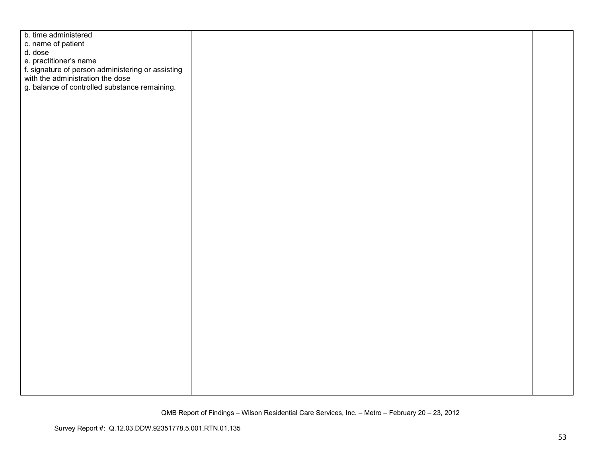| b. time administered                                                                  |  |  |
|---------------------------------------------------------------------------------------|--|--|
| c. name of patient                                                                    |  |  |
| d. dose                                                                               |  |  |
| e. practitioner's name                                                                |  |  |
|                                                                                       |  |  |
| f. signature of person administering or assisting<br>with the administration the dose |  |  |
| g. balance of controlled substance remaining.                                         |  |  |
|                                                                                       |  |  |
|                                                                                       |  |  |
|                                                                                       |  |  |
|                                                                                       |  |  |
|                                                                                       |  |  |
|                                                                                       |  |  |
|                                                                                       |  |  |
|                                                                                       |  |  |
|                                                                                       |  |  |
|                                                                                       |  |  |
|                                                                                       |  |  |
|                                                                                       |  |  |
|                                                                                       |  |  |
|                                                                                       |  |  |
|                                                                                       |  |  |
|                                                                                       |  |  |
|                                                                                       |  |  |
|                                                                                       |  |  |
|                                                                                       |  |  |
|                                                                                       |  |  |
|                                                                                       |  |  |
|                                                                                       |  |  |
|                                                                                       |  |  |
|                                                                                       |  |  |
|                                                                                       |  |  |
|                                                                                       |  |  |
|                                                                                       |  |  |
|                                                                                       |  |  |
|                                                                                       |  |  |
|                                                                                       |  |  |
|                                                                                       |  |  |
|                                                                                       |  |  |
|                                                                                       |  |  |
|                                                                                       |  |  |
|                                                                                       |  |  |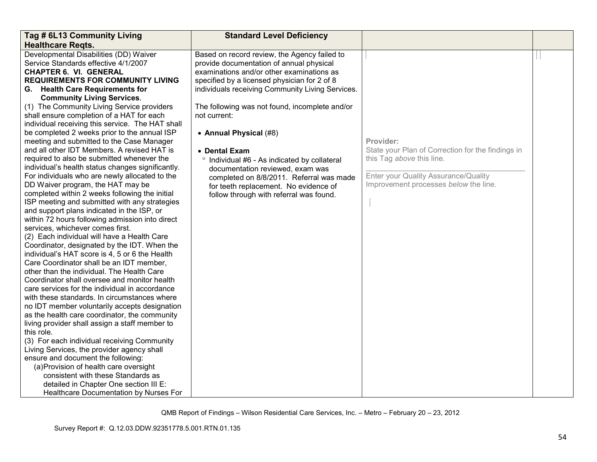| Tag # 6L13 Community Living                                                                                                                                                                                                                                                                                                                                                                                                                                                                                                                                                                                                                                                                                                                                                                                                                                                                                                                                                                                                                                                                                                                                                                                                                                                                                                                                                                                                                      | <b>Standard Level Deficiency</b>                                                                                                                                                                                                                                                                            |                                                                                                                                                                              |  |
|--------------------------------------------------------------------------------------------------------------------------------------------------------------------------------------------------------------------------------------------------------------------------------------------------------------------------------------------------------------------------------------------------------------------------------------------------------------------------------------------------------------------------------------------------------------------------------------------------------------------------------------------------------------------------------------------------------------------------------------------------------------------------------------------------------------------------------------------------------------------------------------------------------------------------------------------------------------------------------------------------------------------------------------------------------------------------------------------------------------------------------------------------------------------------------------------------------------------------------------------------------------------------------------------------------------------------------------------------------------------------------------------------------------------------------------------------|-------------------------------------------------------------------------------------------------------------------------------------------------------------------------------------------------------------------------------------------------------------------------------------------------------------|------------------------------------------------------------------------------------------------------------------------------------------------------------------------------|--|
| <b>Healthcare Regts.</b>                                                                                                                                                                                                                                                                                                                                                                                                                                                                                                                                                                                                                                                                                                                                                                                                                                                                                                                                                                                                                                                                                                                                                                                                                                                                                                                                                                                                                         |                                                                                                                                                                                                                                                                                                             |                                                                                                                                                                              |  |
| Developmental Disabilities (DD) Waiver<br>Service Standards effective 4/1/2007<br><b>CHAPTER 6. VI. GENERAL</b><br><b>REQUIREMENTS FOR COMMUNITY LIVING</b><br>G. Health Care Requirements for<br><b>Community Living Services.</b><br>(1) The Community Living Service providers<br>shall ensure completion of a HAT for each<br>individual receiving this service. The HAT shall                                                                                                                                                                                                                                                                                                                                                                                                                                                                                                                                                                                                                                                                                                                                                                                                                                                                                                                                                                                                                                                               | Based on record review, the Agency failed to<br>provide documentation of annual physical<br>examinations and/or other examinations as<br>specified by a licensed physician for 2 of 8<br>individuals receiving Community Living Services.<br>The following was not found, incomplete and/or<br>not current: |                                                                                                                                                                              |  |
| be completed 2 weeks prior to the annual ISP<br>meeting and submitted to the Case Manager<br>and all other IDT Members. A revised HAT is<br>required to also be submitted whenever the<br>individual's health status changes significantly.<br>For individuals who are newly allocated to the<br>DD Waiver program, the HAT may be<br>completed within 2 weeks following the initial<br>ISP meeting and submitted with any strategies<br>and support plans indicated in the ISP, or<br>within 72 hours following admission into direct<br>services, whichever comes first.<br>(2) Each individual will have a Health Care<br>Coordinator, designated by the IDT. When the<br>individual's HAT score is 4, 5 or 6 the Health<br>Care Coordinator shall be an IDT member,<br>other than the individual. The Health Care<br>Coordinator shall oversee and monitor health<br>care services for the individual in accordance<br>with these standards. In circumstances where<br>no IDT member voluntarily accepts designation<br>as the health care coordinator, the community<br>living provider shall assign a staff member to<br>this role.<br>(3) For each individual receiving Community<br>Living Services, the provider agency shall<br>ensure and document the following:<br>(a) Provision of health care oversight<br>consistent with these Standards as<br>detailed in Chapter One section III E:<br>Healthcare Documentation by Nurses For | • Annual Physical (#8)<br>• Dental Exam<br>$\circ$<br>Individual #6 - As indicated by collateral<br>documentation reviewed, exam was<br>completed on 8/8/2011. Referral was made<br>for teeth replacement. No evidence of<br>follow through with referral was found.                                        | Provider:<br>State your Plan of Correction for the findings in<br>this Tag above this line.<br>Enter your Quality Assurance/Quality<br>Improvement processes below the line. |  |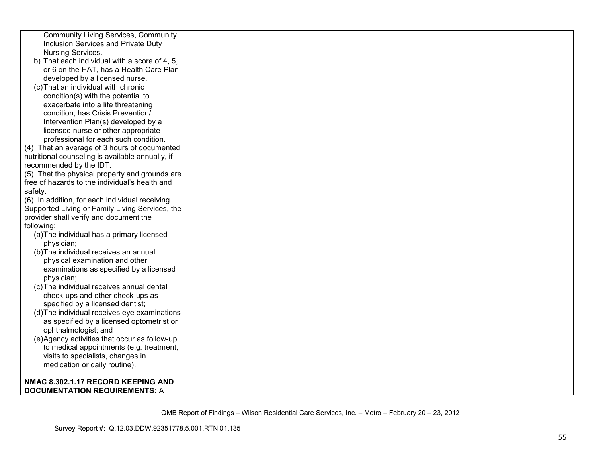| <b>Community Living Services, Community</b>      |  |  |
|--------------------------------------------------|--|--|
| Inclusion Services and Private Duty              |  |  |
| Nursing Services.                                |  |  |
| b) That each individual with a score of 4, 5,    |  |  |
| or 6 on the HAT, has a Health Care Plan          |  |  |
| developed by a licensed nurse.                   |  |  |
| (c) That an individual with chronic              |  |  |
| condition(s) with the potential to               |  |  |
| exacerbate into a life threatening               |  |  |
| condition, has Crisis Prevention/                |  |  |
| Intervention Plan(s) developed by a              |  |  |
| licensed nurse or other appropriate              |  |  |
| professional for each such condition.            |  |  |
| (4) That an average of 3 hours of documented     |  |  |
| nutritional counseling is available annually, if |  |  |
| recommended by the IDT.                          |  |  |
| (5) That the physical property and grounds are   |  |  |
| free of hazards to the individual's health and   |  |  |
| safety.                                          |  |  |
| (6) In addition, for each individual receiving   |  |  |
| Supported Living or Family Living Services, the  |  |  |
| provider shall verify and document the           |  |  |
| following:                                       |  |  |
| (a) The individual has a primary licensed        |  |  |
| physician;                                       |  |  |
| (b) The individual receives an annual            |  |  |
| physical examination and other                   |  |  |
| examinations as specified by a licensed          |  |  |
| physician;                                       |  |  |
| (c) The individual receives annual dental        |  |  |
| check-ups and other check-ups as                 |  |  |
| specified by a licensed dentist;                 |  |  |
| (d) The individual receives eye examinations     |  |  |
| as specified by a licensed optometrist or        |  |  |
| ophthalmologist; and                             |  |  |
| (e)Agency activities that occur as follow-up     |  |  |
| to medical appointments (e.g. treatment,         |  |  |
| visits to specialists, changes in                |  |  |
| medication or daily routine).                    |  |  |
|                                                  |  |  |
| NMAC 8.302.1.17 RECORD KEEPING AND               |  |  |
| <b>DOCUMENTATION REQUIREMENTS: A</b>             |  |  |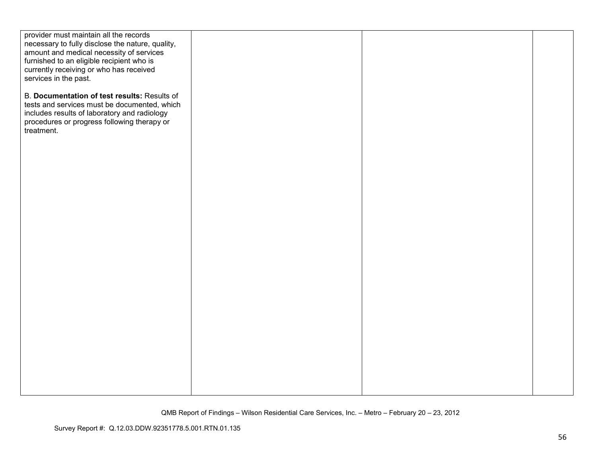| provider must maintain all the records                           |  |  |
|------------------------------------------------------------------|--|--|
| necessary to fully disclose the nature, quality,                 |  |  |
| amount and medical necessity of services                         |  |  |
| furnished to an eligible recipient who is                        |  |  |
| currently receiving or who has received<br>services in the past. |  |  |
|                                                                  |  |  |
| B. Documentation of test results: Results of                     |  |  |
| tests and services must be documented, which                     |  |  |
| includes results of laboratory and radiology                     |  |  |
| procedures or progress following therapy or                      |  |  |
| treatment.                                                       |  |  |
|                                                                  |  |  |
|                                                                  |  |  |
|                                                                  |  |  |
|                                                                  |  |  |
|                                                                  |  |  |
|                                                                  |  |  |
|                                                                  |  |  |
|                                                                  |  |  |
|                                                                  |  |  |
|                                                                  |  |  |
|                                                                  |  |  |
|                                                                  |  |  |
|                                                                  |  |  |
|                                                                  |  |  |
|                                                                  |  |  |
|                                                                  |  |  |
|                                                                  |  |  |
|                                                                  |  |  |
|                                                                  |  |  |
|                                                                  |  |  |
|                                                                  |  |  |
|                                                                  |  |  |
|                                                                  |  |  |
|                                                                  |  |  |
|                                                                  |  |  |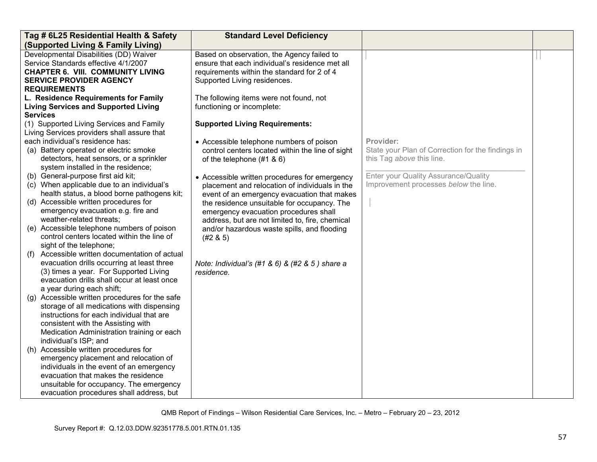| Tag # 6L25 Residential Health & Safety                                                                                                                                                                                                                                                                                                                            | <b>Standard Level Deficiency</b>                                                                                                                                                                                                                                                                                                                     |                                                                                             |  |
|-------------------------------------------------------------------------------------------------------------------------------------------------------------------------------------------------------------------------------------------------------------------------------------------------------------------------------------------------------------------|------------------------------------------------------------------------------------------------------------------------------------------------------------------------------------------------------------------------------------------------------------------------------------------------------------------------------------------------------|---------------------------------------------------------------------------------------------|--|
| (Supported Living & Family Living)                                                                                                                                                                                                                                                                                                                                |                                                                                                                                                                                                                                                                                                                                                      |                                                                                             |  |
| Developmental Disabilities (DD) Waiver<br>Service Standards effective 4/1/2007<br><b>CHAPTER 6. VIII. COMMUNITY LIVING</b><br><b>SERVICE PROVIDER AGENCY</b><br><b>REQUIREMENTS</b>                                                                                                                                                                               | Based on observation, the Agency failed to<br>ensure that each individual's residence met all<br>requirements within the standard for 2 of 4<br>Supported Living residences.                                                                                                                                                                         |                                                                                             |  |
| L. Residence Requirements for Family<br><b>Living Services and Supported Living</b><br><b>Services</b><br>(1) Supported Living Services and Family<br>Living Services providers shall assure that                                                                                                                                                                 | The following items were not found, not<br>functioning or incomplete:<br><b>Supported Living Requirements:</b>                                                                                                                                                                                                                                       |                                                                                             |  |
| each individual's residence has:<br>(a) Battery operated or electric smoke<br>detectors, heat sensors, or a sprinkler<br>system installed in the residence;                                                                                                                                                                                                       | • Accessible telephone numbers of poison<br>control centers located within the line of sight<br>of the telephone $(#1 \& 6)$                                                                                                                                                                                                                         | Provider:<br>State your Plan of Correction for the findings in<br>this Tag above this line. |  |
| (b) General-purpose first aid kit;<br>(c) When applicable due to an individual's<br>health status, a blood borne pathogens kit;<br>(d) Accessible written procedures for<br>emergency evacuation e.g. fire and<br>weather-related threats;<br>(e) Accessible telephone numbers of poison<br>control centers located within the line of<br>sight of the telephone; | • Accessible written procedures for emergency<br>placement and relocation of individuals in the<br>event of an emergency evacuation that makes<br>the residence unsuitable for occupancy. The<br>emergency evacuation procedures shall<br>address, but are not limited to, fire, chemical<br>and/or hazardous waste spills, and flooding<br>(#2 & 5) | Enter your Quality Assurance/Quality<br>Improvement processes below the line.               |  |
| Accessible written documentation of actual<br>(f)<br>evacuation drills occurring at least three<br>(3) times a year. For Supported Living<br>evacuation drills shall occur at least once<br>a year during each shift;                                                                                                                                             | Note: Individual's (#1 & 6) & (#2 & 5) share a<br>residence.                                                                                                                                                                                                                                                                                         |                                                                                             |  |
| (g) Accessible written procedures for the safe<br>storage of all medications with dispensing<br>instructions for each individual that are<br>consistent with the Assisting with<br>Medication Administration training or each<br>individual's ISP; and                                                                                                            |                                                                                                                                                                                                                                                                                                                                                      |                                                                                             |  |
| (h) Accessible written procedures for<br>emergency placement and relocation of<br>individuals in the event of an emergency<br>evacuation that makes the residence<br>unsuitable for occupancy. The emergency<br>evacuation procedures shall address, but                                                                                                          |                                                                                                                                                                                                                                                                                                                                                      |                                                                                             |  |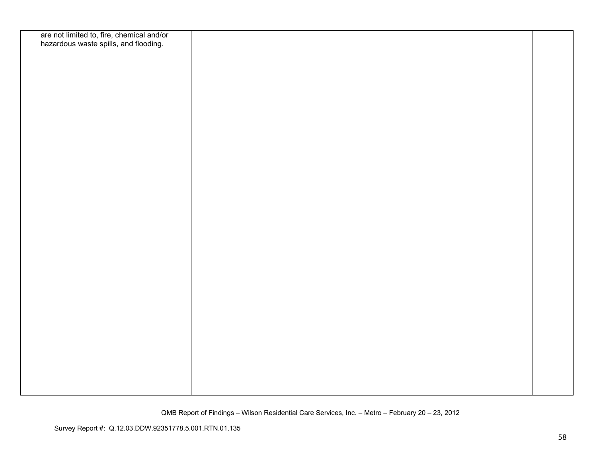| are not limited to, fire, chemical and/or<br>hazardous waste spills, and flooding. |  |  |
|------------------------------------------------------------------------------------|--|--|
|                                                                                    |  |  |
|                                                                                    |  |  |
|                                                                                    |  |  |
|                                                                                    |  |  |
|                                                                                    |  |  |
|                                                                                    |  |  |
|                                                                                    |  |  |
|                                                                                    |  |  |
|                                                                                    |  |  |
|                                                                                    |  |  |
|                                                                                    |  |  |
|                                                                                    |  |  |
|                                                                                    |  |  |
|                                                                                    |  |  |
|                                                                                    |  |  |
|                                                                                    |  |  |
|                                                                                    |  |  |
|                                                                                    |  |  |
|                                                                                    |  |  |
|                                                                                    |  |  |
|                                                                                    |  |  |
|                                                                                    |  |  |
|                                                                                    |  |  |
|                                                                                    |  |  |
|                                                                                    |  |  |
|                                                                                    |  |  |
|                                                                                    |  |  |
|                                                                                    |  |  |
|                                                                                    |  |  |
|                                                                                    |  |  |
|                                                                                    |  |  |
|                                                                                    |  |  |
|                                                                                    |  |  |
|                                                                                    |  |  |
|                                                                                    |  |  |
|                                                                                    |  |  |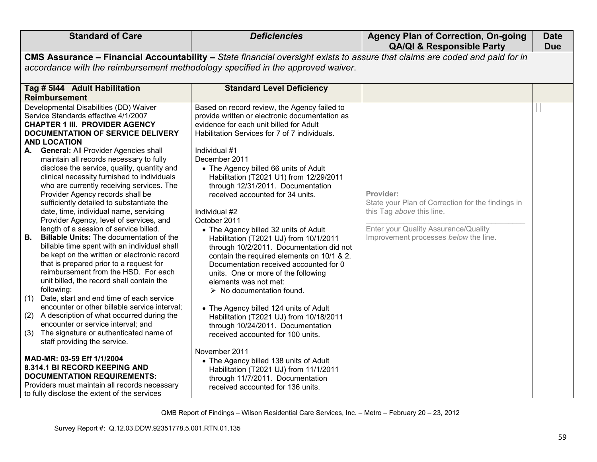| <b>Standard of Care</b>                                                                                                                                                                                                                                                                                                                                                                                                                                                                                                                                                                                                                                                                                                                                                                                                                                                                                                                                                                                                                                                                                                                                                                                                   | <b>Deficiencies</b>                                                                                                                                                                                                                                                                                                                                                                                                                                                                                                                                                                                                                                                                                                                                                                                                                                                                                                          | <b>Agency Plan of Correction, On-going</b><br><b>QA/QI &amp; Responsible Party</b>                                                                                                  | <b>Date</b><br><b>Due</b> |  |
|---------------------------------------------------------------------------------------------------------------------------------------------------------------------------------------------------------------------------------------------------------------------------------------------------------------------------------------------------------------------------------------------------------------------------------------------------------------------------------------------------------------------------------------------------------------------------------------------------------------------------------------------------------------------------------------------------------------------------------------------------------------------------------------------------------------------------------------------------------------------------------------------------------------------------------------------------------------------------------------------------------------------------------------------------------------------------------------------------------------------------------------------------------------------------------------------------------------------------|------------------------------------------------------------------------------------------------------------------------------------------------------------------------------------------------------------------------------------------------------------------------------------------------------------------------------------------------------------------------------------------------------------------------------------------------------------------------------------------------------------------------------------------------------------------------------------------------------------------------------------------------------------------------------------------------------------------------------------------------------------------------------------------------------------------------------------------------------------------------------------------------------------------------------|-------------------------------------------------------------------------------------------------------------------------------------------------------------------------------------|---------------------------|--|
| CMS Assurance - Financial Accountability - State financial oversight exists to assure that claims are coded and paid for in                                                                                                                                                                                                                                                                                                                                                                                                                                                                                                                                                                                                                                                                                                                                                                                                                                                                                                                                                                                                                                                                                               |                                                                                                                                                                                                                                                                                                                                                                                                                                                                                                                                                                                                                                                                                                                                                                                                                                                                                                                              |                                                                                                                                                                                     |                           |  |
| accordance with the reimbursement methodology specified in the approved waiver.                                                                                                                                                                                                                                                                                                                                                                                                                                                                                                                                                                                                                                                                                                                                                                                                                                                                                                                                                                                                                                                                                                                                           |                                                                                                                                                                                                                                                                                                                                                                                                                                                                                                                                                                                                                                                                                                                                                                                                                                                                                                                              |                                                                                                                                                                                     |                           |  |
| Tag # 5144 Adult Habilitation<br><b>Reimbursement</b>                                                                                                                                                                                                                                                                                                                                                                                                                                                                                                                                                                                                                                                                                                                                                                                                                                                                                                                                                                                                                                                                                                                                                                     | <b>Standard Level Deficiency</b>                                                                                                                                                                                                                                                                                                                                                                                                                                                                                                                                                                                                                                                                                                                                                                                                                                                                                             |                                                                                                                                                                                     |                           |  |
| Developmental Disabilities (DD) Waiver<br>Service Standards effective 4/1/2007<br><b>CHAPTER 1 III. PROVIDER AGENCY</b><br>DOCUMENTATION OF SERVICE DELIVERY<br><b>AND LOCATION</b><br>General: All Provider Agencies shall<br>А.<br>maintain all records necessary to fully<br>disclose the service, quality, quantity and<br>clinical necessity furnished to individuals<br>who are currently receiving services. The<br>Provider Agency records shall be<br>sufficiently detailed to substantiate the<br>date, time, individual name, servicing<br>Provider Agency, level of services, and<br>length of a session of service billed.<br><b>Billable Units: The documentation of the</b><br>В.<br>billable time spent with an individual shall<br>be kept on the written or electronic record<br>that is prepared prior to a request for<br>reimbursement from the HSD. For each<br>unit billed, the record shall contain the<br>following:<br>Date, start and end time of each service<br>(1)<br>encounter or other billable service interval;<br>(2) A description of what occurred during the<br>encounter or service interval; and<br>The signature or authenticated name of<br>(3)<br>staff providing the service. | Based on record review, the Agency failed to<br>provide written or electronic documentation as<br>evidence for each unit billed for Adult<br>Habilitation Services for 7 of 7 individuals.<br>Individual #1<br>December 2011<br>• The Agency billed 66 units of Adult<br>Habilitation (T2021 U1) from 12/29/2011<br>through 12/31/2011. Documentation<br>received accounted for 34 units.<br>Individual #2<br>October 2011<br>• The Agency billed 32 units of Adult<br>Habilitation (T2021 UJ) from 10/1/2011<br>through 10/2/2011. Documentation did not<br>contain the required elements on 10/1 & 2.<br>Documentation received accounted for 0<br>units. One or more of the following<br>elements was not met:<br>$\triangleright$ No documentation found.<br>• The Agency billed 124 units of Adult<br>Habilitation (T2021 UJ) from 10/18/2011<br>through 10/24/2011. Documentation<br>received accounted for 100 units. | Provider:<br>State your Plan of Correction for the findings in<br>this Tag above this line.<br><b>Enter your Quality Assurance/Quality</b><br>Improvement processes below the line. |                           |  |
| MAD-MR: 03-59 Eff 1/1/2004<br>8.314.1 BI RECORD KEEPING AND<br><b>DOCUMENTATION REQUIREMENTS:</b><br>Providers must maintain all records necessary<br>to fully disclose the extent of the services                                                                                                                                                                                                                                                                                                                                                                                                                                                                                                                                                                                                                                                                                                                                                                                                                                                                                                                                                                                                                        | November 2011<br>• The Agency billed 138 units of Adult<br>Habilitation (T2021 UJ) from 11/1/2011<br>through 11/7/2011. Documentation<br>received accounted for 136 units.                                                                                                                                                                                                                                                                                                                                                                                                                                                                                                                                                                                                                                                                                                                                                   |                                                                                                                                                                                     |                           |  |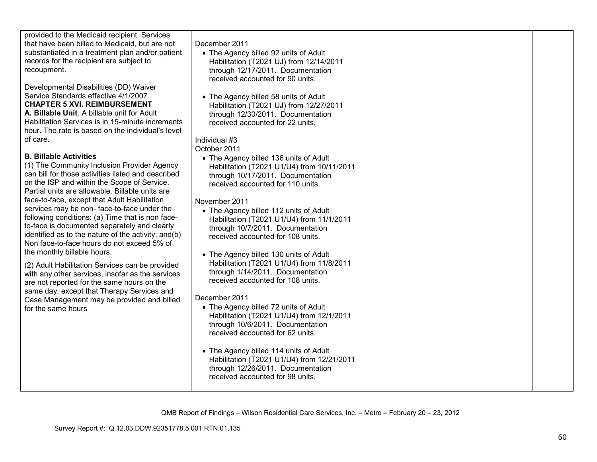| provided to the Medicaid recipient. Services<br>that have been billed to Medicaid, but are not<br>substantiated in a treatment plan and/or patient<br>records for the recipient are subject to<br>recoupment.<br>Developmental Disabilities (DD) Waiver<br>Service Standards effective 4/1/2007<br><b>CHAPTER 5 XVI. REIMBURSEMENT</b><br>A. Billable Unit. A billable unit for Adult<br>Habilitation Services is in 15-minute increments<br>hour. The rate is based on the individual's level<br>of care.<br><b>B. Billable Activities</b><br>(1) The Community Inclusion Provider Agency<br>can bill for those activities listed and described<br>on the ISP and within the Scope of Service.<br>Partial units are allowable. Billable units are<br>face-to-face, except that Adult Habilitation<br>services may be non-face-to-face under the<br>following conditions: (a) Time that is non face-<br>to-face is documented separately and clearly<br>identified as to the nature of the activity; and(b)<br>Non face-to-face hours do not exceed 5% of<br>the monthly billable hours.<br>(2) Adult Habilitation Services can be provided<br>with any other services, insofar as the services<br>are not reported for the same hours on the<br>same day, except that Therapy Services and<br>Case Management may be provided and billed<br>for the same hours | December 2011<br>• The Agency billed 92 units of Adult<br>Habilitation (T2021 UJ) from 12/14/2011<br>through 12/17/2011. Documentation<br>received accounted for 90 units.<br>• The Agency billed 58 units of Adult<br>Habilitation (T2021 UJ) from 12/27/2011<br>through 12/30/2011. Documentation<br>received accounted for 22 units.<br>Individual #3<br>October 2011<br>• The Agency billed 136 units of Adult<br>Habilitation (T2021 U1/U4) from 10/11/2011<br>through 10/17/2011. Documentation<br>received accounted for 110 units.<br>November 2011<br>• The Agency billed 112 units of Adult<br>Habilitation (T2021 U1/U4) from 11/1/2011<br>through 10/7/2011. Documentation<br>received accounted for 108 units.<br>• The Agency billed 130 units of Adult<br>Habilitation (T2021 U1/U4) from 11/8/2011<br>through 1/14/2011. Documentation<br>received accounted for 108 units.<br>December 2011<br>• The Agency billed 72 units of Adult<br>Habilitation (T2021 U1/U4) from 12/1/2011<br>through 10/6/2011. Documentation<br>received accounted for 62 units.<br>• The Agency billed 114 units of Adult<br>Habilitation (T2021 U1/U4) from 12/21/2011<br>through 12/26/2011. Documentation<br>received accounted for 98 units. |  |
|-----------------------------------------------------------------------------------------------------------------------------------------------------------------------------------------------------------------------------------------------------------------------------------------------------------------------------------------------------------------------------------------------------------------------------------------------------------------------------------------------------------------------------------------------------------------------------------------------------------------------------------------------------------------------------------------------------------------------------------------------------------------------------------------------------------------------------------------------------------------------------------------------------------------------------------------------------------------------------------------------------------------------------------------------------------------------------------------------------------------------------------------------------------------------------------------------------------------------------------------------------------------------------------------------------------------------------------------------------------------|---------------------------------------------------------------------------------------------------------------------------------------------------------------------------------------------------------------------------------------------------------------------------------------------------------------------------------------------------------------------------------------------------------------------------------------------------------------------------------------------------------------------------------------------------------------------------------------------------------------------------------------------------------------------------------------------------------------------------------------------------------------------------------------------------------------------------------------------------------------------------------------------------------------------------------------------------------------------------------------------------------------------------------------------------------------------------------------------------------------------------------------------------------------------------------------------------------------------------------------------|--|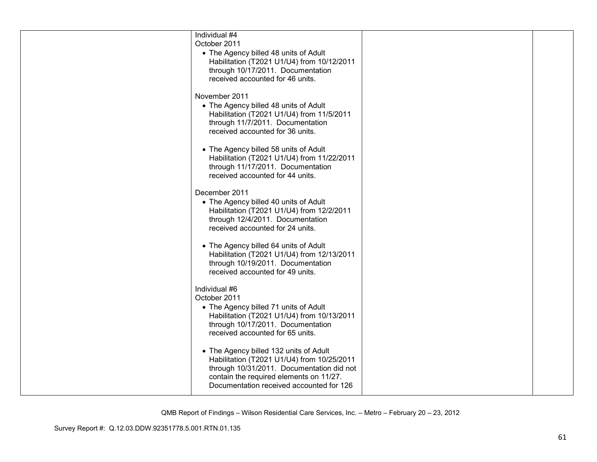| Individual #4<br>October 2011<br>• The Agency billed 48 units of Adult<br>Habilitation (T2021 U1/U4) from 10/12/2011<br>through 10/17/2011. Documentation<br>received accounted for 46 units.                            |  |
|--------------------------------------------------------------------------------------------------------------------------------------------------------------------------------------------------------------------------|--|
| November 2011<br>• The Agency billed 48 units of Adult<br>Habilitation (T2021 U1/U4) from 11/5/2011<br>through 11/7/2011. Documentation<br>received accounted for 36 units.                                              |  |
| • The Agency billed 58 units of Adult<br>Habilitation (T2021 U1/U4) from 11/22/2011<br>through 11/17/2011. Documentation<br>received accounted for 44 units.                                                             |  |
| December 2011<br>• The Agency billed 40 units of Adult<br>Habilitation (T2021 U1/U4) from 12/2/2011<br>through 12/4/2011. Documentation<br>received accounted for 24 units.                                              |  |
| • The Agency billed 64 units of Adult<br>Habilitation (T2021 U1/U4) from 12/13/2011<br>through 10/19/2011. Documentation<br>received accounted for 49 units.                                                             |  |
| Individual #6<br>October 2011<br>• The Agency billed 71 units of Adult<br>Habilitation (T2021 U1/U4) from 10/13/2011<br>through 10/17/2011. Documentation<br>received accounted for 65 units.                            |  |
| • The Agency billed 132 units of Adult<br>Habilitation (T2021 U1/U4) from 10/25/2011<br>through 10/31/2011. Documentation did not<br>contain the required elements on 11/27.<br>Documentation received accounted for 126 |  |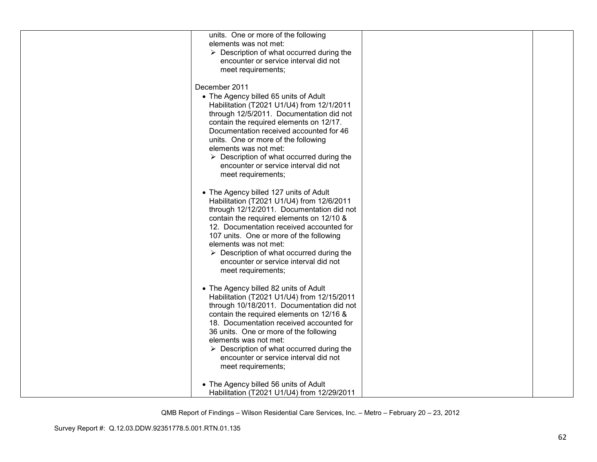| units. One or more of the following                      |  |
|----------------------------------------------------------|--|
| elements was not met:                                    |  |
| $\triangleright$ Description of what occurred during the |  |
|                                                          |  |
| encounter or service interval did not                    |  |
| meet requirements;                                       |  |
|                                                          |  |
| December 2011                                            |  |
| • The Agency billed 65 units of Adult                    |  |
| Habilitation (T2021 U1/U4) from 12/1/2011                |  |
| through 12/5/2011. Documentation did not                 |  |
| contain the required elements on 12/17.                  |  |
| Documentation received accounted for 46                  |  |
| units. One or more of the following                      |  |
| elements was not met:                                    |  |
|                                                          |  |
| $\triangleright$ Description of what occurred during the |  |
| encounter or service interval did not                    |  |
| meet requirements;                                       |  |
|                                                          |  |
| • The Agency billed 127 units of Adult                   |  |
| Habilitation (T2021 U1/U4) from 12/6/2011                |  |
| through 12/12/2011. Documentation did not                |  |
| contain the required elements on 12/10 &                 |  |
| 12. Documentation received accounted for                 |  |
| 107 units. One or more of the following                  |  |
| elements was not met:                                    |  |
| $\triangleright$ Description of what occurred during the |  |
| encounter or service interval did not                    |  |
| meet requirements;                                       |  |
|                                                          |  |
|                                                          |  |
| • The Agency billed 82 units of Adult                    |  |
| Habilitation (T2021 U1/U4) from 12/15/2011               |  |
| through 10/18/2011. Documentation did not                |  |
| contain the required elements on 12/16 &                 |  |
| 18. Documentation received accounted for                 |  |
| 36 units. One or more of the following                   |  |
| elements was not met:                                    |  |
| $\triangleright$ Description of what occurred during the |  |
| encounter or service interval did not                    |  |
| meet requirements;                                       |  |
|                                                          |  |
| • The Agency billed 56 units of Adult                    |  |
| Habilitation (T2021 U1/U4) from 12/29/2011               |  |
|                                                          |  |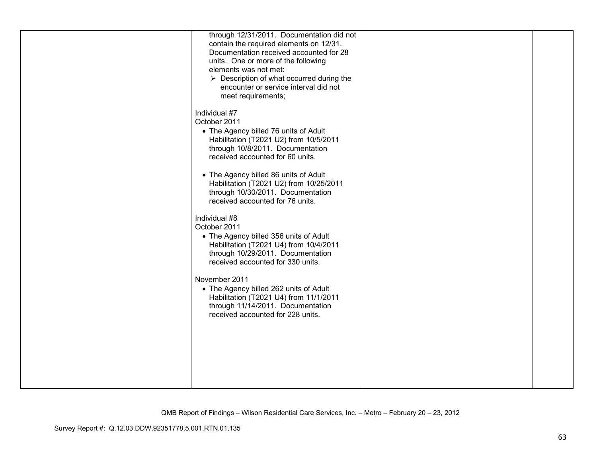| through 12/31/2011. Documentation did not<br>contain the required elements on 12/31.<br>Documentation received accounted for 28<br>units. One or more of the following<br>elements was not met:<br>$\triangleright$ Description of what occurred during the<br>encounter or service interval did not<br>meet requirements;                                                 |  |
|----------------------------------------------------------------------------------------------------------------------------------------------------------------------------------------------------------------------------------------------------------------------------------------------------------------------------------------------------------------------------|--|
| Individual #7<br>October 2011<br>• The Agency billed 76 units of Adult<br>Habilitation (T2021 U2) from 10/5/2011<br>through 10/8/2011. Documentation<br>received accounted for 60 units.<br>• The Agency billed 86 units of Adult<br>Habilitation (T2021 U2) from 10/25/2011<br>through 10/30/2011. Documentation<br>received accounted for 76 units.                      |  |
| Individual #8<br>October 2011<br>• The Agency billed 356 units of Adult<br>Habilitation (T2021 U4) from 10/4/2011<br>through 10/29/2011. Documentation<br>received accounted for 330 units.<br>November 2011<br>• The Agency billed 262 units of Adult<br>Habilitation (T2021 U4) from 11/1/2011<br>through 11/14/2011. Documentation<br>received accounted for 228 units. |  |
|                                                                                                                                                                                                                                                                                                                                                                            |  |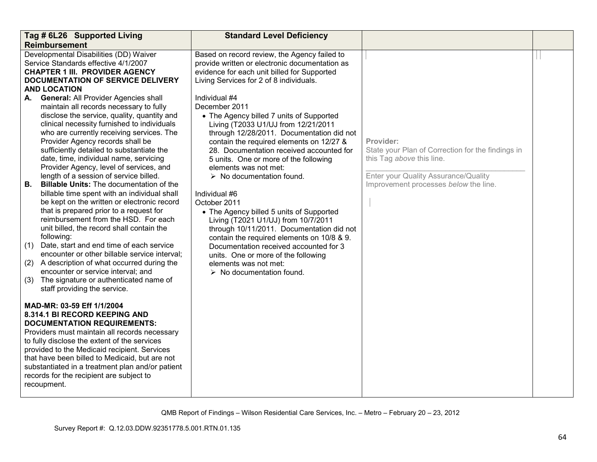| Tag # 6L26 Supported Living<br><b>Reimbursement</b>                                                                                                                                                                                                                                                                                                                                                                                                                                                                                                                                                                                                                                                                                                                                                                                                                                                                                                                                                                                                                                                                                                                                                                                 | <b>Standard Level Deficiency</b>                                                                                                                                                                                                                                                                                                                                                                                                                                                                                                                                                                                                                                                                                                                                                                                                                                                                                                      |                                                                                                                                                                              |  |
|-------------------------------------------------------------------------------------------------------------------------------------------------------------------------------------------------------------------------------------------------------------------------------------------------------------------------------------------------------------------------------------------------------------------------------------------------------------------------------------------------------------------------------------------------------------------------------------------------------------------------------------------------------------------------------------------------------------------------------------------------------------------------------------------------------------------------------------------------------------------------------------------------------------------------------------------------------------------------------------------------------------------------------------------------------------------------------------------------------------------------------------------------------------------------------------------------------------------------------------|---------------------------------------------------------------------------------------------------------------------------------------------------------------------------------------------------------------------------------------------------------------------------------------------------------------------------------------------------------------------------------------------------------------------------------------------------------------------------------------------------------------------------------------------------------------------------------------------------------------------------------------------------------------------------------------------------------------------------------------------------------------------------------------------------------------------------------------------------------------------------------------------------------------------------------------|------------------------------------------------------------------------------------------------------------------------------------------------------------------------------|--|
| Developmental Disabilities (DD) Waiver<br>Service Standards effective 4/1/2007<br><b>CHAPTER 1 III. PROVIDER AGENCY</b><br>DOCUMENTATION OF SERVICE DELIVERY<br><b>AND LOCATION</b><br><b>General: All Provider Agencies shall</b><br>А.<br>maintain all records necessary to fully<br>disclose the service, quality, quantity and<br>clinical necessity furnished to individuals<br>who are currently receiving services. The<br>Provider Agency records shall be<br>sufficiently detailed to substantiate the<br>date, time, individual name, servicing<br>Provider Agency, level of services, and<br>length of a session of service billed.<br>В.<br><b>Billable Units: The documentation of the</b><br>billable time spent with an individual shall<br>be kept on the written or electronic record<br>that is prepared prior to a request for<br>reimbursement from the HSD. For each<br>unit billed, the record shall contain the<br>following:<br>Date, start and end time of each service<br>(1)<br>encounter or other billable service interval;<br>A description of what occurred during the<br>(2)<br>encounter or service interval; and<br>The signature or authenticated name of<br>(3)<br>staff providing the service. | Based on record review, the Agency failed to<br>provide written or electronic documentation as<br>evidence for each unit billed for Supported<br>Living Services for 2 of 8 individuals.<br>Individual #4<br>December 2011<br>• The Agency billed 7 units of Supported<br>Living (T2033 U1/UJ from 12/21/2011<br>through 12/28/2011. Documentation did not<br>contain the required elements on 12/27 &<br>28. Documentation received accounted for<br>5 units. One or more of the following<br>elements was not met:<br>$\triangleright$ No documentation found.<br>Individual #6<br>October 2011<br>• The Agency billed 5 units of Supported<br>Living (T2021 U1/UJ) from 10/7/2011<br>through 10/11/2011. Documentation did not<br>contain the required elements on 10/8 & 9.<br>Documentation received accounted for 3<br>units. One or more of the following<br>elements was not met:<br>$\triangleright$ No documentation found. | Provider:<br>State your Plan of Correction for the findings in<br>this Tag above this line.<br>Enter your Quality Assurance/Quality<br>Improvement processes below the line. |  |
| MAD-MR: 03-59 Eff 1/1/2004<br>8.314.1 BI RECORD KEEPING AND<br><b>DOCUMENTATION REQUIREMENTS:</b><br>Providers must maintain all records necessary<br>to fully disclose the extent of the services<br>provided to the Medicaid recipient. Services<br>that have been billed to Medicaid, but are not<br>substantiated in a treatment plan and/or patient<br>records for the recipient are subject to<br>recoupment.                                                                                                                                                                                                                                                                                                                                                                                                                                                                                                                                                                                                                                                                                                                                                                                                                 |                                                                                                                                                                                                                                                                                                                                                                                                                                                                                                                                                                                                                                                                                                                                                                                                                                                                                                                                       |                                                                                                                                                                              |  |

QMB Report of Findings – Wilson Residential Care Services, Inc. – Metro – February 20 – 23, 2012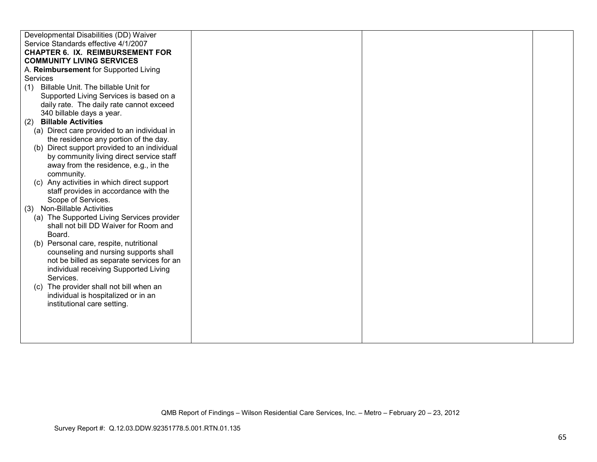| Developmental Disabilities (DD) Waiver       |  |  |
|----------------------------------------------|--|--|
| Service Standards effective 4/1/2007         |  |  |
| <b>CHAPTER 6. IX. REIMBURSEMENT FOR</b>      |  |  |
|                                              |  |  |
| <b>COMMUNITY LIVING SERVICES</b>             |  |  |
| A. Reimbursement for Supported Living        |  |  |
| <b>Services</b>                              |  |  |
| Billable Unit. The billable Unit for<br>(1)  |  |  |
| Supported Living Services is based on a      |  |  |
| daily rate. The daily rate cannot exceed     |  |  |
| 340 billable days a year.                    |  |  |
| <b>Billable Activities</b><br>(2)            |  |  |
| (a) Direct care provided to an individual in |  |  |
| the residence any portion of the day.        |  |  |
| (b) Direct support provided to an individual |  |  |
| by community living direct service staff     |  |  |
| away from the residence, e.g., in the        |  |  |
| community.                                   |  |  |
| (c) Any activities in which direct support   |  |  |
| staff provides in accordance with the        |  |  |
| Scope of Services.                           |  |  |
| (3) Non-Billable Activities                  |  |  |
| (a) The Supported Living Services provider   |  |  |
| shall not bill DD Waiver for Room and        |  |  |
| Board.                                       |  |  |
| (b) Personal care, respite, nutritional      |  |  |
| counseling and nursing supports shall        |  |  |
| not be billed as separate services for an    |  |  |
| individual receiving Supported Living        |  |  |
| Services.                                    |  |  |
| (c) The provider shall not bill when an      |  |  |
| individual is hospitalized or in an          |  |  |
| institutional care setting.                  |  |  |
|                                              |  |  |
|                                              |  |  |
|                                              |  |  |
|                                              |  |  |
|                                              |  |  |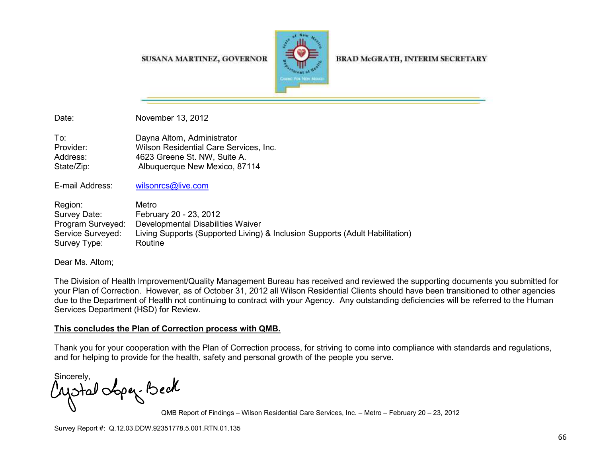SUSANA MARTINEZ, GOVERNOR



**BRAD McGRATH, INTERIM SECRETARY** 

Date: November 13, 2012

To: Dayna Altom, Administrator Provider: Wilson Residential Care Services, Inc.Address: 4623 Greene St. NW, Suite A. State/Zip: Malbuquerque New Mexico, 87114

E-mail Address: wilsonrcs@live.com

Region: Metro Survey Date: February 20 - 23, 2012 Program Surveyed: Developmental Disabilities Waiver Service Surveyed: Living Supports (Supported Living) & Inclusion Supports (Adult Habilitation) Survey Type: Routine

Dear Ms. Altom;

The Division of Health Improvement/Quality Management Bureau has received and reviewed the supporting documents you submitted for your Plan of Correction. However, as of October 31, 2012 all Wilson Residential Clients should have been transitioned to other agencies due to the Department of Health not continuing to contract with your Agency. Any outstanding deficiencies will be referred to the Human Services Department (HSD) for Review.

## **This concludes the Plan of Correction process with QMB.**

Thank you for your cooperation with the Plan of Correction process, for striving to come into compliance with standards and regulations, and for helping to provide for the health, safety and personal growth of the people you serve.

Sincerely,<br>Motal obper. Beck

QMB Report of Findings – Wilson Residential Care Services, Inc. – Metro – February 20 – 23, 2012

Survey Report #: Q.12.03.DDW.92351778.5.001.RTN.01.135